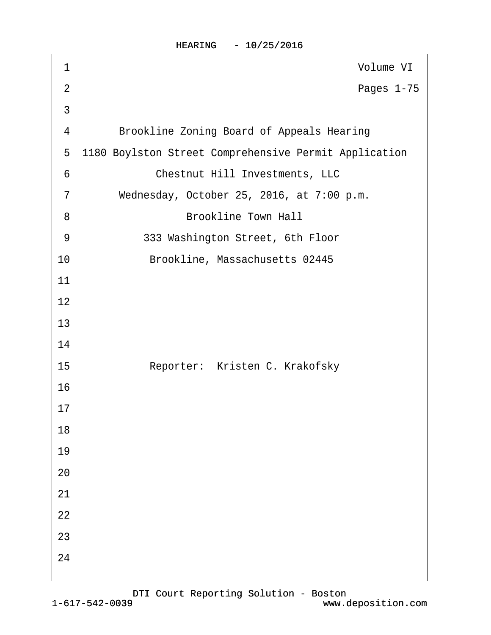HEARING - 10/25/2016

| 1              | Volume VI                                             |
|----------------|-------------------------------------------------------|
| $\overline{2}$ | Pages 1-75                                            |
| 3              |                                                       |
| 4              | <b>Brookline Zoning Board of Appeals Hearing</b>      |
| 5              | 1180 Boylston Street Comprehensive Permit Application |
| 6              | <b>Chestnut Hill Investments, LLC</b>                 |
| $\overline{7}$ | Wednesday, October 25, 2016, at 7:00 p.m.             |
| 8              | <b>Brookline Town Hall</b>                            |
| 9              | 333 Washington Street, 6th Floor                      |
| 10             | Brookline, Massachusetts 02445                        |
| 11             |                                                       |
| 12             |                                                       |
| 13             |                                                       |
| 14             |                                                       |
| 15             | Reporter: Kristen C. Krakofsky                        |
| 16             |                                                       |
| 17             |                                                       |
| 18             |                                                       |
| 19             |                                                       |
| 20             |                                                       |
| 21             |                                                       |
| 22             |                                                       |
| 23             |                                                       |
| 24             |                                                       |
|                |                                                       |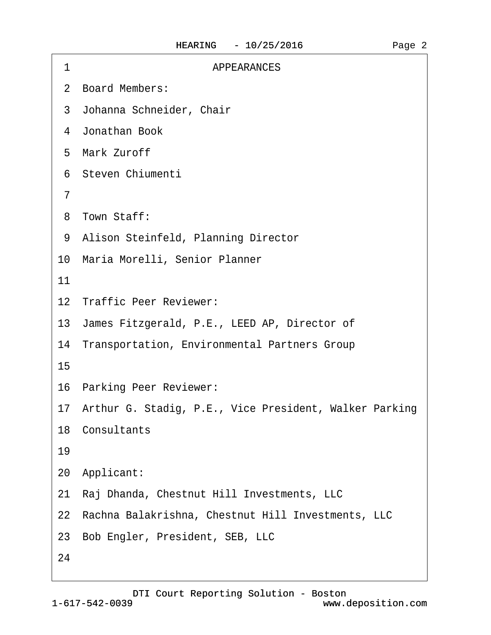| 2 Board Members:<br>3 Johanna Schneider, Chair<br>4 Jonathan Book<br>5 Mark Zuroff<br>6 Steven Chiumenti<br>7<br>8 Town Staff:<br>9 Alison Steinfeld, Planning Director<br>10 Maria Morelli, Senior Planner<br>11<br>12 Traffic Peer Reviewer:<br>13 James Fitzgerald, P.E., LEED AP, Director of<br>14 Transportation, Environmental Partners Group<br>15<br>16 Parking Peer Reviewer:<br>17 Arthur G. Stadig, P.E., Vice President, Walker Parking<br>18 Consultants<br>19<br>20 Applicant:<br>21 Raj Dhanda, Chestnut Hill Investments, LLC<br>22 Rachna Balakrishna, Chestnut Hill Investments, LLC<br>23 Bob Engler, President, SEB, LLC<br>24 | 1 | <b>APPEARANCES</b> |
|-----------------------------------------------------------------------------------------------------------------------------------------------------------------------------------------------------------------------------------------------------------------------------------------------------------------------------------------------------------------------------------------------------------------------------------------------------------------------------------------------------------------------------------------------------------------------------------------------------------------------------------------------------|---|--------------------|
|                                                                                                                                                                                                                                                                                                                                                                                                                                                                                                                                                                                                                                                     |   |                    |
|                                                                                                                                                                                                                                                                                                                                                                                                                                                                                                                                                                                                                                                     |   |                    |
|                                                                                                                                                                                                                                                                                                                                                                                                                                                                                                                                                                                                                                                     |   |                    |
|                                                                                                                                                                                                                                                                                                                                                                                                                                                                                                                                                                                                                                                     |   |                    |
|                                                                                                                                                                                                                                                                                                                                                                                                                                                                                                                                                                                                                                                     |   |                    |
|                                                                                                                                                                                                                                                                                                                                                                                                                                                                                                                                                                                                                                                     |   |                    |
|                                                                                                                                                                                                                                                                                                                                                                                                                                                                                                                                                                                                                                                     |   |                    |
|                                                                                                                                                                                                                                                                                                                                                                                                                                                                                                                                                                                                                                                     |   |                    |
|                                                                                                                                                                                                                                                                                                                                                                                                                                                                                                                                                                                                                                                     |   |                    |
|                                                                                                                                                                                                                                                                                                                                                                                                                                                                                                                                                                                                                                                     |   |                    |
|                                                                                                                                                                                                                                                                                                                                                                                                                                                                                                                                                                                                                                                     |   |                    |
|                                                                                                                                                                                                                                                                                                                                                                                                                                                                                                                                                                                                                                                     |   |                    |
|                                                                                                                                                                                                                                                                                                                                                                                                                                                                                                                                                                                                                                                     |   |                    |
|                                                                                                                                                                                                                                                                                                                                                                                                                                                                                                                                                                                                                                                     |   |                    |
|                                                                                                                                                                                                                                                                                                                                                                                                                                                                                                                                                                                                                                                     |   |                    |
|                                                                                                                                                                                                                                                                                                                                                                                                                                                                                                                                                                                                                                                     |   |                    |
|                                                                                                                                                                                                                                                                                                                                                                                                                                                                                                                                                                                                                                                     |   |                    |
|                                                                                                                                                                                                                                                                                                                                                                                                                                                                                                                                                                                                                                                     |   |                    |
|                                                                                                                                                                                                                                                                                                                                                                                                                                                                                                                                                                                                                                                     |   |                    |
|                                                                                                                                                                                                                                                                                                                                                                                                                                                                                                                                                                                                                                                     |   |                    |
|                                                                                                                                                                                                                                                                                                                                                                                                                                                                                                                                                                                                                                                     |   |                    |
|                                                                                                                                                                                                                                                                                                                                                                                                                                                                                                                                                                                                                                                     |   |                    |
|                                                                                                                                                                                                                                                                                                                                                                                                                                                                                                                                                                                                                                                     |   |                    |

Page 2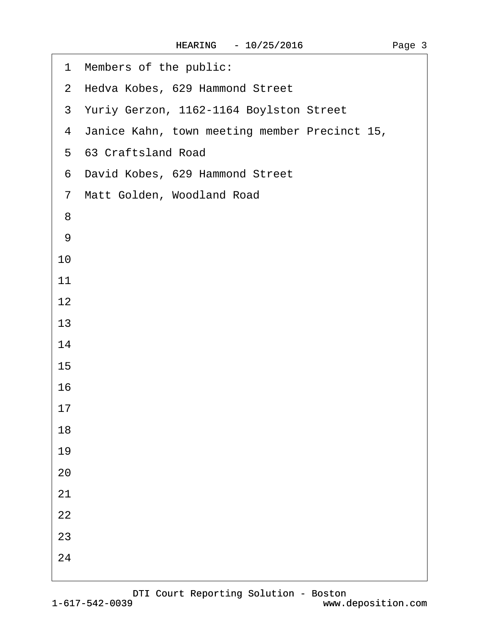| 1 Members of the public:                        |
|-------------------------------------------------|
| 2 Hedva Kobes, 629 Hammond Street               |
| 3 Yuriy Gerzon, 1162-1164 Boylston Street       |
| 4 Janice Kahn, town meeting member Precinct 15, |
| 5 63 Craftsland Road                            |
| 6 David Kobes, 629 Hammond Street               |
| 7 Matt Golden, Woodland Road                    |
| 8                                               |
| 9                                               |
| 10                                              |
| 11                                              |
| 12                                              |
| 13                                              |
| 14                                              |
| 15                                              |
| 16                                              |
| 17                                              |
| 18                                              |
| 19                                              |
| 20                                              |
| 21                                              |
| 22                                              |
| 23                                              |
| 24                                              |
|                                                 |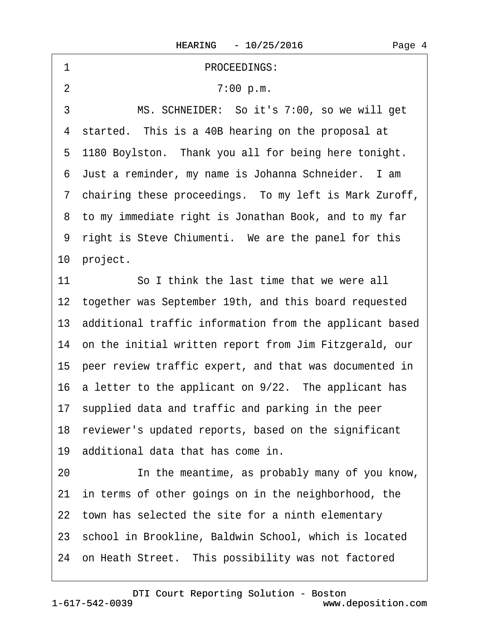| PROCEEDINGS:<br>1                                          |
|------------------------------------------------------------|
| $\overline{2}$<br>7:00 p.m.                                |
| 3<br>MS. SCHNEIDER: So it's 7:00, so we will get           |
| 4 started. This is a 40B hearing on the proposal at        |
| 5 1180 Boylston. Thank you all for being here tonight.     |
| 6 Just a reminder, my name is Johanna Schneider. I am      |
| 7 chairing these proceedings. To my left is Mark Zuroff,   |
| 8 to my immediate right is Jonathan Book, and to my far    |
| 9 right is Steve Chiumenti. We are the panel for this      |
| 10 project.                                                |
| So I think the last time that we were all<br>11            |
| 12 together was September 19th, and this board requested   |
| 13 additional traffic information from the applicant based |
| 14 on the initial written report from Jim Fitzgerald, our  |
| 15 peer review traffic expert, and that was documented in  |
| 16 a letter to the applicant on 9/22. The applicant has    |
| 17 supplied data and traffic and parking in the peer       |
| 18 reviewer's updated reports, based on the significant    |
| 19 additional data that has come in.                       |
| In the meantime, as probably many of you know,<br>20       |
| 21 in terms of other goings on in the neighborhood, the    |
| 22 town has selected the site for a ninth elementary       |
| 23 school in Brookline, Baldwin School, which is located   |
| 24 on Heath Street. This possibility was not factored      |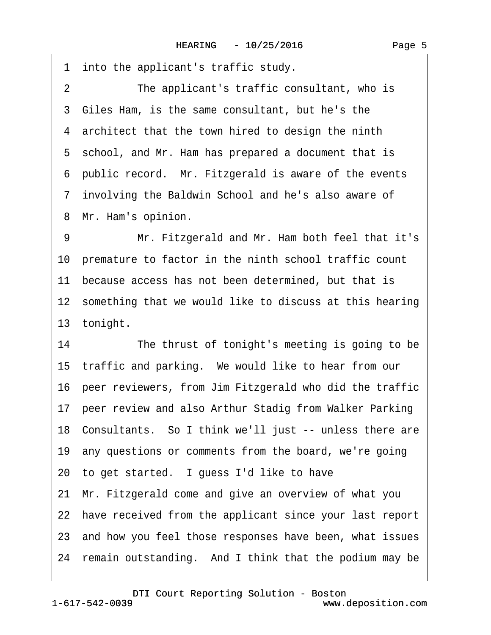·1· into the applicant's traffic study. 2 The applicant's traffic consultant, who is 3 Giles Ham, is the same consultant, but he's the 4 architect that the town hired to design the ninth 5 school, and Mr. Ham has prepared a document that is ·6· public record.· Mr. Fitzgerald is aware of the events ·7· involving the Baldwin School and he's also aware of 8 Mr. Ham's opinion.

9 Mr. Fitzgerald and Mr. Ham both feel that it's 10· premature to factor in the ninth school traffic count 11 because access has not been determined, but that is 12 something that we would like to discuss at this hearing 13 tonight.

14 The thrust of tonight's meeting is going to be 15 traffic and parking. We would like to hear from our 16· peer reviewers, from Jim Fitzgerald who did the traffic 17 peer review and also Arthur Stadig from Walker Parking 18· Consultants.· So I think we'll just -- unless there are 19· any questions or comments from the board, we're going 20 to get started. I guess I'd like to have 21· Mr. Fitzgerald come and give an overview of what you 22 have received from the applicant since your last report 23· and how you feel those responses have been, what issues 24 remain outstanding. And I think that the podium may be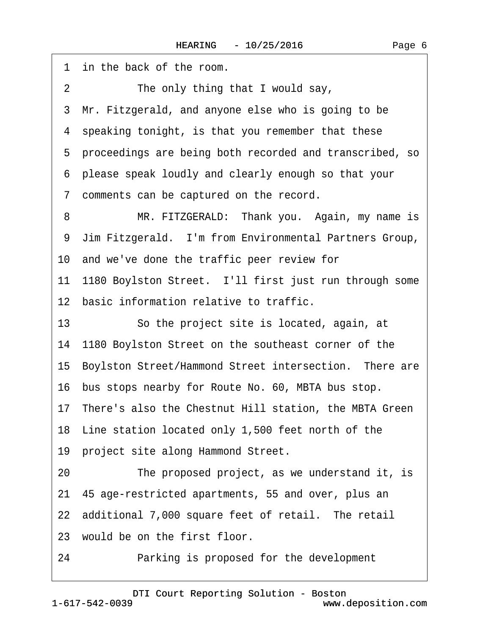|                | 1 in the back of the room.                                |
|----------------|-----------------------------------------------------------|
| $\overline{2}$ | The only thing that I would say,                          |
|                | 3 Mr. Fitzgerald, and anyone else who is going to be      |
|                | 4 speaking tonight, is that you remember that these       |
|                | 5 proceedings are being both recorded and transcribed, so |
|                | 6 please speak loudly and clearly enough so that your     |
|                | 7 comments can be captured on the record.                 |
| 8              | MR. FITZGERALD: Thank you. Again, my name is              |
|                | 9 Jim Fitzgerald. I'm from Environmental Partners Group,  |
|                | 10 and we've done the traffic peer review for             |
|                | 11 1180 Boylston Street. I'll first just run through some |
|                | 12 basic information relative to traffic.                 |
| 13             | So the project site is located, again, at                 |
|                | 14 1180 Boylston Street on the southeast corner of the    |
|                | 15 Boylston Street/Hammond Street intersection. There are |
|                | 16 bus stops nearby for Route No. 60, MBTA bus stop.      |
|                | 17 There's also the Chestnut Hill station, the MBTA Green |
|                | 18 Line station located only 1,500 feet north of the      |
|                | 19 project site along Hammond Street.                     |
| 20             | The proposed project, as we understand it, is             |
|                | 21 45 age-restricted apartments, 55 and over, plus an     |
|                | 22 additional 7,000 square feet of retail. The retail     |
|                | 23 would be on the first floor.                           |

24 Parking is proposed for the development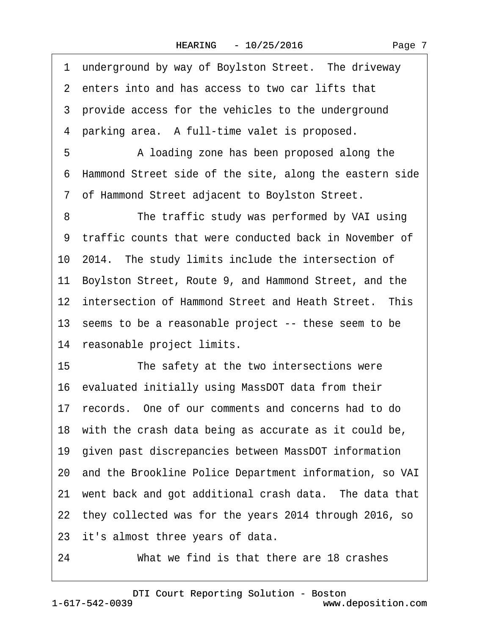1 underground by way of Boylston Street. The driveway ·2· enters into and has access to two car lifts that 3 provide access for the vehicles to the underground 4 parking area. A full-time valet is proposed. 5 • • A loading zone has been proposed along the ·6· Hammond Street side of the site, along the eastern side ·7· of Hammond Street adjacent to Boylston Street. 8 The traffic study was performed by VAI using 9 traffic counts that were conducted back in November of 10 2014. The study limits include the intersection of 11· Boylston Street, Route 9, and Hammond Street, and the 12 intersection of Hammond Street and Heath Street. This 13 seems to be a reasonable project -- these seem to be 14 reasonable project limits. 15 The safety at the two intersections were 16 evaluated initially using MassDOT data from their 17· records.· One of our comments and concerns had to do 18 with the crash data being as accurate as it could be, 19· given past discrepancies between MassDOT information 20· and the Brookline Police Department information, so VAI 21 went back and got additional crash data. The data that 22· they collected was for the years 2014 through 2016, so 23 it's almost three years of data. 24 What we find is that there are 18 crashes

1-617-542-0039 [DTI Court Reporting Solution - Boston](http://www.deposition.com) www.deposition.com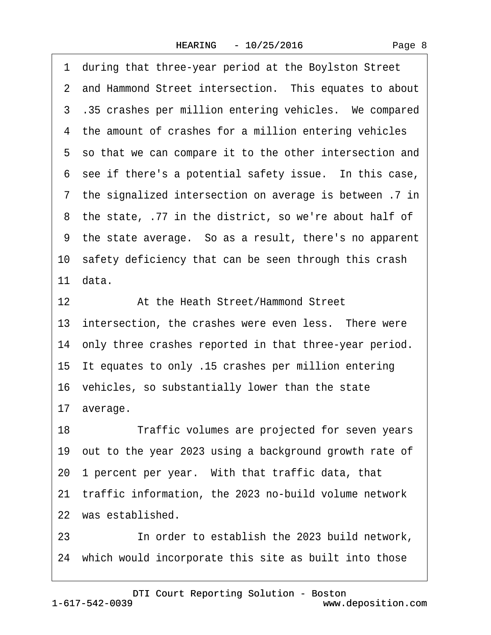|  | Page 8 |  |
|--|--------|--|
|--|--------|--|

·1· during that three-year period at the Boylston Street 2 and Hammond Street intersection. This equates to about 3.35 crashes per million entering vehicles. We compared 4 the amount of crashes for a million entering vehicles 5 so that we can compare it to the other intersection and 6 see if there's a potential safety issue. In this case, ·7· the signalized intersection on average is between .7 in ·8· the state, .77 in the district, so we're about half of ·9· the state average.· So as a result, there's no apparent 10 safety deficiency that can be seen through this crash 11 $data$ . 12 **4 At the Heath Street/Hammond Street** 13 intersection, the crashes were even less. There were 14 only three crashes reported in that three-year period. 15· It equates to only .15 crashes per million entering 16 vehicles, so substantially lower than the state 17 average. 18 Traffic volumes are projected for seven years 19· out to the year 2023 using a background growth rate of 20 1 percent per year. With that traffic data, that 21· traffic information, the 2023 no-build volume network 22 was established. 23 **In order to establish the 2023 build network,** 

[DTI Court Reporting Solution - Boston](http://www.deposition.com)

24 which would incorporate this site as built into those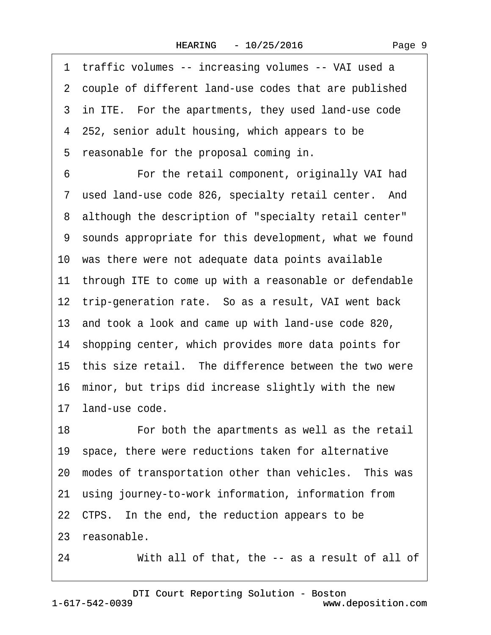1 traffic volumes -- increasing volumes -- VAI used a 2 couple of different land-use codes that are published 3 in ITE. For the apartments, they used land-use code 4 252, senior adult housing, which appears to be 5 reasonable for the proposal coming in. 6 **• • • For the retail component, originally VAI had** ·7· used land-use code 826, specialty retail center.· And ·8· although the description of "specialty retail center" ·9· sounds appropriate for this development, what we found 10· was there were not adequate data points available 11 through ITE to come up with a reasonable or defendable 12 trip-generation rate. So as a result, VAI went back 13· and took a look and came up with land-use code 820, 14 shopping center, which provides more data points for 15 this size retail. The difference between the two were 16 minor, but trips did increase slightly with the new 17 land-use code. 18 **• • • For both the apartments as well as the retail** 19 space, there were reductions taken for alternative 20 modes of transportation other than vehicles. This was 21· using journey-to-work information, information from 22 CTPS. In the end, the reduction appears to be 23 reasonable. 24 With all of that, the -- as a result of all of

1-617-542-0039 [DTI Court Reporting Solution - Boston](http://www.deposition.com) www.deposition.com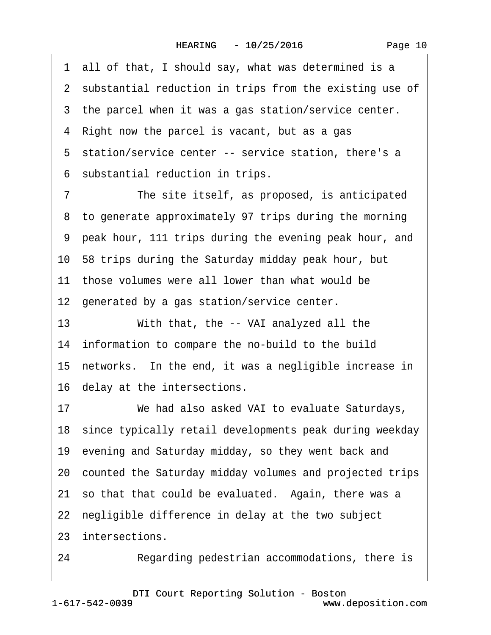| Page 10 |  |
|---------|--|
|---------|--|

·1· all of that, I should say, what was determined is a 2 substantial reduction in trips from the existing use of 3 the parcel when it was a gas station/service center. 4 Right now the parcel is vacant, but as a gas 5 station/service center -- service station, there's a 6 substantial reduction in trips. 7 The site itself, as proposed, is anticipated 8 to generate approximately 97 trips during the morning ·9· peak hour, 111 trips during the evening peak hour, and 10· 58 trips during the Saturday midday peak hour, but 11 those volumes were all lower than what would be 12 generated by a gas station/service center. 13 With that, the -- VAI analyzed all the 14 information to compare the no-build to the build 15 networks. In the end, it was a negligible increase in 16· delay at the intersections. 17 We had also asked VAI to evaluate Saturdays, 18 since typically retail developments peak during weekday 19· evening and Saturday midday, so they went back and 20· counted the Saturday midday volumes and projected trips 21 so that that could be evaluated. Again, there was a 22 negligible difference in delay at the two subject 23 intersections. 24 Regarding pedestrian accommodations, there is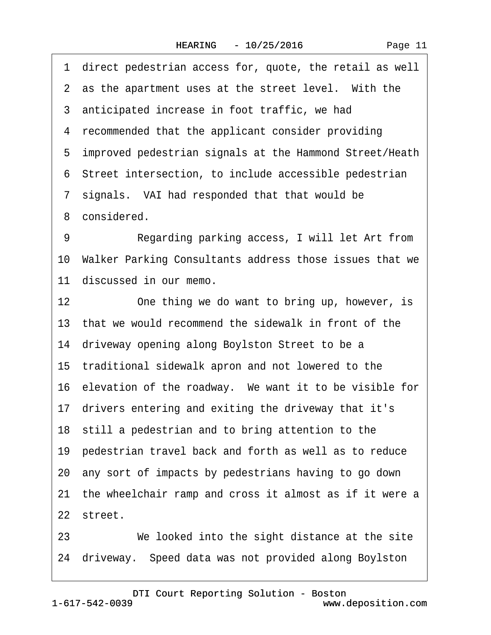|    | 1 direct pedestrian access for, quote, the retail as well  |
|----|------------------------------------------------------------|
|    | 2 as the apartment uses at the street level. With the      |
|    | 3 anticipated increase in foot traffic, we had             |
|    | 4 recommended that the applicant consider providing        |
|    | 5 improved pedestrian signals at the Hammond Street/Heath  |
|    | 6 Street intersection, to include accessible pedestrian    |
|    | 7 signals. VAI had responded that that would be            |
|    | 8 considered.                                              |
| 9  | Regarding parking access, I will let Art from              |
|    | 10 Walker Parking Consultants address those issues that we |
|    | 11 discussed in our memo.                                  |
| 12 | One thing we do want to bring up, however, is              |
|    | 13 that we would recommend the sidewalk in front of the    |
|    | 14 driveway opening along Boylston Street to be a          |
|    | 15 traditional sidewalk apron and not lowered to the       |
|    | 16 elevation of the roadway. We want it to be visible for  |
|    | 17 drivers entering and exiting the driveway that it's     |
|    | 18 still a pedestrian and to bring attention to the        |
|    | 19 pedestrian travel back and forth as well as to reduce   |
|    | 20 any sort of impacts by pedestrians having to go down    |
|    | 21 the wheelchair ramp and cross it almost as if it were a |
|    | 22 street.                                                 |
| 23 | We looked into the sight distance at the site              |

24 driveway. Speed data was not provided along Boylston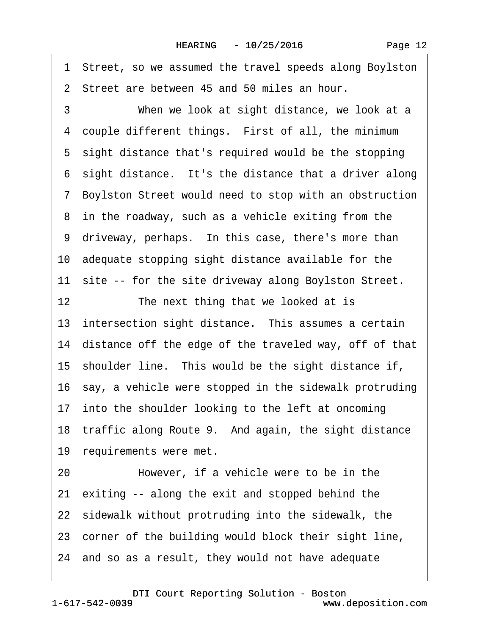·1· Street, so we assumed the travel speeds along Boylston 2 Street are between 45 and 50 miles an hour. 3 When we look at sight distance, we look at a 4 couple different things. First of all, the minimum 5 sight distance that's required would be the stopping 6 sight distance. It's the distance that a driver along ·7· Boylston Street would need to stop with an obstruction 8 in the roadway, such as a vehicle exiting from the 9 driveway, perhaps. In this case, there's more than 10· adequate stopping sight distance available for the 11 site -- for the site driveway along Boylston Street. 12 The next thing that we looked at is 13 intersection sight distance. This assumes a certain 14 distance off the edge of the traveled way, off of that 15 shoulder line. This would be the sight distance if, 16 say, a vehicle were stopped in the sidewalk protruding 17 into the shoulder looking to the left at oncoming 18 traffic along Route 9. And again, the sight distance 19 requirements were met. 20 • However, if a vehicle were to be in the 21 exiting -- along the exit and stopped behind the 22 sidewalk without protruding into the sidewalk, the 23 corner of the building would block their sight line, 24· and so as a result, they would not have adequate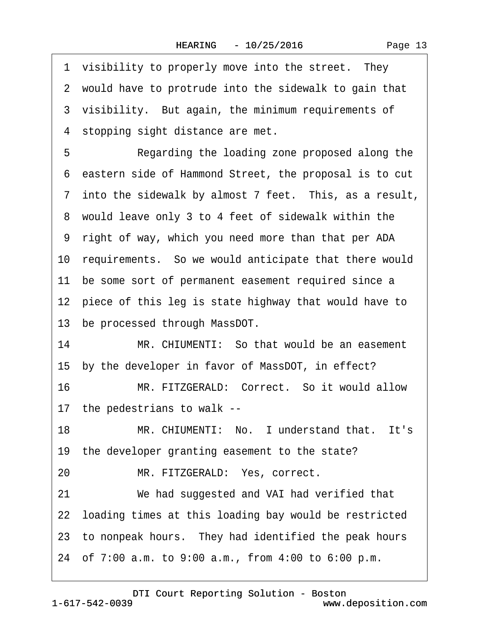| Page 13 |
|---------|
|---------|

|    | 1 visibility to properly move into the street. They      |
|----|----------------------------------------------------------|
|    | 2 would have to protrude into the sidewalk to gain that  |
|    | 3 visibility. But again, the minimum requirements of     |
|    | 4 stopping sight distance are met.                       |
| 5  | Regarding the loading zone proposed along the            |
|    | 6 eastern side of Hammond Street, the proposal is to cut |
|    | 7 into the sidewalk by almost 7 feet. This, as a result, |
|    | 8 would leave only 3 to 4 feet of sidewalk within the    |
|    | 9 right of way, which you need more than that per ADA    |
|    | 10 requirements. So we would anticipate that there would |
| 11 | be some sort of permanent easement required since a      |
|    | 12 piece of this leg is state highway that would have to |
|    | 13 be processed through MassDOT.                         |
| 14 | MR. CHIUMENTI: So that would be an easement              |
|    | 15 by the developer in favor of MassDOT, in effect?      |
| 16 | MR. FITZGERALD: Correct. So it would allow               |
|    | 17 the pedestrians to walk --                            |
| 18 | MR. CHIUMENTI: No. I understand that. It's               |
|    | 19 the developer granting easement to the state?         |
| 20 | MR. FITZGERALD: Yes, correct.                            |
| 21 | We had suggested and VAI had verified that               |
|    | 22 loading times at this loading bay would be restricted |
|    | 23 to nonpeak hours. They had identified the peak hours  |
|    | 24 of 7:00 a.m. to 9:00 a.m., from 4:00 to 6:00 p.m.     |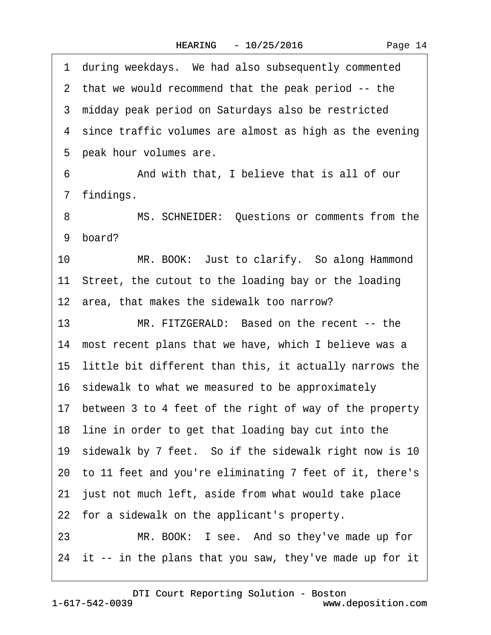1 during weekdays. We had also subsequently commented 2 that we would recommend that the peak period -- the 3 midday peak period on Saturdays also be restricted 4 since traffic volumes are almost as high as the evening 5 peak hour volumes are. ·6· · · · · ·And with that, I believe that is all of our 7 findings. 8 MS. SCHNEIDER: Questions or comments from the 9 board? 10 MR. BOOK: Just to clarify. So along Hammond 11 Street, the cutout to the loading bay or the loading 12· area, that makes the sidewalk too narrow? 13 MR. FITZGERALD: Based on the recent -- the 14 most recent plans that we have, which I believe was a 15· little bit different than this, it actually narrows the 16· sidewalk to what we measured to be approximately 17· between 3 to 4 feet of the right of way of the property 18 line in order to get that loading bay cut into the 19 sidewalk by 7 feet. So if the sidewalk right now is 10 20· to 11 feet and you're eliminating 7 feet of it, there's 21 just not much left, aside from what would take place 22 for a sidewalk on the applicant's property. 23 MR. BOOK: I see. And so they've made up for 24 it -- in the plans that you saw, they've made up for it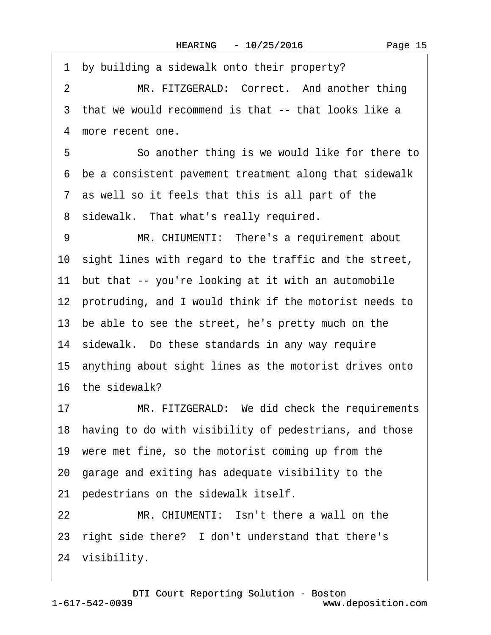| 1              | by building a sidewalk onto their property?               |
|----------------|-----------------------------------------------------------|
| $\overline{2}$ | MR. FITZGERALD: Correct. And another thing                |
|                | 3 that we would recommend is that -- that looks like a    |
|                | 4 more recent one.                                        |
| 5              | So another thing is we would like for there to            |
|                | 6 be a consistent pavement treatment along that sidewalk  |
|                | 7 as well so it feels that this is all part of the        |
|                | 8 sidewalk. That what's really required.                  |
| 9              | MR. CHIUMENTI: There's a requirement about                |
|                | 10 sight lines with regard to the traffic and the street, |
|                | 11 but that -- you're looking at it with an automobile    |
|                | 12 protruding, and I would think if the motorist needs to |
|                | 13 be able to see the street, he's pretty much on the     |
|                | 14 sidewalk. Do these standards in any way require        |
|                | 15 anything about sight lines as the motorist drives onto |
|                | 16 the sidewalk?                                          |
| 17             | MR. FITZGERALD: We did check the requirements             |
|                | 18 having to do with visibility of pedestrians, and those |
|                | 19 were met fine, so the motorist coming up from the      |
|                | 20 garage and exiting has adequate visibility to the      |
|                | 21 pedestrians on the sidewalk itself.                    |
| 22             | MR. CHIUMENTI: Isn't there a wall on the                  |
|                | 23 right side there? I don't understand that there's      |
|                | 24 visibility.                                            |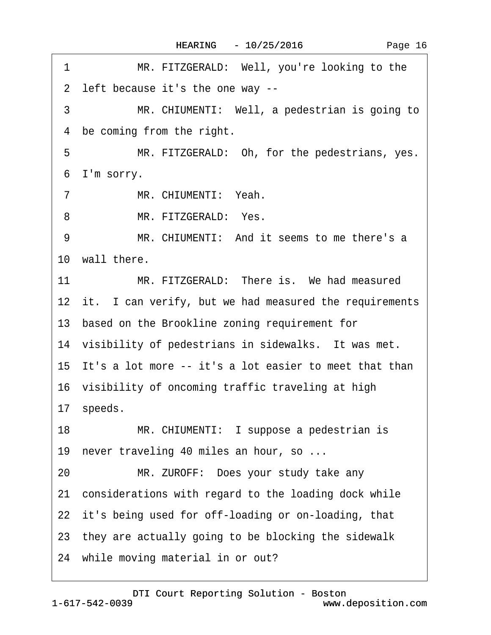| 1              | MR. FITZGERALD: Well, you're looking to the               |
|----------------|-----------------------------------------------------------|
|                | 2 left because it's the one way --                        |
| 3              | MR. CHIUMENTI: Well, a pedestrian is going to             |
| 4              | be coming from the right.                                 |
| 5              | MR. FITZGERALD: Oh, for the pedestrians, yes.             |
|                | 6 I'm sorry.                                              |
| $\overline{7}$ | MR. CHIUMENTI: Yeah.                                      |
| 8              | MR. FITZGERALD: Yes.                                      |
| 9              | MR. CHIUMENTI: And it seems to me there's a               |
|                | 10 wall there.                                            |
| 11             | MR. FITZGERALD: There is. We had measured                 |
|                | 12 it. I can verify, but we had measured the requirements |
|                | 13 based on the Brookline zoning requirement for          |
|                | 14 visibility of pedestrians in sidewalks. It was met.    |
|                | 15 It's a lot more -- it's a lot easier to meet that than |
|                | 16 visibility of oncoming traffic traveling at high       |
|                | 17 speeds.                                                |
| 18             | MR. CHIUMENTI: I suppose a pedestrian is                  |
|                | 19 never traveling 40 miles an hour, so                   |
| 20             | MR. ZUROFF: Does your study take any                      |
|                | 21 considerations with regard to the loading dock while   |
|                | 22 it's being used for off-loading or on-loading, that    |
|                | 23 they are actually going to be blocking the sidewalk    |
|                | 24 while moving material in or out?                       |
|                |                                                           |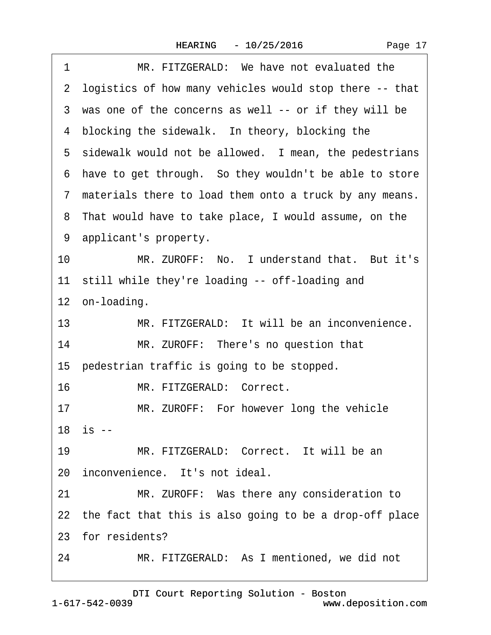|  | Page 17 |  |
|--|---------|--|
|--|---------|--|

| 1  | MR. FITZGERALD: We have not evaluated the                  |
|----|------------------------------------------------------------|
|    | 2 logistics of how many vehicles would stop there -- that  |
|    | 3 was one of the concerns as well -- or if they will be    |
|    | 4 blocking the sidewalk. In theory, blocking the           |
|    | 5 sidewalk would not be allowed. I mean, the pedestrians   |
|    | 6 have to get through. So they wouldn't be able to store   |
|    | 7 materials there to load them onto a truck by any means.  |
|    | 8 That would have to take place, I would assume, on the    |
|    | 9 applicant's property.                                    |
| 10 | MR. ZUROFF: No. I understand that. But it's                |
|    | 11 still while they're loading -- off-loading and          |
|    | 12 on-loading.                                             |
| 13 | MR. FITZGERALD: It will be an inconvenience.               |
| 14 | MR. ZUROFF: There's no question that                       |
|    | 15 pedestrian traffic is going to be stopped.              |
| 16 | MR. FITZGERALD: Correct.                                   |
| 17 | MR. ZUROFF: For however long the vehicle                   |
|    | $18$ is $-$                                                |
| 19 | MR. FITZGERALD: Correct. It will be an                     |
|    | 20 inconvenience. It's not ideal.                          |
| 21 | MR. ZUROFF: Was there any consideration to                 |
|    | 22 the fact that this is also going to be a drop-off place |
|    | 23 for residents?                                          |
| 24 | MR. FITZGERALD: As I mentioned, we did not                 |
|    |                                                            |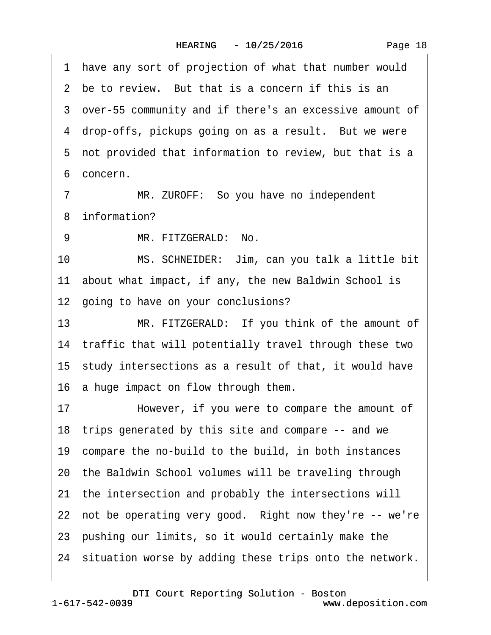1 have any sort of projection of what that number would 2 be to review. But that is a concern if this is an ·3· over-55 community and if there's an excessive amount of 4 drop-offs, pickups going on as a result. But we were 5 not provided that information to review, but that is a 6 concern 7 MR. ZUROFF: So you have no independent 8 information? 9 MR. FITZGERALD: No. 10 MS. SCHNEIDER: Jim, can you talk a little bit 11 about what impact, if any, the new Baldwin School is 12 going to have on your conclusions? 13 MR. FITZGERALD: If you think of the amount of 14 traffic that will potentially travel through these two 15· study intersections as a result of that, it would have 16· a huge impact on flow through them. 17 • However, if you were to compare the amount of 18· trips generated by this site and compare -- and we 19· compare the no-build to the build, in both instances 20· the Baldwin School volumes will be traveling through 21 the intersection and probably the intersections will 22 not be operating very good. Right now they're -- we're 23· pushing our limits, so it would certainly make the 24 situation worse by adding these trips onto the network.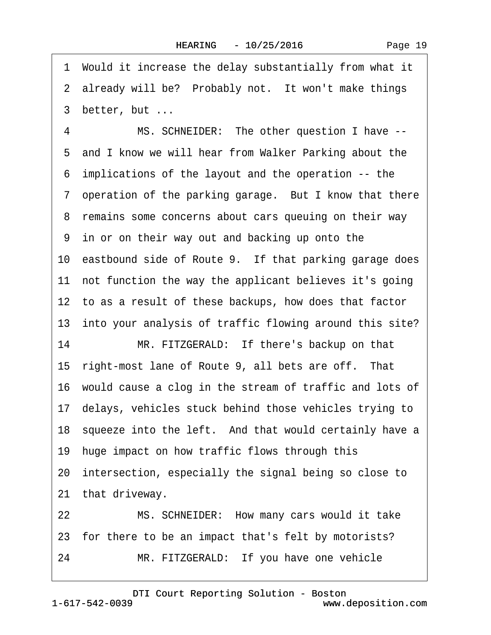·1· Would it increase the delay substantially from what it 2 already will be? Probably not. It won't make things 3 better, but ...

4 MS. SCHNEIDER: The other question I have --5 and I know we will hear from Walker Parking about the ·6· implications of the layout and the operation -- the 7 operation of the parking garage. But I know that there 8 remains some concerns about cars queuing on their way ·9· in or on their way out and backing up onto the 10 eastbound side of Route 9. If that parking garage does 11 not function the way the applicant believes it's going 12 to as a result of these backups, how does that factor 13 into your analysis of traffic flowing around this site? 14 MR. FITZGERALD: If there's backup on that 15 right-most lane of Route 9, all bets are off. That 16· would cause a clog in the stream of traffic and lots of 17· delays, vehicles stuck behind those vehicles trying to 18 squeeze into the left. And that would certainly have a 19 huge impact on how traffic flows through this 20 intersection, especially the signal being so close to 21 that driveway. 22 MS. SCHNEIDER: How many cars would it take

23 for there to be an impact that's felt by motorists?

24 MR. FITZGERALD: If you have one vehicle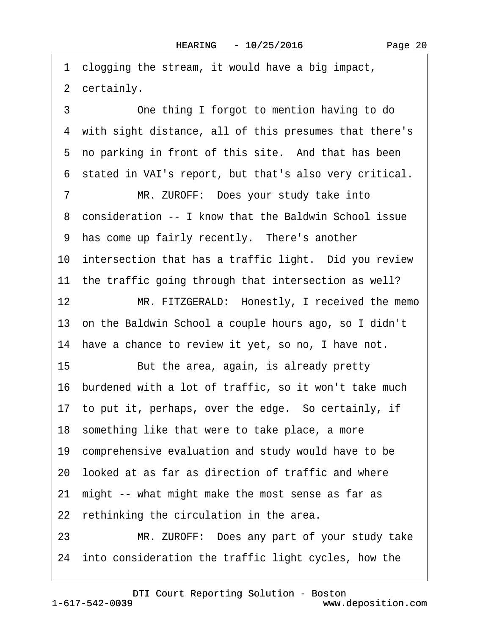·1· clogging the stream, it would have a big impact, 2 certainly.

3 **3** One thing I forgot to mention having to do ·4· with sight distance, all of this presumes that there's 5 no parking in front of this site. And that has been ·6· stated in VAI's report, but that's also very critical.

7 MR. ZUROFF: Does your study take into ·8· consideration -- I know that the Baldwin School issue 9 has come up fairly recently. There's another 10 intersection that has a traffic light. Did you review 11 the traffic going through that intersection as well?

12 MR. FITZGERALD: Honestly, I received the memo 13· on the Baldwin School a couple hours ago, so I didn't 14 have a chance to review it yet, so no, I have not.

15 But the area, again, is already pretty

16· burdened with a lot of traffic, so it won't take much

17 to put it, perhaps, over the edge. So certainly, if

18 something like that were to take place, a more

19 comprehensive evaluation and study would have to be

20· looked at as far as direction of traffic and where

21· might -- what might make the most sense as far as

22 rethinking the circulation in the area.

23 MR. ZUROFF: Does any part of your study take 24 into consideration the traffic light cycles, how the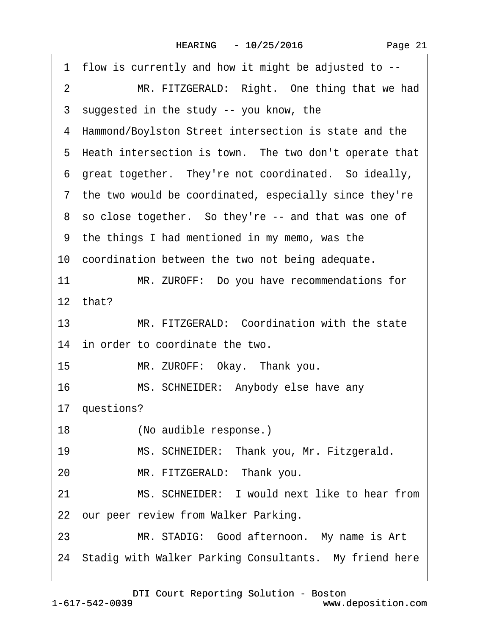| 1 flow is currently and how it might be adjusted to --         |
|----------------------------------------------------------------|
| MR. FITZGERALD: Right. One thing that we had<br>$\overline{2}$ |
| 3 suggested in the study -- you know, the                      |
| 4 Hammond/Boylston Street intersection is state and the        |
| 5 Heath intersection is town. The two don't operate that       |
| 6 great together. They're not coordinated. So ideally,         |
| 7 the two would be coordinated, especially since they're       |
| 8 so close together. So they're -- and that was one of         |
| 9 the things I had mentioned in my memo, was the               |
| 10 coordination between the two not being adequate.            |
| 11<br>MR. ZUROFF: Do you have recommendations for              |
| 12 that?                                                       |
| MR. FITZGERALD: Coordination with the state<br>13 <sup>1</sup> |
| 14 in order to coordinate the two.                             |
| 15 <sub>1</sub><br>MR. ZUROFF: Okay. Thank you.                |
| 16<br>MS. SCHNEIDER: Anybody else have any                     |
| 17 questions?                                                  |
| 18<br>(No audible response.)                                   |
| MS. SCHNEIDER: Thank you, Mr. Fitzgerald.<br>19                |
| MR. FITZGERALD: Thank you.<br>20                               |
| MS. SCHNEIDER: I would next like to hear from<br>21            |
| 22 our peer review from Walker Parking.                        |
| MR. STADIG: Good afternoon. My name is Art<br>23               |
| 24 Stadig with Walker Parking Consultants. My friend here      |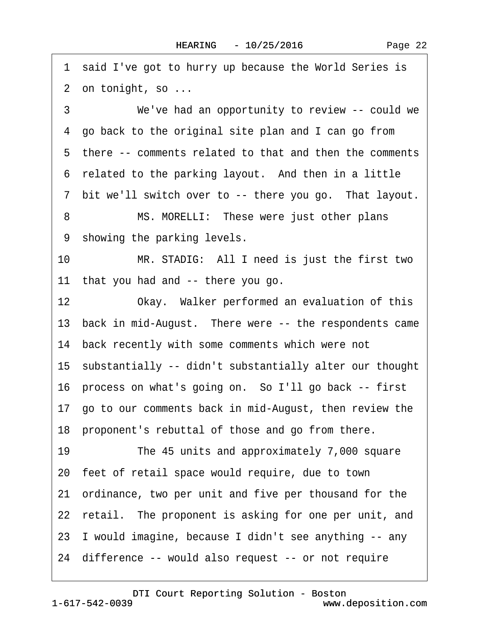1 said I've got to hurry up because the World Series is 2 on tonight, so ... 3 We've had an opportunity to review -- could we ·4· go back to the original site plan and I can go from 5 there -- comments related to that and then the comments 6 related to the parking layout. And then in a little 7 bit we'll switch over to -- there you go. That layout. 8 MS. MORELLI: These were just other plans 9 showing the parking levels. 10 MR. STADIG: All I need is just the first two 11 that you had and -- there you go. 12 Okay. Walker performed an evaluation of this 13 back in mid-August. There were -- the respondents came 14 back recently with some comments which were not 15· substantially -- didn't substantially alter our thought 16· process on what's going on.· So I'll go back -- first 17· go to our comments back in mid-August, then review the 18 proponent's rebuttal of those and go from there. 19 The 45 units and approximately 7,000 square 20· feet of retail space would require, due to town 21· ordinance, two per unit and five per thousand for the 22 retail. The proponent is asking for one per unit, and 23· I would imagine, because I didn't see anything -- any 24· difference -- would also request -- or not require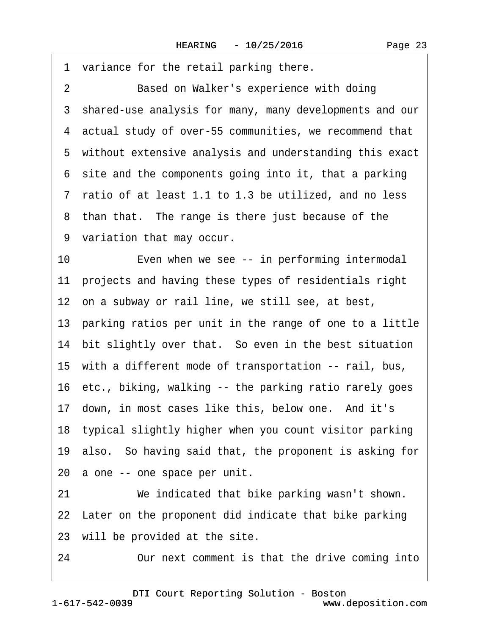Page 23

1 variance for the retail parking there. 2 Based on Walker's experience with doing ·3· shared-use analysis for many, many developments and our ·4· actual study of over-55 communities, we recommend that 5 without extensive analysis and understanding this exact ·6· site and the components going into it, that a parking ·7· ratio of at least 1.1 to 1.3 be utilized, and no less 8 than that. The range is there just because of the ·9· variation that may occur. 10 Even when we see -- in performing intermodal 11 projects and having these types of residentials right 12 on a subway or rail line, we still see, at best, 13 parking ratios per unit in the range of one to a little 14 bit slightly over that. So even in the best situation 15· with a different mode of transportation -- rail, bus, 16 etc., biking, walking -- the parking ratio rarely goes 17 down, in most cases like this, below one. And it's 18· typical slightly higher when you count visitor parking 19· also.· So having said that, the proponent is asking for 20 a one -- one space per unit. 21 We indicated that bike parking wasn't shown. 22 Later on the proponent did indicate that bike parking 23 will be provided at the site.

24 Our next comment is that the drive coming into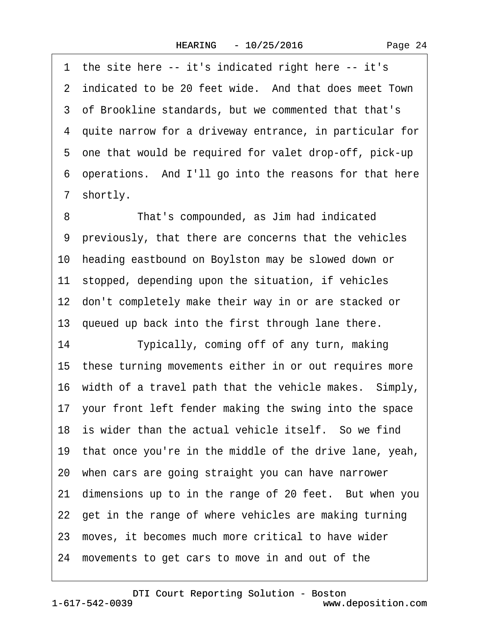1 the site here -- it's indicated right here -- it's 2 indicated to be 20 feet wide. And that does meet Town ·3· of Brookline standards, but we commented that that's ·4· quite narrow for a driveway entrance, in particular for ·5· one that would be required for valet drop-off, pick-up ·6· operations.· And I'll go into the reasons for that here 7 shortly. 8 **• • That's compounded, as Jim had indicated** 

·9· previously, that there are concerns that the vehicles 10 heading eastbound on Boylston may be slowed down or 11 stopped, depending upon the situation, if vehicles 12 don't completely make their way in or are stacked or 13 queued up back into the first through lane there. 14 Typically, coming off of any turn, making 15· these turning movements either in or out requires more 16 width of a travel path that the vehicle makes. Simply, 17· your front left fender making the swing into the space 18 is wider than the actual vehicle itself. So we find 19· that once you're in the middle of the drive lane, yeah, 20· when cars are going straight you can have narrower 21 dimensions up to in the range of 20 feet. But when you 22 get in the range of where vehicles are making turning 23· moves, it becomes much more critical to have wider 24· movements to get cars to move in and out of the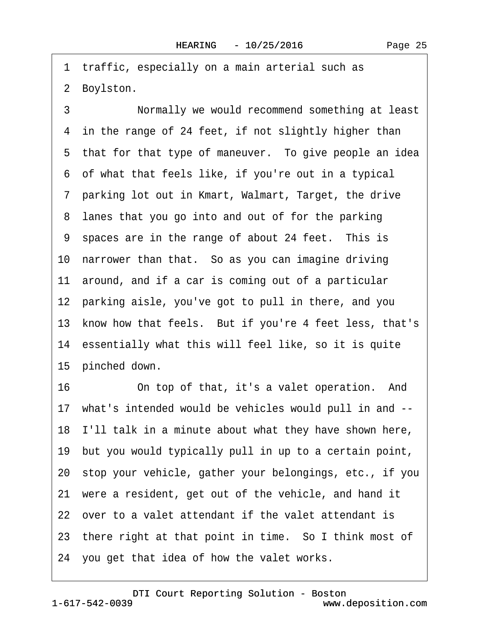1 traffic, especially on a main arterial such as 2 Boylston.

3 **· • Normally we would recommend something at least** 4 in the range of 24 feet, if not slightly higher than 5 that for that type of maneuver. To give people an idea ·6· of what that feels like, if you're out in a typical ·7· parking lot out in Kmart, Walmart, Target, the drive 8 lanes that you go into and out of for the parking 9 spaces are in the range of about 24 feet. This is 10 narrower than that. So as you can imagine driving 11 around, and if a car is coming out of a particular 12 parking aisle, you've got to pull in there, and you 13 know how that feels. But if you're 4 feet less, that's 14 essentially what this will feel like, so it is quite 15 pinched down. 16 On top of that, it's a valet operation. And 17· what's intended would be vehicles would pull in and -- 18· I'll talk in a minute about what they have shown here, 19· but you would typically pull in up to a certain point,

20· stop your vehicle, gather your belongings, etc., if you

21 were a resident, get out of the vehicle, and hand it

22· over to a valet attendant if the valet attendant is

23 there right at that point in time. So I think most of

24· you get that idea of how the valet works.

www.deposition.com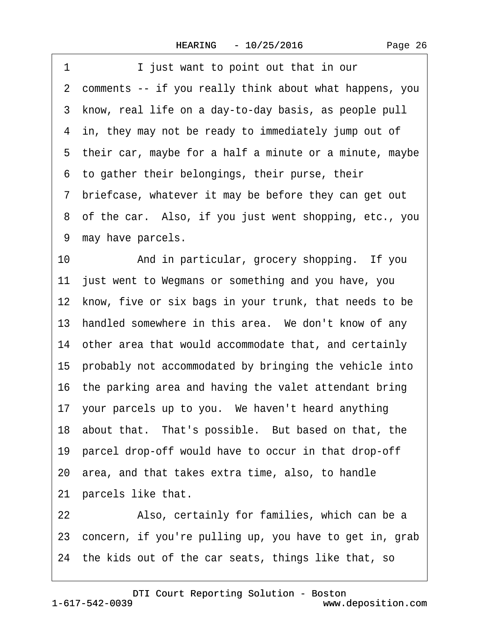1 I just want to point out that in our ·2· comments -- if you really think about what happens, you ·3· know, real life on a day-to-day basis, as people pull 4 in, they may not be ready to immediately jump out of 5 their car, maybe for a half a minute or a minute, maybe ·6· to gather their belongings, their purse, their ·7· briefcase, whatever it may be before they can get out 8 of the car. Also, if you just went shopping, etc., you 9 may have parcels. 10 • And in particular, grocery shopping. If you 11 just went to Wegmans or something and you have, you 12 know, five or six bags in your trunk, that needs to be 13 handled somewhere in this area. We don't know of any 14 other area that would accommodate that, and certainly 15 probably not accommodated by bringing the vehicle into 16 the parking area and having the valet attendant bring 17· your parcels up to you.· We haven't heard anything 18 about that. That's possible. But based on that, the 19 parcel drop-off would have to occur in that drop-off 20· area, and that takes extra time, also, to handle 21 parcels like that. 22 • Also, certainly for families, which can be a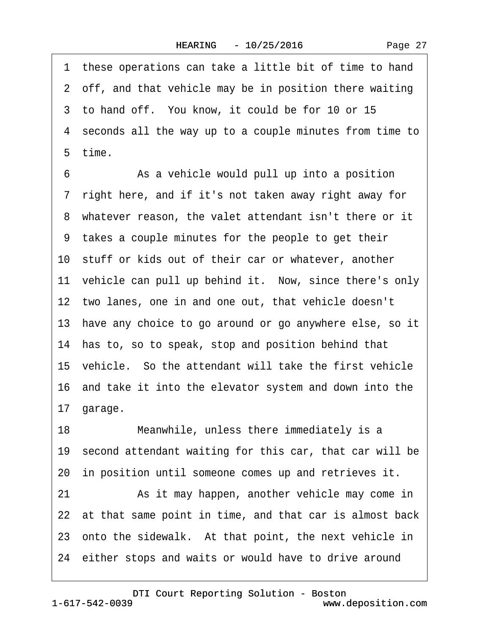1 these operations can take a little bit of time to hand 2 off, and that vehicle may be in position there waiting 3 to hand off. You know, it could be for 10 or 15 ·4· seconds all the way up to a couple minutes from time to 5 time. 6 **8** As a vehicle would pull up into a position ·7· right here, and if it's not taken away right away for ·8· whatever reason, the valet attendant isn't there or it ·9· takes a couple minutes for the people to get their 10 stuff or kids out of their car or whatever, another 11 vehicle can pull up behind it. Now, since there's only 12 two lanes, one in and one out, that vehicle doesn't 13· have any choice to go around or go anywhere else, so it 14 has to, so to speak, stop and position behind that 15 vehicle. So the attendant will take the first vehicle 16· and take it into the elevator system and down into the 17· garage. 18 Meanwhile, unless there immediately is a 19 second attendant waiting for this car, that car will be 20 in position until someone comes up and retrieves it. 21 • As it may happen, another vehicle may come in 22 at that same point in time, and that car is almost back 23 onto the sidewalk. At that point, the next vehicle in

24 either stops and waits or would have to drive around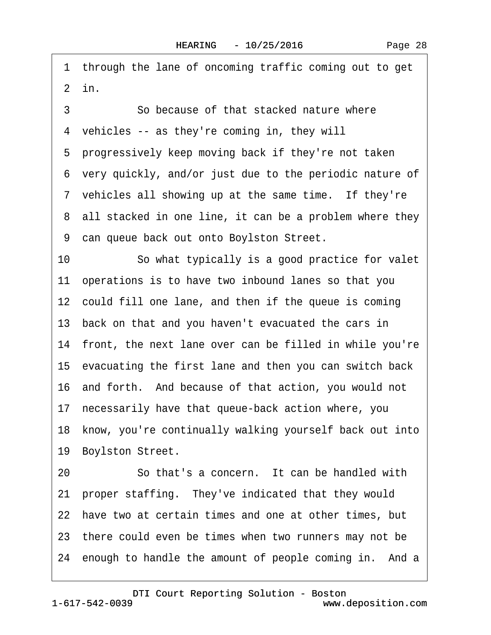1 through the lane of oncoming traffic coming out to get  $2$  in.

3 3 3 So because of that stacked nature where 4 vehicles -- as they're coming in, they will 5 progressively keep moving back if they're not taken ·6· very quickly, and/or just due to the periodic nature of 7 vehicles all showing up at the same time. If they're 8 all stacked in one line, it can be a problem where they 9 can queue back out onto Boylston Street. 10 So what typically is a good practice for valet 11 operations is to have two inbound lanes so that you 12 could fill one lane, and then if the queue is coming 13· back on that and you haven't evacuated the cars in 14 front, the next lane over can be filled in while you're 15· evacuating the first lane and then you can switch back 16 and forth. And because of that action, you would not 17 necessarily have that queue-back action where, you 18 know, you're continually walking yourself back out into 19 Boylston Street. 20 · · · So that's a concern. It can be handled with

21· proper staffing.· They've indicated that they would 22 have two at certain times and one at other times, but 23 there could even be times when two runners may not be 24 enough to handle the amount of people coming in. And a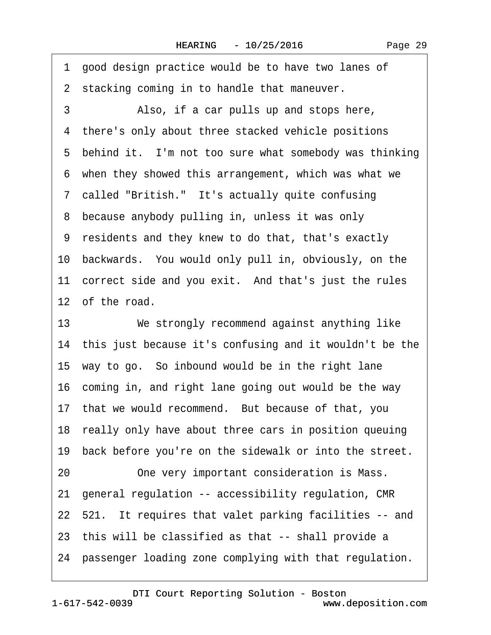·1· good design practice would be to have two lanes of 2 stacking coming in to handle that maneuver. 3 Also, if a car pulls up and stops here, 4 there's only about three stacked vehicle positions 5 behind it. I'm not too sure what somebody was thinking 6 when they showed this arrangement, which was what we 7 called "British." It's actually quite confusing 8 because anybody pulling in, unless it was only ·9· residents and they knew to do that, that's exactly 10· backwards.· You would only pull in, obviously, on the 11 correct side and you exit. And that's just the rules 12 of the road. 13 We strongly recommend against anything like 14· this just because it's confusing and it wouldn't be the 15· way to go.· So inbound would be in the right lane 16 coming in, and right lane going out would be the way 17 that we would recommend. But because of that, you 18 really only have about three cars in position queuing 19 back before you're on the sidewalk or into the street. 20 One very important consideration is Mass. 21· general regulation -- accessibility regulation, CMR

22 521. It requires that valet parking facilities -- and

23· this will be classified as that -- shall provide a

24 passenger loading zone complying with that regulation.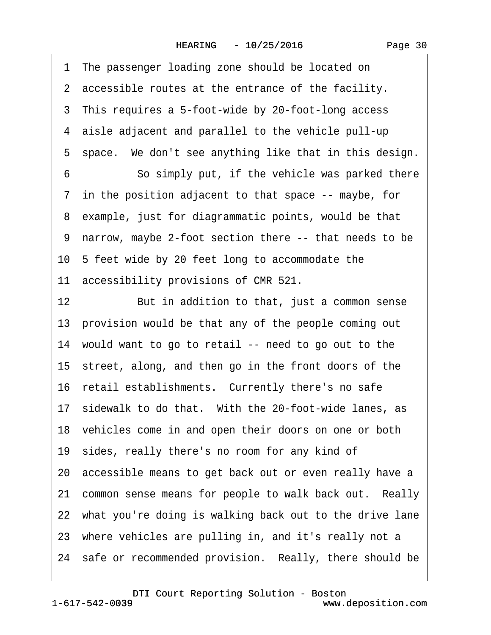1 The passenger loading zone should be located on 2 accessible routes at the entrance of the facility. 3 This requires a 5-foot-wide by 20-foot-long access ·4· aisle adjacent and parallel to the vehicle pull-up 5 space. We don't see anything like that in this design. 6 **· · · · So simply put, if the vehicle was parked there** 7 in the position adjacent to that space -- maybe, for 8 example, just for diagrammatic points, would be that ·9· narrow, maybe 2-foot section there -- that needs to be 10 5 feet wide by 20 feet long to accommodate the 11 accessibility provisions of CMR 521. 12 But in addition to that, just a common sense 13 provision would be that any of the people coming out 14· would want to go to retail -- need to go out to the 15 street, along, and then go in the front doors of the 16 retail establishments. Currently there's no safe 17 sidewalk to do that. With the 20-foot-wide lanes, as 18 vehicles come in and open their doors on one or both 19 sides, really there's no room for any kind of 20· accessible means to get back out or even really have a 21 common sense means for people to walk back out. Really 22 what you're doing is walking back out to the drive lane 23 where vehicles are pulling in, and it's really not a 24 safe or recommended provision. Really, there should be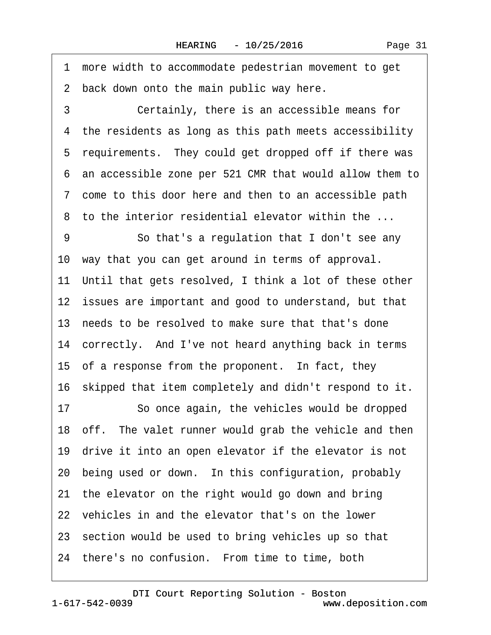·1· more width to accommodate pedestrian movement to get 2 back down onto the main public way here. 3 **Certainly, there is an accessible means for** 4 the residents as long as this path meets accessibility 5 requirements. They could get dropped off if there was ·6· an accessible zone per 521 CMR that would allow them to ·7· come to this door here and then to an accessible path 8 to the interior residential elevator within the ... 9 **· · · So that's a regulation that I don't see any** 10· way that you can get around in terms of approval. 11 Until that gets resolved, I think a lot of these other 12 issues are important and good to understand, but that 13 needs to be resolved to make sure that that's done 14 correctly. And I've not heard anything back in terms 15 of a response from the proponent. In fact, they 16· skipped that item completely and didn't respond to it. 17 So once again, the vehicles would be dropped 18 off. The valet runner would grab the vehicle and then 19 drive it into an open elevator if the elevator is not 20 being used or down. In this configuration, probably 21 the elevator on the right would go down and bring 22 vehicles in and the elevator that's on the lower 23· section would be used to bring vehicles up so that 24 there's no confusion. From time to time, both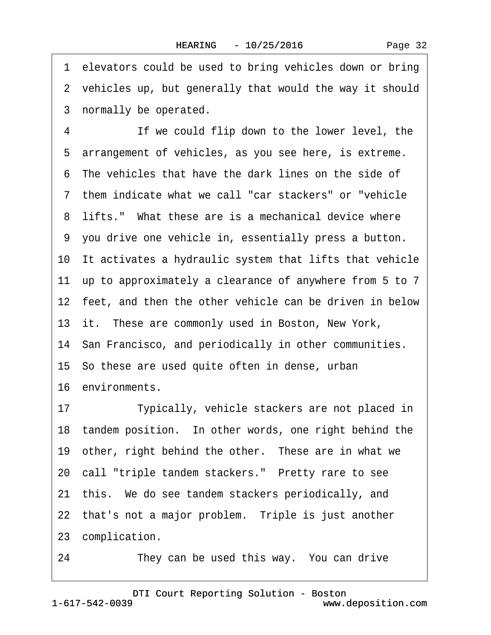1 elevators could be used to bring vehicles down or bring 2 vehicles up, but generally that would the way it should 3 normally be operated. 4 **If we could flip down to the lower level, the** 5 arrangement of vehicles, as you see here, is extreme. ·6· The vehicles that have the dark lines on the side of ·7· them indicate what we call "car stackers" or "vehicle 8 lifts." What these are is a mechanical device where ·9· you drive one vehicle in, essentially press a button. 10· It activates a hydraulic system that lifts that vehicle 11· up to approximately a clearance of anywhere from 5 to 7 12 feet, and then the other vehicle can be driven in below 13 it. These are commonly used in Boston, New York, 14 San Francisco, and periodically in other communities. 15· So these are used quite often in dense, urban 16· environments. 17 Typically, vehicle stackers are not placed in 18 tandem position. In other words, one right behind the 19 other, right behind the other. These are in what we 20 call "triple tandem stackers." Pretty rare to see 21· this.· We do see tandem stackers periodically, and 22 that's not a major problem. Triple is just another 23 complication.

24 They can be used this way. You can drive

1-617-542-0039 [DTI Court Reporting Solution - Boston](http://www.deposition.com) www.deposition.com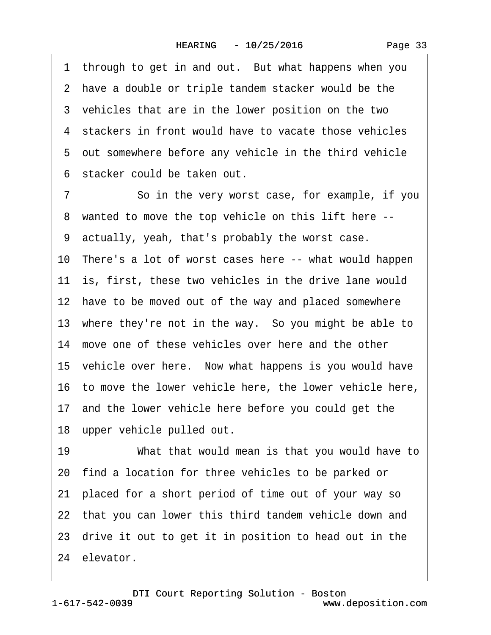| Page 33 |  |
|---------|--|
|---------|--|

1 through to get in and out. But what happens when you 2 have a double or triple tandem stacker would be the 3 vehicles that are in the lower position on the two 4 stackers in front would have to vacate those vehicles 5 out somewhere before any vehicle in the third vehicle ·6· stacker could be taken out. 7 So in the very worst case, for example, if you ·8· wanted to move the top vehicle on this lift here -- ·9· actually, yeah, that's probably the worst case. 10 There's a lot of worst cases here -- what would happen 11 is, first, these two vehicles in the drive lane would 12 have to be moved out of the way and placed somewhere 13 where they're not in the way. So you might be able to 14 move one of these vehicles over here and the other 15· vehicle over here.· Now what happens is you would have 16· to move the lower vehicle here, the lower vehicle here, 17 and the lower vehicle here before you could get the 18 upper vehicle pulled out. 19 • • • What that would mean is that you would have to 20· find a location for three vehicles to be parked or 21· placed for a short period of time out of your way so 22 that you can lower this third tandem vehicle down and 23· drive it out to get it in position to head out in the 24 elevator.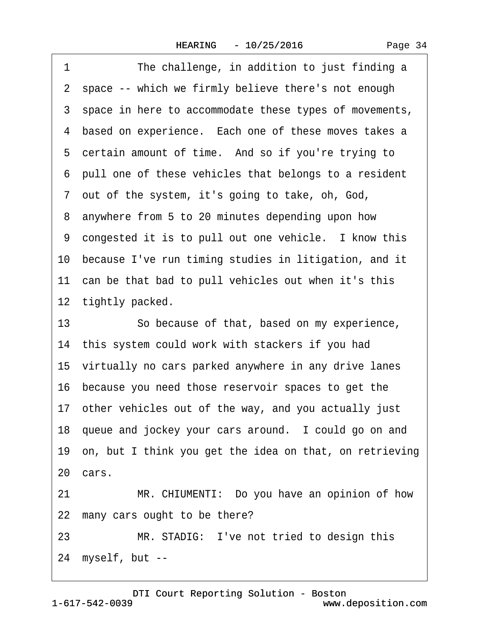1 The challenge, in addition to just finding a 2 space -- which we firmly believe there's not enough 3 space in here to accommodate these types of movements, 4 based on experience. Each one of these moves takes a 5 certain amount of time. And so if you're trying to ·6· pull one of these vehicles that belongs to a resident ·7· out of the system, it's going to take, oh, God, 8 anywhere from 5 to 20 minutes depending upon how 9 congested it is to pull out one vehicle. I know this 10 because I've run timing studies in litigation, and it 11 can be that bad to pull vehicles out when it's this 12 tightly packed. 13 So because of that, based on my experience, 14 this system could work with stackers if you had 15 virtually no cars parked anywhere in any drive lanes 16· because you need those reservoir spaces to get the 17· other vehicles out of the way, and you actually just 18 queue and jockey your cars around. I could go on and 19· on, but I think you get the idea on that, on retrieving 20 cars. 21 MR. CHIUMENTI: Do you have an opinion of how 22 many cars ought to be there? 23 MR. STADIG: I've not tried to design this

24 myself, but --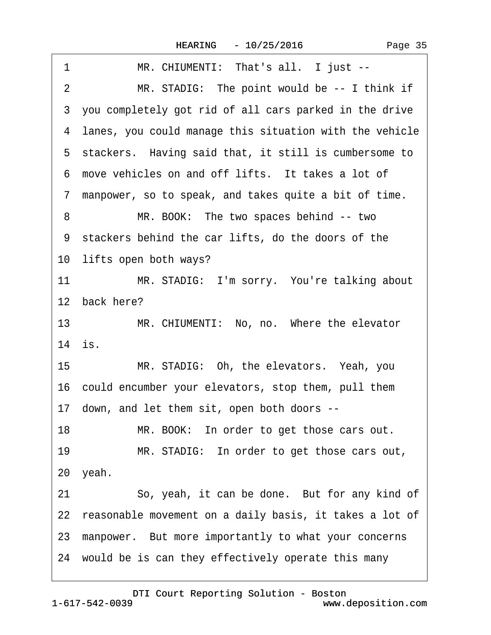| MR. CHIUMENTI: That's all. I just --<br>1                      |
|----------------------------------------------------------------|
| $\overline{2}$<br>MR. STADIG: The point would be -- I think if |
| 3 you completely got rid of all cars parked in the drive       |
| 4 lanes, you could manage this situation with the vehicle      |
| 5 stackers. Having said that, it still is cumbersome to        |
| 6 move vehicles on and off lifts. It takes a lot of            |
| 7 manpower, so to speak, and takes quite a bit of time.        |
| MR. BOOK: The two spaces behind -- two<br>8                    |
| 9 stackers behind the car lifts, do the doors of the           |
| 10 lifts open both ways?                                       |
| 11<br>MR. STADIG: I'm sorry. You're talking about              |
| 12 back here?                                                  |
| 13<br>MR. CHIUMENTI: No, no. Where the elevator                |
| 14 is.                                                         |
| 15<br>MR. STADIG: Oh, the elevators. Yeah, you                 |
| 16 could encumber your elevators, stop them, pull them         |
| 17 down, and let them sit, open both doors --                  |
| 18<br>MR. BOOK: In order to get those cars out.                |
| MR. STADIG: In order to get those cars out,<br>19              |
| 20 yeah.                                                       |
| So, yeah, it can be done. But for any kind of<br>21            |
| 22 reasonable movement on a daily basis, it takes a lot of     |
| 23 manpower. But more importantly to what your concerns        |
| 24 would be is can they effectively operate this many          |
|                                                                |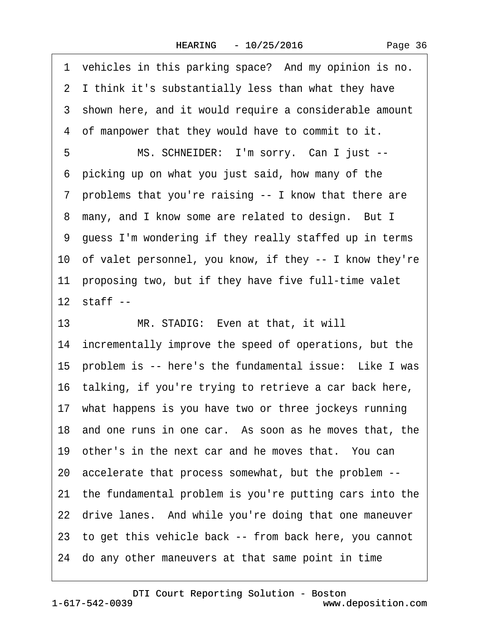1 vehicles in this parking space? And my opinion is no. 2 I think it's substantially less than what they have 3 shown here, and it would require a considerable amount 4 of manpower that they would have to commit to it. 5 MS. SCHNEIDER: I'm sorry. Can I just --·6· picking up on what you just said, how many of the ·7· problems that you're raising -- I know that there are 8 many, and I know some are related to design. But I ·9· guess I'm wondering if they really staffed up in terms 10· of valet personnel, you know, if they -- I know they're 11 proposing two, but if they have five full-time valet  $12$  staff  $-$ 13 MR. STADIG: Even at that, it will 14 incrementally improve the speed of operations, but the 15 problem is -- here's the fundamental issue: Like I was 16· talking, if you're trying to retrieve a car back here, 17 what happens is you have two or three jockeys running 18 and one runs in one car. As soon as he moves that, the 19 other's in the next car and he moves that. You can 20· accelerate that process somewhat, but the problem -- 21· the fundamental problem is you're putting cars into the 22 drive lanes. And while you're doing that one maneuver 23· to get this vehicle back -- from back here, you cannot 24· do any other maneuvers at that same point in time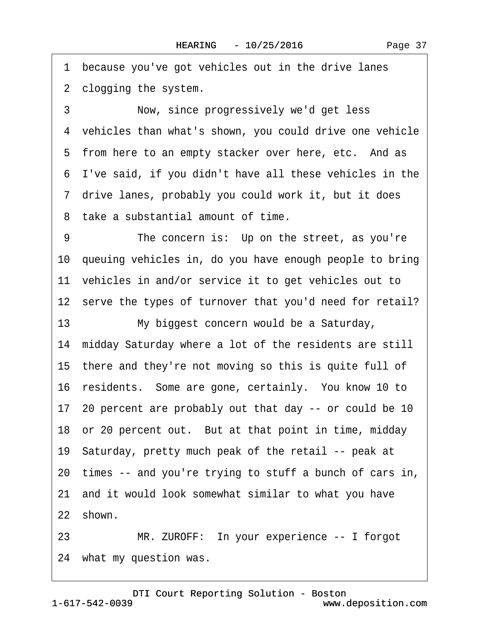1 because you've got vehicles out in the drive lanes

2 clogging the system.

3 Now, since progressively we'd get less ·4· vehicles than what's shown, you could drive one vehicle 5 from here to an empty stacker over here, etc. And as ·6· I've said, if you didn't have all these vehicles in the ·7· drive lanes, probably you could work it, but it does ·8· take a substantial amount of time.

9 The concern is: Up on the street, as you're 10· queuing vehicles in, do you have enough people to bring 11 vehicles in and/or service it to get vehicles out to 12 serve the types of turnover that you'd need for retail?

13 My biggest concern would be a Saturday, 14 midday Saturday where a lot of the residents are still 15 there and they're not moving so this is quite full of 16 residents. Some are gone, certainly. You know 10 to 17· 20 percent are probably out that day -- or could be 10 18 or 20 percent out. But at that point in time, midday 19· Saturday, pretty much peak of the retail -- peak at 20· times -- and you're trying to stuff a bunch of cars in, 21· and it would look somewhat similar to what you have 22 shown.

23 MR. ZUROFF: In your experience -- I forgot 24 what my question was.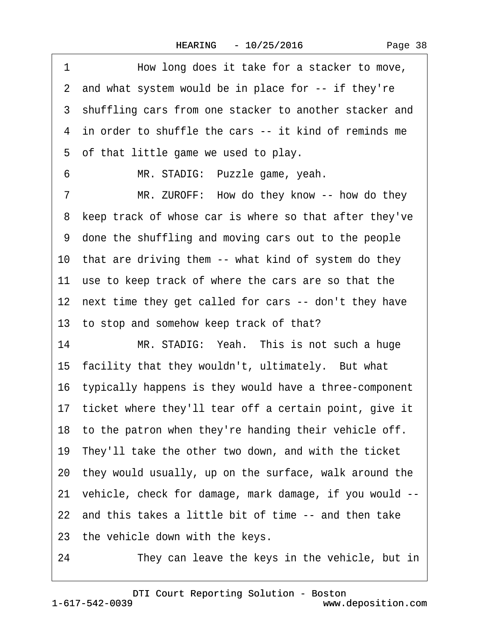1 How long does it take for a stacker to move, 2 and what system would be in place for -- if they're 3 shuffling cars from one stacker to another stacker and ·4· in order to shuffle the cars -- it kind of reminds me 5 of that little game we used to play. 6 MR. STADIG: Puzzle game, yeah. 7 MR. ZUROFF: How do they know -- how do they 8 keep track of whose car is where so that after they've ·9· done the shuffling and moving cars out to the people 10 that are driving them -- what kind of system do they 11 use to keep track of where the cars are so that the 12 next time they get called for cars -- don't they have 13 to stop and somehow keep track of that? 14 MR. STADIG: Yeah. This is not such a huge 15 facility that they wouldn't, ultimately. But what 16· typically happens is they would have a three-component 17 ticket where they'll tear off a certain point, give it 18 to the patron when they're handing their vehicle off. 19· They'll take the other two down, and with the ticket 20· they would usually, up on the surface, walk around the 21· vehicle, check for damage, mark damage, if you would -- 22 and this takes a little bit of time -- and then take 23 the vehicle down with the keys. 24 They can leave the keys in the vehicle, but in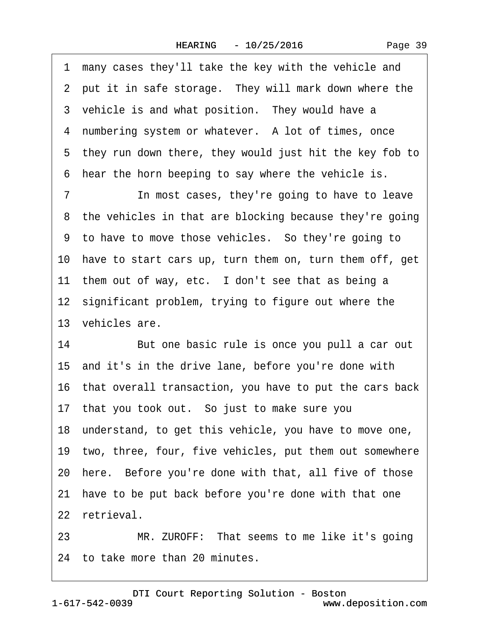1 many cases they'll take the key with the vehicle and 2 put it in safe storage. They will mark down where the 3 vehicle is and what position. They would have a 4 numbering system or whatever. A lot of times, once 5 they run down there, they would just hit the key fob to 6 hear the horn beeping to say where the vehicle is.

7 **In most cases, they're going to have to leave** 8 the vehicles in that are blocking because they're going ·9· to have to move those vehicles.· So they're going to 10· have to start cars up, turn them on, turn them off, get 11 them out of way, etc. I don't see that as being a 12 significant problem, trying to figure out where the 13 vehicles are.

14 But one basic rule is once you pull a car out 15· and it's in the drive lane, before you're done with 16· that overall transaction, you have to put the cars back 17 that you took out. So just to make sure you 18· understand, to get this vehicle, you have to move one, 19· two, three, four, five vehicles, put them out somewhere 20 here. Before you're done with that, all five of those 21 have to be put back before you're done with that one 22 retrieval.

23 MR. ZUROFF: That seems to me like it's going 24 to take more than 20 minutes.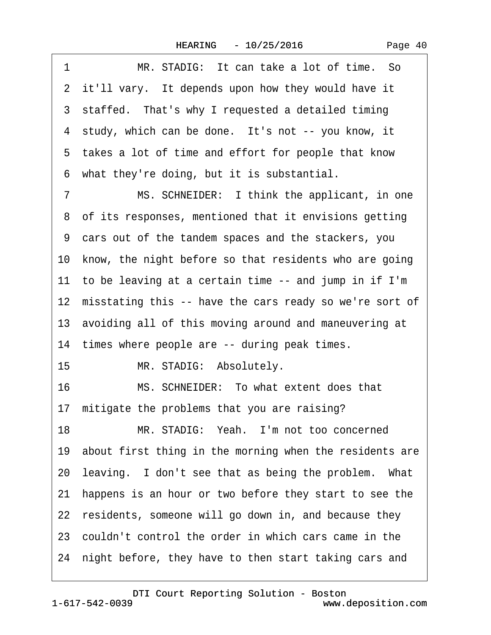| Page 40 |  |
|---------|--|
|---------|--|

1 MR. STADIG: It can take a lot of time. So 2 it'll vary. It depends upon how they would have it 3 staffed. That's why I requested a detailed timing 4 study, which can be done. It's not -- you know, it 5 takes a lot of time and effort for people that know ·6· what they're doing, but it is substantial.

7 MS. SCHNEIDER: I think the applicant, in one 8 of its responses, mentioned that it envisions getting ·9· cars out of the tandem spaces and the stackers, you 10 know, the night before so that residents who are going 11 to be leaving at a certain time -- and jump in if I'm 12 misstating this -- have the cars ready so we're sort of 13· avoiding all of this moving around and maneuvering at 14 times where people are -- during peak times.

15 MR. STADIG: Absolutely.

16 MS. SCHNEIDER: To what extent does that 17 mitigate the problems that you are raising?

18 MR. STADIG: Yeah. I'm not too concerned 19 about first thing in the morning when the residents are 20 leaving. I don't see that as being the problem. What 21· happens is an hour or two before they start to see the 22 residents, someone will go down in, and because they 23· couldn't control the order in which cars came in the 24 night before, they have to then start taking cars and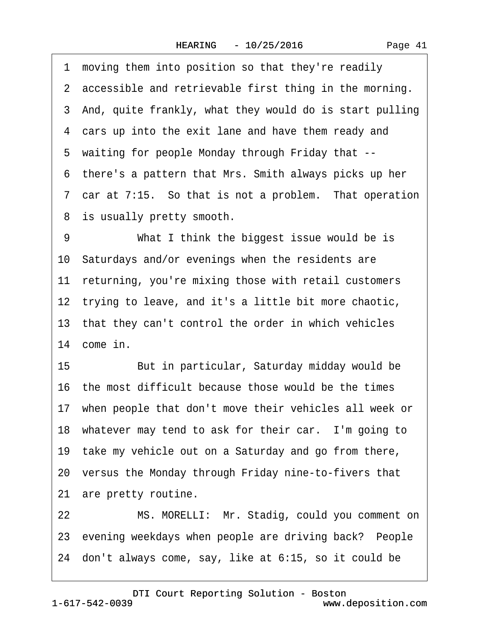1 moving them into position so that they're readily 2 accessible and retrievable first thing in the morning. 3 And, quite frankly, what they would do is start pulling 4 cars up into the exit lane and have them ready and ·5· waiting for people Monday through Friday that -- ·6· there's a pattern that Mrs. Smith always picks up her 7 car at 7:15. So that is not a problem. That operation 8 is usually pretty smooth. 9 What I think the biggest issue would be is

10 Saturdays and/or evenings when the residents are 11 returning, you're mixing those with retail customers 12 trying to leave, and it's a little bit more chaotic, 13· that they can't control the order in which vehicles 14 come in.

15 **But in particular, Saturday midday would be** 16· the most difficult because those would be the times 17· when people that don't move their vehicles all week or 18 whatever may tend to ask for their car. I'm going to 19 take my vehicle out on a Saturday and go from there, 20 versus the Monday through Friday nine-to-fivers that 21 are pretty routine.

22 MS. MORELLI: Mr. Stadig, could you comment on 23 evening weekdays when people are driving back? People 24· don't always come, say, like at 6:15, so it could be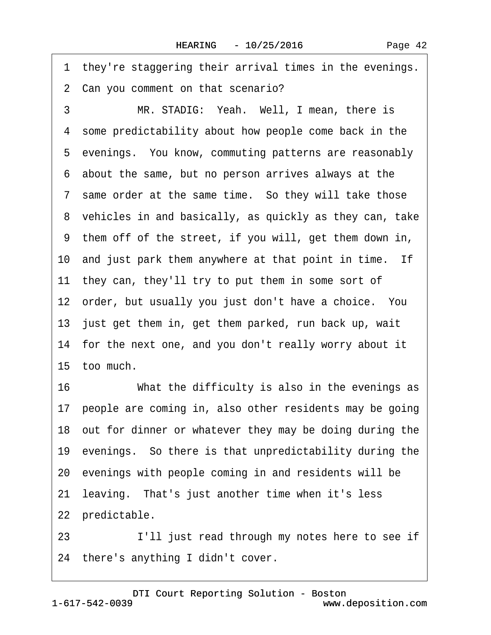1 they're staggering their arrival times in the evenings.

2 Can you comment on that scenario?

3 MR. STADIG: Yeah. Well, I mean, there is 4 some predictability about how people come back in the 5 evenings. You know, commuting patterns are reasonably ·6· about the same, but no person arrives always at the 7 same order at the same time. So they will take those 8 vehicles in and basically, as quickly as they can, take ·9· them off of the street, if you will, get them down in, 10 and just park them anywhere at that point in time. If 11 they can, they'll try to put them in some sort of 12 order, but usually you just don't have a choice. You 13 just get them in, get them parked, run back up, wait 14 for the next one, and you don't really worry about it 15· too much.

16 What the difficulty is also in the evenings as 17 people are coming in, also other residents may be going 18 out for dinner or whatever they may be doing during the 19· evenings.· So there is that unpredictability during the 20· evenings with people coming in and residents will be 21 leaving. That's just another time when it's less 22 predictable.

23 I'll just read through my notes here to see if 24 there's anything I didn't cover.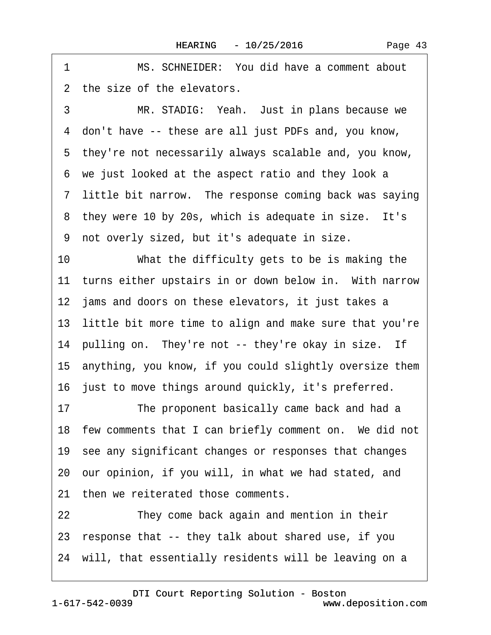1 MS. SCHNEIDER: You did have a comment about 2 the size of the elevators. 3 MR. STADIG: Yeah. Just in plans because we ·4· don't have -- these are all just PDFs and, you know, ·5· they're not necessarily always scalable and, you know, ·6· we just looked at the aspect ratio and they look a 7 little bit narrow. The response coming back was saying 8 they were 10 by 20s, which is adequate in size. It's ·9· not overly sized, but it's adequate in size. 10 What the difficulty gets to be is making the 11 turns either upstairs in or down below in. With narrow 12 jams and doors on these elevators, it just takes a 13 little bit more time to align and make sure that you're 14 pulling on. They're not -- they're okay in size. If 15· anything, you know, if you could slightly oversize them 16 just to move things around quickly, it's preferred. 17 The proponent basically came back and had a 18 few comments that I can briefly comment on. We did not 19· see any significant changes or responses that changes 20· our opinion, if you will, in what we had stated, and 21 then we reiterated those comments. 22 They come back again and mention in their 23· response that -- they talk about shared use, if you 24 will, that essentially residents will be leaving on a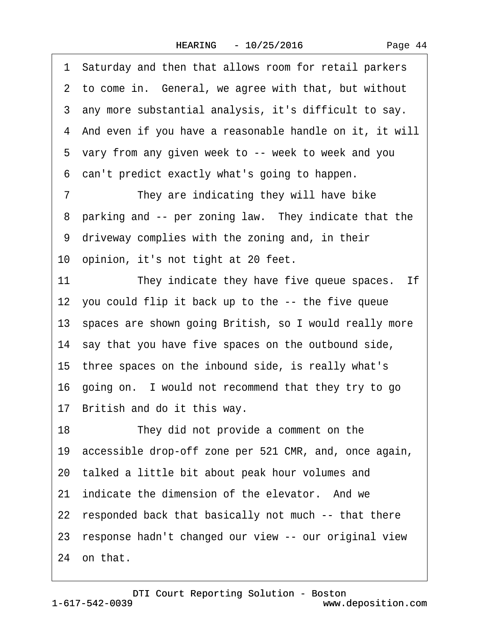·1· Saturday and then that allows room for retail parkers 2 to come in. General, we agree with that, but without ·3· any more substantial analysis, it's difficult to say. ·4· And even if you have a reasonable handle on it, it will 5 vary from any given week to -- week to week and you ·6· can't predict exactly what's going to happen. 7 They are indicating they will have bike 8 parking and -- per zoning law. They indicate that the 9 driveway complies with the zoning and, in their 10 opinion, it's not tight at 20 feet. 11 They indicate they have five queue spaces. If 12 you could flip it back up to the -- the five queue 13· spaces are shown going British, so I would really more 14 say that you have five spaces on the outbound side, 15· three spaces on the inbound side, is really what's 16· going on.· I would not recommend that they try to go 17 British and do it this way. 18 They did not provide a comment on the 19· accessible drop-off zone per 521 CMR, and, once again, 20· talked a little bit about peak hour volumes and 21 indicate the dimension of the elevator. And we 22 responded back that basically not much -- that there 23· response hadn't changed our view -- our original view 24 on that.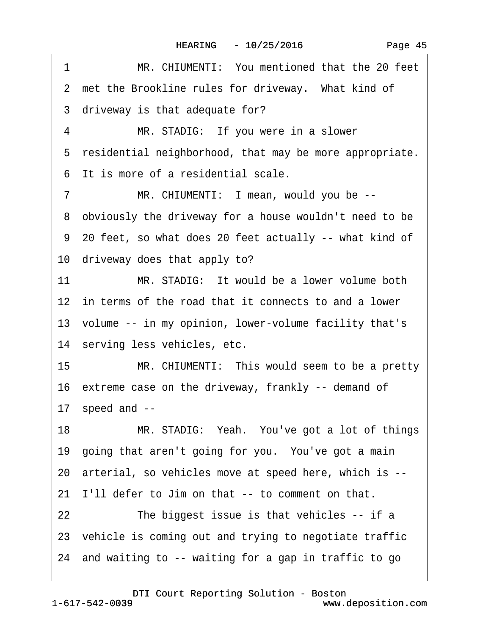| 1              | MR. CHIUMENTI: You mentioned that the 20 feet             |
|----------------|-----------------------------------------------------------|
|                | 2 met the Brookline rules for driveway. What kind of      |
|                | 3 driveway is that adequate for?                          |
| 4              | MR. STADIG: If you were in a slower                       |
|                | 5 residential neighborhood, that may be more appropriate. |
|                | 6 It is more of a residential scale.                      |
| $\overline{7}$ | MR. CHIUMENTI: I mean, would you be --                    |
|                | 8 obviously the driveway for a house wouldn't need to be  |
|                | 9 20 feet, so what does 20 feet actually -- what kind of  |
|                | 10 driveway does that apply to?                           |
| 11             | MR. STADIG: It would be a lower volume both               |
|                | 12 in terms of the road that it connects to and a lower   |
|                | 13 volume -- in my opinion, lower-volume facility that's  |
|                | 14 serving less vehicles, etc.                            |
| 15             | MR. CHIUMENTI: This would seem to be a pretty             |
|                | 16 extreme case on the driveway, frankly -- demand of     |
|                | 17 speed and --                                           |
| 18             | MR. STADIG: Yeah. You've got a lot of things              |
|                | 19 going that aren't going for you. You've got a main     |
|                | 20 arterial, so vehicles move at speed here, which is --  |
| 21             | I'll defer to Jim on that -- to comment on that.          |
| 22             | The biggest issue is that vehicles -- if a                |
|                | 23 vehicle is coming out and trying to negotiate traffic  |
|                | 24 and waiting to -- waiting for a gap in traffic to go   |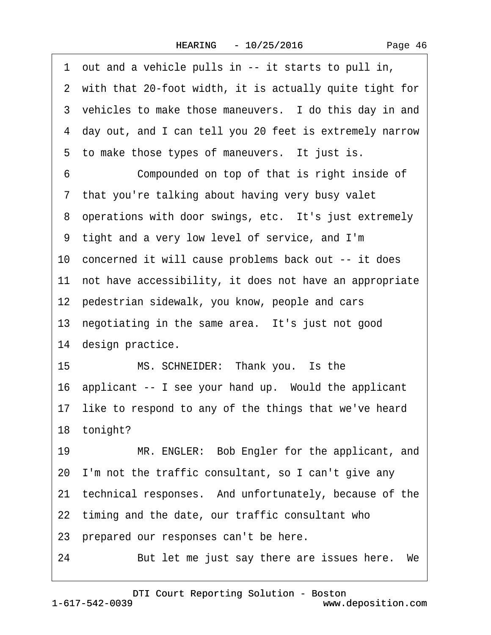|  | Page 46 |  |
|--|---------|--|
|--|---------|--|

·1· out and a vehicle pulls in -- it starts to pull in, 2 with that 20-foot width, it is actually quite tight for 3 vehicles to make those maneuvers. I do this day in and ·4· day out, and I can tell you 20 feet is extremely narrow 5 to make those types of maneuvers. It just is. 6 **Compounded on top of that is right inside of** 7 that you're talking about having very busy valet 8 operations with door swings, etc. It's just extremely ·9· tight and a very low level of service, and I'm 10 concerned it will cause problems back out -- it does 11 not have accessibility, it does not have an appropriate 12 pedestrian sidewalk, you know, people and cars 13 negotiating in the same area. It's just not good 14 design practice. 15 MS. SCHNEIDER: Thank you. Is the 16 applicant -- I see your hand up. Would the applicant 17 like to respond to any of the things that we've heard 18 tonight? 19 MR. ENGLER: Bob Engler for the applicant, and 20· I'm not the traffic consultant, so I can't give any 21 technical responses. And unfortunately, because of the 22 timing and the date, our traffic consultant who 23· prepared our responses can't be here. 24 But let me just say there are issues here. We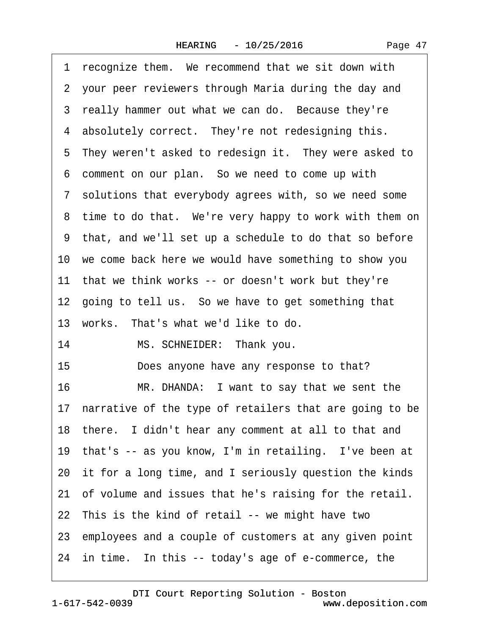| Page 47 |  |
|---------|--|
|---------|--|

|    | 1 recognize them. We recommend that we sit down with       |
|----|------------------------------------------------------------|
|    | 2 your peer reviewers through Maria during the day and     |
|    | 3 really hammer out what we can do. Because they're        |
|    | 4 absolutely correct. They're not redesigning this.        |
|    | 5 They weren't asked to redesign it. They were asked to    |
|    | 6 comment on our plan. So we need to come up with          |
|    | 7 solutions that everybody agrees with, so we need some    |
|    | 8 time to do that. We're very happy to work with them on   |
|    | 9 that, and we'll set up a schedule to do that so before   |
|    | 10 we come back here we would have something to show you   |
|    | 11 that we think works -- or doesn't work but they're      |
|    | 12 going to tell us. So we have to get something that      |
|    | 13 works. That's what we'd like to do.                     |
| 14 | MS. SCHNEIDER: Thank you.                                  |
| 15 | Does anyone have any response to that?                     |
| 16 | MR. DHANDA: I want to say that we sent the                 |
|    | 17 narrative of the type of retailers that are going to be |
|    | 18 there. I didn't hear any comment at all to that and     |
|    | 19 that's -- as you know, I'm in retailing. I've been at   |
|    | 20 it for a long time, and I seriously question the kinds  |
|    | 21 of volume and issues that he's raising for the retail.  |
|    | 22 This is the kind of retail -- we might have two         |
|    | 23 employees and a couple of customers at any given point  |
|    | 24 in time. In this -- today's age of e-commerce, the      |
|    |                                                            |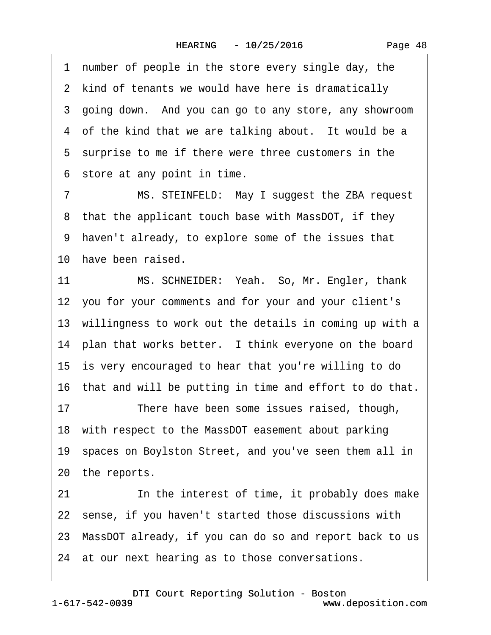1 number of people in the store every single day, the 2 kind of tenants we would have here is dramatically 3 going down. And you can go to any store, any showroom 4 of the kind that we are talking about. It would be a 5 surprise to me if there were three customers in the 6 store at any point in time.

7 MS. STEINFELD: May I suggest the ZBA request 8 that the applicant touch base with MassDOT, if they ·9· haven't already, to explore some of the issues that 10 have been raised.

11 MS. SCHNEIDER: Yeah. So, Mr. Engler, thank 12 you for your comments and for your and your client's 13 willingness to work out the details in coming up with a 14 plan that works better. I think everyone on the board 15 is very encouraged to hear that you're willing to do 16 that and will be putting in time and effort to do that.

17 There have been some issues raised, though, 18· with respect to the MassDOT easement about parking 19· spaces on Boylston Street, and you've seen them all in 20 the reports.

21 In the interest of time, it probably does make 22 sense, if you haven't started those discussions with 23· MassDOT already, if you can do so and report back to us 24 at our next hearing as to those conversations.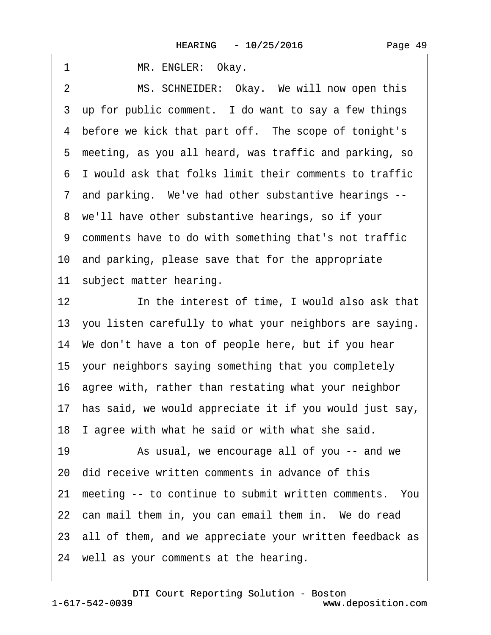| MR. ENGLER: Okay.<br>1                                            |
|-------------------------------------------------------------------|
| MS. SCHNEIDER: Okay. We will now open this<br>2                   |
| 3 up for public comment. I do want to say a few things            |
| 4 before we kick that part off. The scope of tonight's            |
| 5 meeting, as you all heard, was traffic and parking, so          |
| 6 I would ask that folks limit their comments to traffic          |
| 7 and parking. We've had other substantive hearings --            |
| 8 we'll have other substantive hearings, so if your               |
| 9 comments have to do with something that's not traffic           |
| 10 and parking, please save that for the appropriate              |
| 11 subject matter hearing.                                        |
| 12 <sub>2</sub><br>In the interest of time, I would also ask that |
| 13 you listen carefully to what your neighbors are saying.        |
| 14 We don't have a ton of people here, but if you hear            |
| 15 your neighbors saying something that you completely            |
| 16 agree with, rather than restating what your neighbor           |
| 17 has said, we would appreciate it if you would just say,        |
| 18 I agree with what he said or with what she said.               |
| 19<br>As usual, we encourage all of you -- and we                 |
| 20 did receive written comments in advance of this                |
| 21 meeting -- to continue to submit written comments. You         |
| 22 can mail them in, you can email them in. We do read            |
| 23 all of them, and we appreciate your written feedback as        |
| 24 well as your comments at the hearing.                          |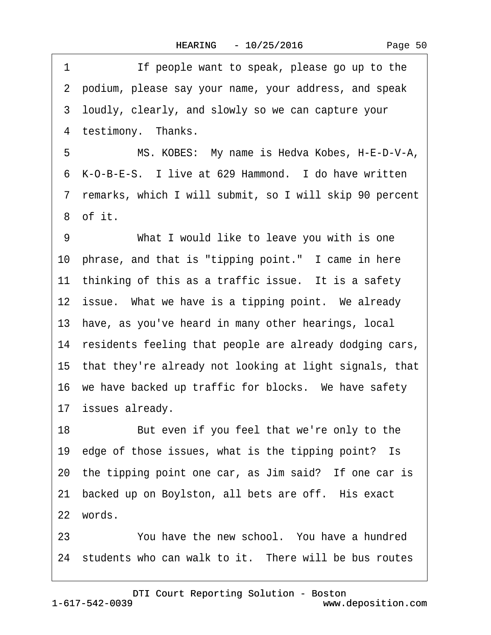1 If people want to speak, please go up to the ·2· podium, please say your name, your address, and speak ·3· loudly, clearly, and slowly so we can capture your 4 testimony. Thanks. 5 MS. KOBES: My name is Hedva Kobes, H-E-D-V-A, 6 K-O-B-E-S. I live at 629 Hammond. I do have written ·7· remarks, which I will submit, so I will skip 90 percent ·8· of it. 9 What I would like to leave you with is one 10 phrase, and that is "tipping point." I came in here 11 thinking of this as a traffic issue. It is a safety 12 issue. What we have is a tipping point. We already 13 have, as you've heard in many other hearings, local 14 residents feeling that people are already dodging cars, 15· that they're already not looking at light signals, that 16 we have backed up traffic for blocks. We have safety 17 issues already. 18 But even if you feel that we're only to the 19 edge of those issues, what is the tipping point? Is 20 the tipping point one car, as Jim said? If one car is 21 backed up on Boylston, all bets are off. His exact 22 words.

23 You have the new school. You have a hundred 24 students who can walk to it. There will be bus routes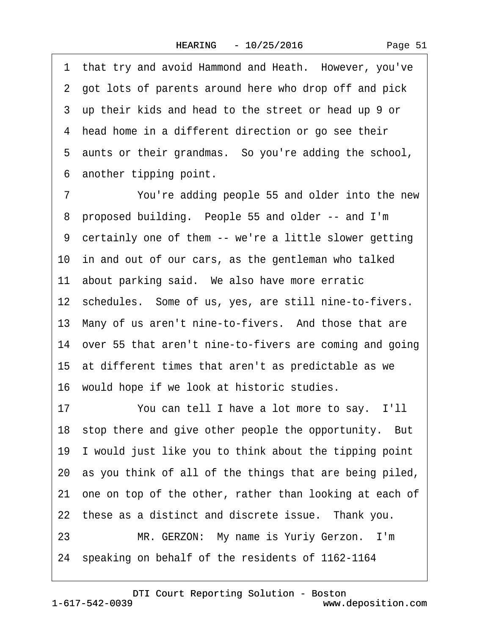1 that try and avoid Hammond and Heath. However, you've 2 got lots of parents around here who drop off and pick ·3· up their kids and head to the street or head up 9 or 4 head home in a different direction or go see their 5 aunts or their grandmas. So you're adding the school, 6 another tipping point.

7 You're adding people 55 and older into the new 8 proposed building. People 55 and older -- and I'm ·9· certainly one of them -- we're a little slower getting 10 in and out of our cars, as the gentleman who talked 11 about parking said. We also have more erratic 12 schedules. Some of us, yes, are still nine-to-fivers. 13 Many of us aren't nine-to-fivers. And those that are 14· over 55 that aren't nine-to-fivers are coming and going 15 at different times that aren't as predictable as we 16· would hope if we look at historic studies. 17 You can tell I have a lot more to say. I'll 18 stop there and give other people the opportunity. But 19· I would just like you to think about the tipping point 20· as you think of all of the things that are being piled, 21 one on top of the other, rather than looking at each of 22 these as a distinct and discrete issue. Thank you.

23 MR. GERZON: My name is Yuriy Gerzon. I'm 24· speaking on behalf of the residents of 1162-1164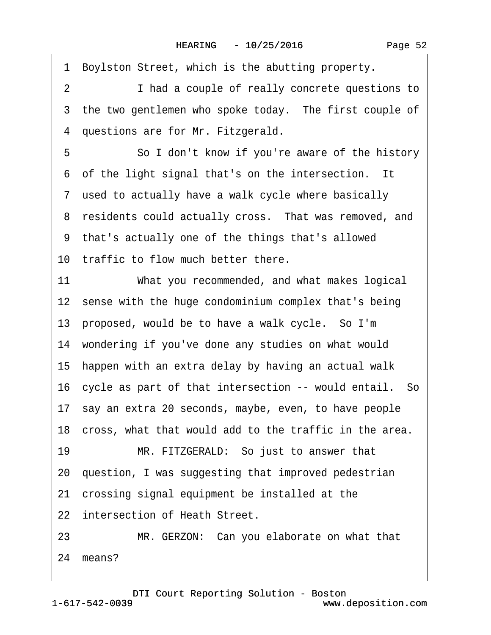1 Boylston Street, which is the abutting property. 2 **I** had a couple of really concrete questions to 3 the two gentlemen who spoke today. The first couple of 4 questions are for Mr. Fitzgerald. 5 **· · · · So I don't know if you're aware of the history** 6 of the light signal that's on the intersection. It 7 used to actually have a walk cycle where basically 8 residents could actually cross. That was removed, and ·9· that's actually one of the things that's allowed 10 traffic to flow much better there. 11 What you recommended, and what makes logical 12 sense with the huge condominium complex that's being 13 proposed, would be to have a walk cycle. So I'm 14 wondering if you've done any studies on what would 15 happen with an extra delay by having an actual walk 16 cycle as part of that intersection -- would entail. So 17· say an extra 20 seconds, maybe, even, to have people 18 cross, what that would add to the traffic in the area. 19 MR. FITZGERALD: So just to answer that 20· question, I was suggesting that improved pedestrian 21· crossing signal equipment be installed at the 22 intersection of Heath Street. 23 MR. GERZON: Can you elaborate on what that

24 means?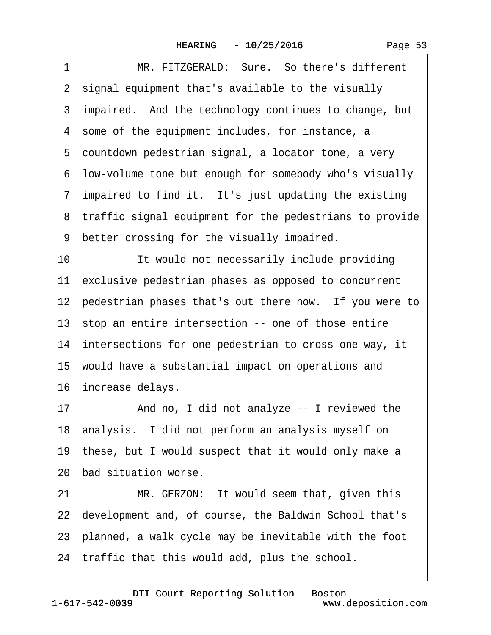|  | Page 53 |  |
|--|---------|--|
|  |         |  |

| 1  | MR. FITZGERALD: Sure. So there's different                |
|----|-----------------------------------------------------------|
|    | 2 signal equipment that's available to the visually       |
|    | 3 impaired. And the technology continues to change, but   |
|    | 4 some of the equipment includes, for instance, a         |
|    | 5 countdown pedestrian signal, a locator tone, a very     |
|    | 6 low-volume tone but enough for somebody who's visually  |
|    | 7 impaired to find it. It's just updating the existing    |
|    | 8 traffic signal equipment for the pedestrians to provide |
|    | 9 better crossing for the visually impaired.              |
| 10 | It would not necessarily include providing                |
|    | 11 exclusive pedestrian phases as opposed to concurrent   |
|    | 12 pedestrian phases that's out there now. If you were to |
|    | 13 stop an entire intersection -- one of those entire     |
|    | 14 intersections for one pedestrian to cross one way, it  |
|    | 15 would have a substantial impact on operations and      |
|    | 16 increase delays.                                       |
| 17 | And no, I did not analyze -- I reviewed the               |
|    | 18 analysis. I did not perform an analysis myself on      |
|    | 19 these, but I would suspect that it would only make a   |
|    | 20 bad situation worse.                                   |
| 21 | MR. GERZON: It would seem that, given this                |
|    | 22 development and, of course, the Baldwin School that's  |
|    | 23 planned, a walk cycle may be inevitable with the foot  |
|    | 24 traffic that this would add, plus the school.          |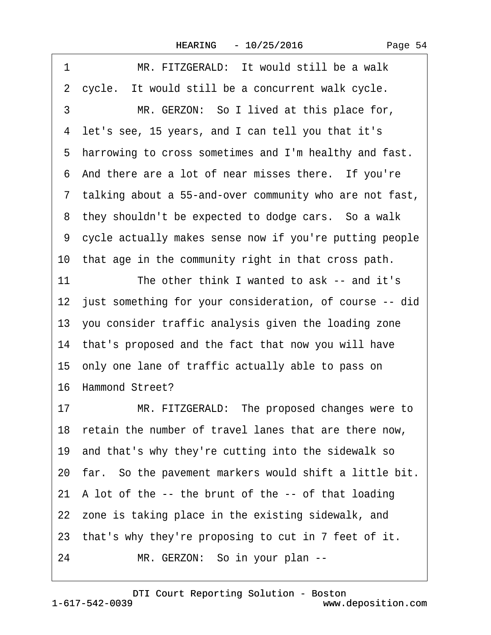| Page 54 |  |
|---------|--|
|         |  |

| 1  | MR. FITZGERALD: It would still be a walk                   |
|----|------------------------------------------------------------|
|    | 2 cycle. It would still be a concurrent walk cycle.        |
| 3  | MR. GERZON: So I lived at this place for,                  |
|    | 4 let's see, 15 years, and I can tell you that it's        |
|    | 5 harrowing to cross sometimes and I'm healthy and fast.   |
|    | 6 And there are a lot of near misses there. If you're      |
|    | 7 talking about a 55-and-over community who are not fast,  |
|    | 8 they shouldn't be expected to dodge cars. So a walk      |
|    | 9 cycle actually makes sense now if you're putting people  |
|    | 10 that age in the community right in that cross path.     |
| 11 | The other think I wanted to ask -- and it's                |
|    | 12 just something for your consideration, of course -- did |
|    | 13 you consider traffic analysis given the loading zone    |
|    | 14 that's proposed and the fact that now you will have     |
|    | 15 only one lane of traffic actually able to pass on       |
|    | 16 Hammond Street?                                         |
| 17 | MR. FITZGERALD: The proposed changes were to               |
|    | 18 retain the number of travel lanes that are there now,   |
|    | 19 and that's why they're cutting into the sidewalk so     |
|    | 20 far. So the pavement markers would shift a little bit.  |
|    | 21 A lot of the -- the brunt of the -- of that loading     |
|    | 22 zone is taking place in the existing sidewalk, and      |
|    | 23 that's why they're proposing to cut in 7 feet of it.    |
| 24 | MR. GERZON: So in your plan --                             |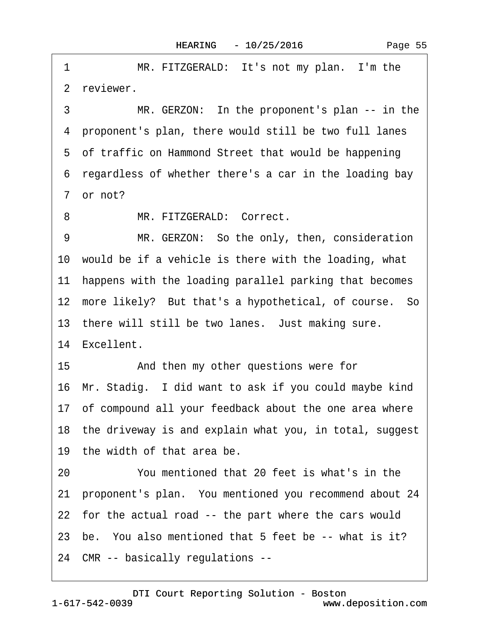1 MR. FITZGERALD: It's not my plan. I'm the 2 reviewer. 3 MR. GERZON: In the proponent's plan -- in the ·4· proponent's plan, there would still be two full lanes 5 of traffic on Hammond Street that would be happening ·6· regardless of whether there's a car in the loading bay 7 or not? 8 MR. FITZGERALD: Correct. 9 MR. GERZON: So the only, then, consideration 10 would be if a vehicle is there with the loading, what 11 happens with the loading parallel parking that becomes 12 more likely? But that's a hypothetical, of course. So 13 there will still be two lanes. Just making sure. 14 Excellent. 15 • **And then my other questions were for** 16· Mr. Stadig.· I did want to ask if you could maybe kind 17 of compound all your feedback about the one area where 18 the driveway is and explain what you, in total, suggest 19· the width of that area be. 20 You mentioned that 20 feet is what's in the 21 proponent's plan. You mentioned you recommend about 24 22 for the actual road -- the part where the cars would 23 be. You also mentioned that 5 feet be -- what is it? 24· CMR -- basically regulations --

1-617-542-0039 [DTI Court Reporting Solution - Boston](http://www.deposition.com) www.deposition.com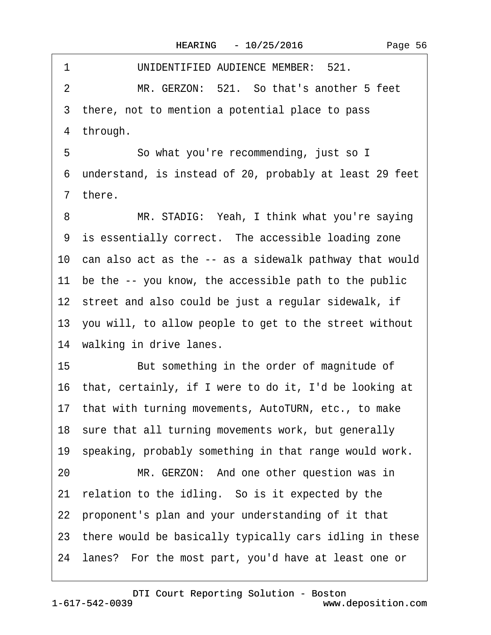|  | Page 56 |  |
|--|---------|--|
|--|---------|--|

1 UNIDENTIFIED AUDIENCE MEMBER: 521. 2 MR. GERZON: 521. So that's another 5 feet 3 there, not to mention a potential place to pass 4 through. 5 So what you're recommending, just so I ·6· understand, is instead of 20, probably at least 29 feet ·7· there. 8 MR. STADIG: Yeah, I think what you're saying 9 is essentially correct. The accessible loading zone 10 can also act as the -- as a sidewalk pathway that would 11 be the -- you know, the accessible path to the public 12 street and also could be just a regular sidewalk, if 13· you will, to allow people to get to the street without 14 walking in drive lanes. 15 But something in the order of magnitude of 16· that, certainly, if I were to do it, I'd be looking at 17· that with turning movements, AutoTURN, etc., to make 18 sure that all turning movements work, but generally 19· speaking, probably something in that range would work. 20 MR. GERZON: And one other question was in 21 relation to the idling. So is it expected by the 22 proponent's plan and your understanding of it that 23· there would be basically typically cars idling in these 24· lanes?· For the most part, you'd have at least one or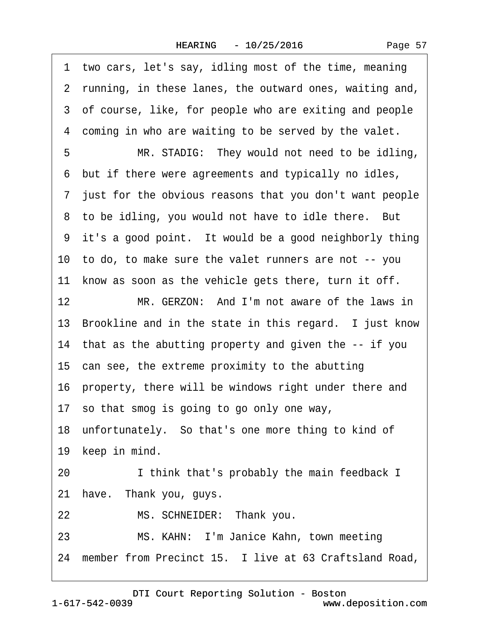1 two cars, let's say, idling most of the time, meaning 2 running, in these lanes, the outward ones, waiting and, 3 of course, like, for people who are exiting and people 4 coming in who are waiting to be served by the valet. 5 MR. STADIG: They would not need to be idling, ·6· but if there were agreements and typically no idles, ·7· just for the obvious reasons that you don't want people 8 to be idling, you would not have to idle there. But 9 it's a good point. It would be a good neighborly thing 10· to do, to make sure the valet runners are not -- you 11 know as soon as the vehicle gets there, turn it off. 12 MR. GERZON: And I'm not aware of the laws in 13 Brookline and in the state in this regard. I just know 14 that as the abutting property and given the -- if you 15 can see, the extreme proximity to the abutting 16· property, there will be windows right under there and 17· so that smog is going to go only one way, 18· unfortunately.· So that's one more thing to kind of 19 keep in mind. 20 I think that's probably the main feedback I 21 have. Thank you, guys. 22 MS. SCHNEIDER: Thank you. 23 MS. KAHN: I'm Janice Kahn, town meeting 24 member from Precinct 15. I live at 63 Craftsland Road,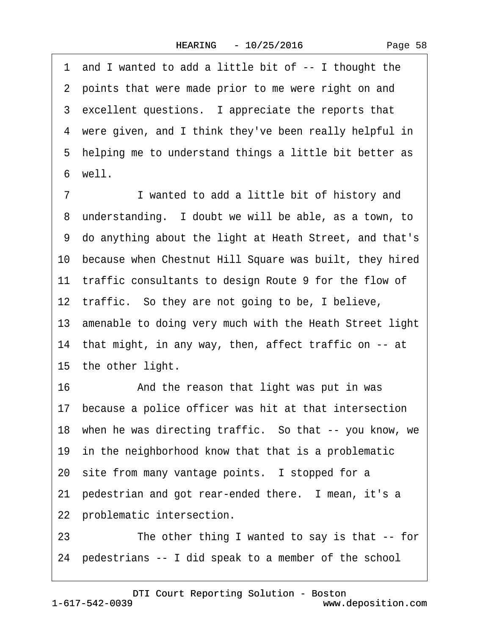·1· and I wanted to add a little bit of -- I thought the 2 points that were made prior to me were right on and 3 excellent questions. I appreciate the reports that 4 were given, and I think they've been really helpful in 5 helping me to understand things a little bit better as ·6· well.

7 I wanted to add a little bit of history and 8 understanding. I doubt we will be able, as a town, to ·9· do anything about the light at Heath Street, and that's 10 because when Chestnut Hill Square was built, they hired 11 traffic consultants to design Route 9 for the flow of 12 traffic. So they are not going to be, I believe, 13· amenable to doing very much with the Heath Street light 14 that might, in any way, then, affect traffic on -- at 15 the other light. 16 • And the reason that light was put in was

17 because a police officer was hit at that intersection

18 when he was directing traffic. So that -- you know, we

19 in the neighborhood know that that is a problematic

20 site from many vantage points. I stopped for a

21 pedestrian and got rear-ended there. I mean, it's a

22 problematic intersection.

23 The other thing I wanted to say is that -- for

24· pedestrians -- I did speak to a member of the school

[DTI Court Reporting Solution - Boston](http://www.deposition.com)

1-617-542-0039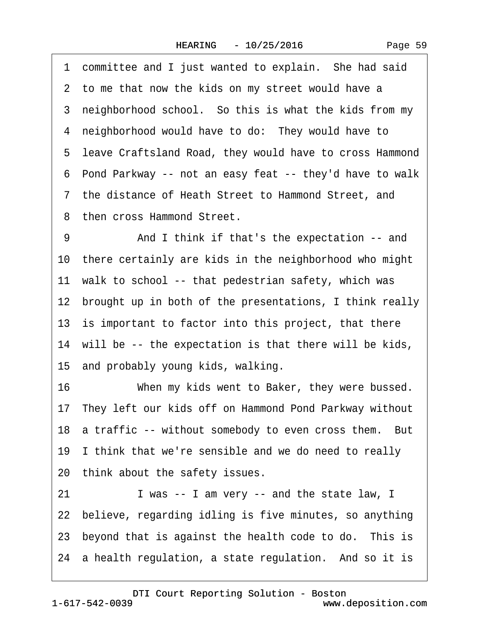1 committee and I just wanted to explain. She had said 2 to me that now the kids on my street would have a 3 neighborhood school. So this is what the kids from my 4 neighborhood would have to do: They would have to ·5· leave Craftsland Road, they would have to cross Hammond ·6· Pond Parkway -- not an easy feat -- they'd have to walk ·7· the distance of Heath Street to Hammond Street, and 8 then cross Hammond Street. 9 • And I think if that's the expectation -- and 10· there certainly are kids in the neighborhood who might 11 walk to school -- that pedestrian safety, which was 12 brought up in both of the presentations, I think really 13 is important to factor into this project, that there 14 will be -- the expectation is that there will be kids, 15· and probably young kids, walking. 16 When my kids went to Baker, they were bussed. 17· They left our kids off on Hammond Pond Parkway without 18 a traffic -- without somebody to even cross them. But 19 I think that we're sensible and we do need to really 20 think about the safety issues. 21 I was -- I am very -- and the state law, I 22 believe, regarding idling is five minutes, so anything 23 beyond that is against the health code to do. This is 24 a health regulation, a state regulation. And so it is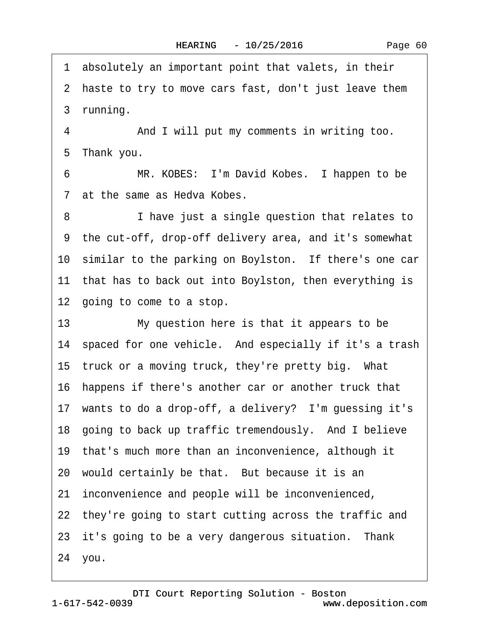·1· absolutely an important point that valets, in their

2 haste to try to move cars fast, don't just leave them

3 running.

4 • • And I will put my comments in writing too. 5 Thank you.

6 MR. KOBES: I'm David Kobes. I happen to be 7 at the same as Hedva Kobes.

8 **I** have just a single question that relates to ·9· the cut-off, drop-off delivery area, and it's somewhat 10 similar to the parking on Boylston. If there's one car 11 that has to back out into Boylston, then everything is 12 going to come to a stop.

13 My question here is that it appears to be 14 spaced for one vehicle. And especially if it's a trash 15 truck or a moving truck, they're pretty big. What 16· happens if there's another car or another truck that 17 wants to do a drop-off, a delivery? I'm guessing it's 18 going to back up traffic tremendously. And I believe 19· that's much more than an inconvenience, although it 20 would certainly be that. But because it is an 21 inconvenience and people will be inconvenienced, 22 they're going to start cutting across the traffic and 23 it's going to be a very dangerous situation. Thank 24· you.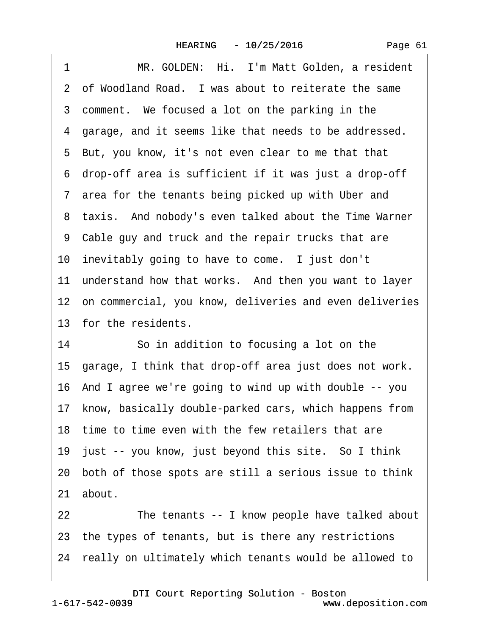|  | Page 61 |  |
|--|---------|--|
|  |         |  |

| 1  | MR. GOLDEN: Hi. I'm Matt Golden, a resident                |
|----|------------------------------------------------------------|
|    | 2 of Woodland Road. I was about to reiterate the same      |
|    | 3 comment. We focused a lot on the parking in the          |
|    | 4 garage, and it seems like that needs to be addressed.    |
|    | 5 But, you know, it's not even clear to me that that       |
|    | 6 drop-off area is sufficient if it was just a drop-off    |
|    | 7 area for the tenants being picked up with Uber and       |
|    | 8 taxis. And nobody's even talked about the Time Warner    |
|    | 9 Cable guy and truck and the repair trucks that are       |
|    | 10 inevitably going to have to come. I just don't          |
|    | 11 understand how that works. And then you want to layer   |
|    | 12 on commercial, you know, deliveries and even deliveries |
|    | 13 for the residents.                                      |
| 14 | So in addition to focusing a lot on the                    |
|    | 15 garage, I think that drop-off area just does not work.  |
|    | 16 And I agree we're going to wind up with double -- you   |
|    | 17 know, basically double-parked cars, which happens from  |
|    | 18 time to time even with the few retailers that are       |
|    | 19 just -- you know, just beyond this site. So I think     |
|    | 20 both of those spots are still a serious issue to think  |
|    | 21 about.                                                  |
|    |                                                            |
| 22 | The tenants -- I know people have talked about             |
|    | 23 the types of tenants, but is there any restrictions     |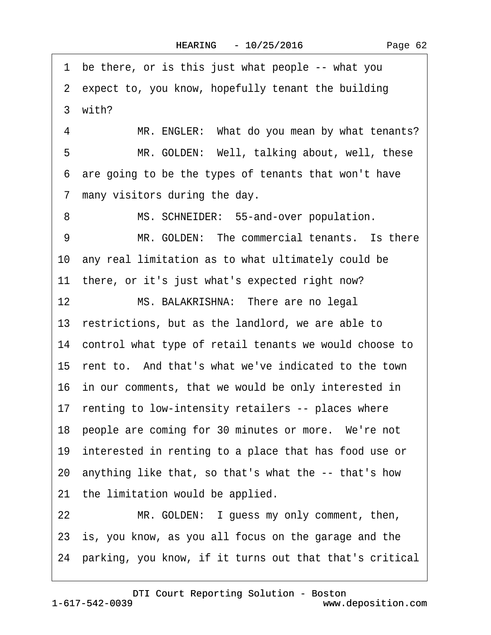1 be there, or is this just what people -- what you 2 expect to, you know, hopefully tenant the building 3 with? 4 MR. ENGLER: What do you mean by what tenants? 5 MR. GOLDEN: Well, talking about, well, these ·6· are going to be the types of tenants that won't have 7 many visitors during the day. 8 MS. SCHNEIDER: 55-and-over population. 9 MR. GOLDEN: The commercial tenants. Is there 10· any real limitation as to what ultimately could be 11 there, or it's just what's expected right now? 12 MS. BALAKRISHNA: There are no legal 13 restrictions, but as the landlord, we are able to 14 control what type of retail tenants we would choose to 15 rent to. And that's what we've indicated to the town 16· in our comments, that we would be only interested in 17 renting to low-intensity retailers -- places where 18 people are coming for 30 minutes or more. We're not 19 interested in renting to a place that has food use or 20· anything like that, so that's what the -- that's how 21 the limitation would be applied. 22 MR. GOLDEN: I guess my only comment, then, 23 is, you know, as you all focus on the garage and the 24· parking, you know, if it turns out that that's critical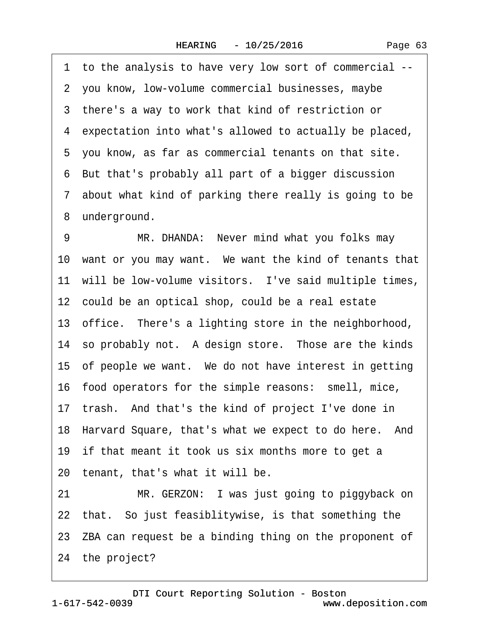·1· to the analysis to have very low sort of commercial -- 2 you know, low-volume commercial businesses, maybe ·3· there's a way to work that kind of restriction or 4 expectation into what's allowed to actually be placed, 5 you know, as far as commercial tenants on that site. ·6· But that's probably all part of a bigger discussion ·7· about what kind of parking there really is going to be 8 underground. 9 MR. DHANDA: Never mind what you folks may 10 want or you may want. We want the kind of tenants that 11 will be low-volume visitors. I've said multiple times, 12 could be an optical shop, could be a real estate 13 office. There's a lighting store in the neighborhood, 14 so probably not. A design store. Those are the kinds 15 of people we want. We do not have interest in getting 16· food operators for the simple reasons:· smell, mice, 17 trash. And that's the kind of project I've done in 18 Harvard Square, that's what we expect to do here. And 19 if that meant it took us six months more to get a 20 tenant, that's what it will be. 21 MR. GERZON: I was just going to piggyback on 22 that. So just feasiblitywise, is that something the 23 ZBA can request be a binding thing on the proponent of 24 the project?

1-617-542-0039 [DTI Court Reporting Solution - Boston](http://www.deposition.com) www.deposition.com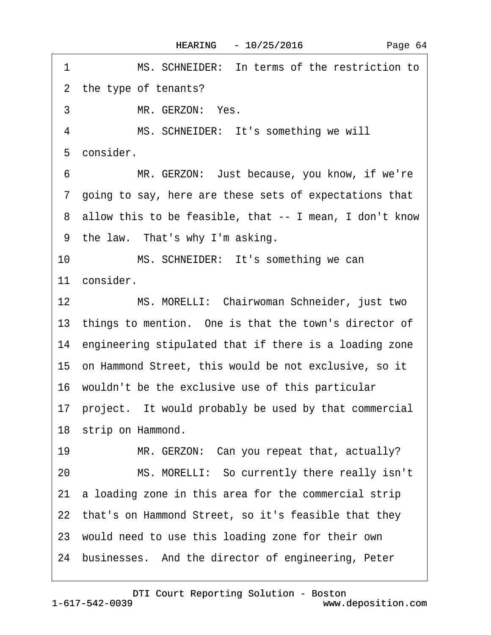1 MS. SCHNEIDER: In terms of the restriction to 2 the type of tenants? 3 MR. GERZON: Yes. 4 MS. SCHNEIDER: It's something we will 5 consider. 6 MR. GERZON: Just because, you know, if we're ·7· going to say, here are these sets of expectations that ·8· allow this to be feasible, that -- I mean, I don't know 9 the law. That's why I'm asking. 10 MS. SCHNEIDER: It's something we can 11 consider. 12 MS. MORELLI: Chairwoman Schneider, just two 13 things to mention. One is that the town's director of 14 engineering stipulated that if there is a loading zone 15· on Hammond Street, this would be not exclusive, so it 16· wouldn't be the exclusive use of this particular 17· project.· It would probably be used by that commercial 18 strip on Hammond. 19 MR. GERZON: Can you repeat that, actually? 20 MS. MORELLI: So currently there really isn't 21· a loading zone in this area for the commercial strip 22 that's on Hammond Street, so it's feasible that they 23· would need to use this loading zone for their own 24 businesses. And the director of engineering, Peter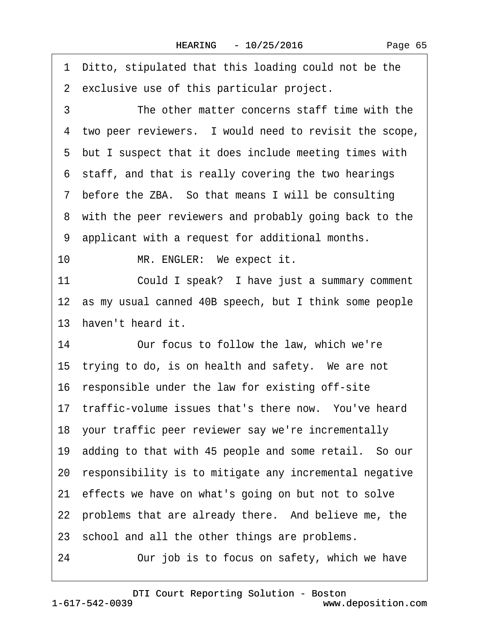·1· Ditto, stipulated that this loading could not be the

2 exclusive use of this particular project.

3 The other matter concerns staff time with the 4 two peer reviewers. I would need to revisit the scope, 5 but I suspect that it does include meeting times with 6 staff, and that is really covering the two hearings ·7· before the ZBA.· So that means I will be consulting 8 with the peer reviewers and probably going back to the ·9· applicant with a request for additional months. 10 MR. ENGLER: We expect it. 11 Could I speak? I have just a summary comment 12 as my usual canned 40B speech, but I think some people 13 haven't heard it. 14 Our focus to follow the law, which we're 15 trying to do, is on health and safety. We are not 16 responsible under the law for existing off-site 17 traffic-volume issues that's there now. You've heard 18· your traffic peer reviewer say we're incrementally 19· adding to that with 45 people and some retail.· So our 20 responsibility is to mitigate any incremental negative 21 effects we have on what's going on but not to solve 22 problems that are already there. And believe me, the 23 school and all the other things are problems. 24 Our job is to focus on safety, which we have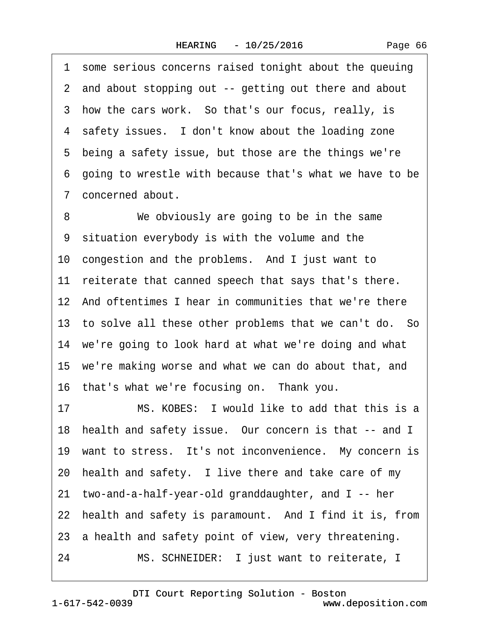1 some serious concerns raised tonight about the queuing ·2· and about stopping out -- getting out there and about 3 how the cars work. So that's our focus, really, is 4 safety issues. I don't know about the loading zone 5 being a safety issue, but those are the things we're ·6· going to wrestle with because that's what we have to be ·7· concerned about.

8 We obviously are going to be in the same 9 situation everybody is with the volume and the 10 congestion and the problems. And I just want to 11 reiterate that canned speech that says that's there. 12 And oftentimes I hear in communities that we're there 13 to solve all these other problems that we can't do. So 14 we're going to look hard at what we're doing and what 15· we're making worse and what we can do about that, and 16 that's what we're focusing on. Thank you.

17 MS. KOBES: I would like to add that this is a 18 health and safety issue. Our concern is that -- and I 19 want to stress. It's not inconvenience. My concern is 20 health and safety. I live there and take care of my 21· two-and-a-half-year-old granddaughter, and I -- her 22 health and safety is paramount. And I find it is, from 23 a health and safety point of view, very threatening. 24 MS. SCHNEIDER: I just want to reiterate, I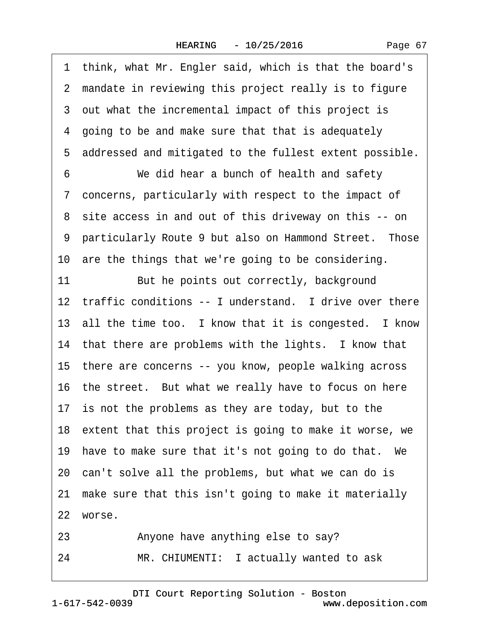·1· think, what Mr. Engler said, which is that the board's 2 mandate in reviewing this project really is to figure 3 out what the incremental impact of this project is ·4· going to be and make sure that that is adequately ·5· addressed and mitigated to the fullest extent possible. 6 We did hear a bunch of health and safety ·7· concerns, particularly with respect to the impact of ·8· site access in and out of this driveway on this -- on 9 particularly Route 9 but also on Hammond Street. Those 10 are the things that we're going to be considering. 11 But he points out correctly, background 12 traffic conditions -- I understand. I drive over there 13 all the time too. I know that it is congested. I know 14 that there are problems with the lights. I know that 15· there are concerns -- you know, people walking across 16· the street.· But what we really have to focus on here 17 is not the problems as they are today, but to the 18 extent that this project is going to make it worse, we 19 have to make sure that it's not going to do that. We 20 can't solve all the problems, but what we can do is 21 make sure that this isn't going to make it materially 22 worse.

- 23 Anyone have anything else to say?
- 24 MR. CHIUMENTI: I actually wanted to ask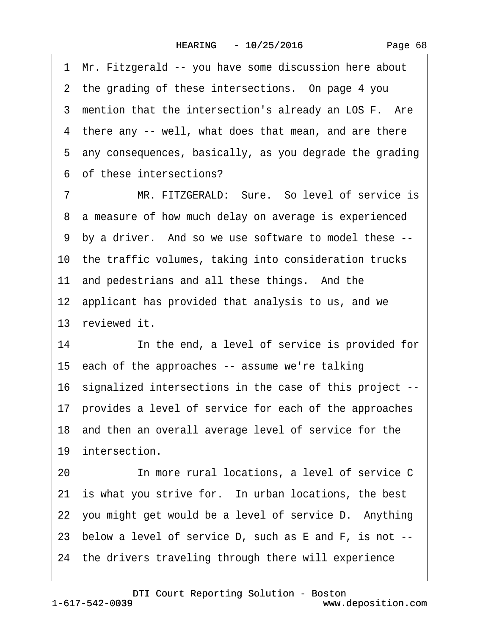·1· Mr. Fitzgerald -- you have some discussion here about 2 the grading of these intersections. On page 4 you 3 mention that the intersection's already an LOS F. Are 4 there any -- well, what does that mean, and are there ·5· any consequences, basically, as you degrade the grading ·6· of these intersections? 7 MR. FITZGERALD: Sure. So level of service is ·8· a measure of how much delay on average is experienced ·9· by a driver.· And so we use software to model these -- 10 the traffic volumes, taking into consideration trucks 11 and pedestrians and all these things. And the 12 applicant has provided that analysis to us, and we 13 reviewed it. 14 **In the end, a level of service is provided for** 15 each of the approaches -- assume we're talking 16· signalized intersections in the case of this project -- 17· provides a level of service for each of the approaches 18 and then an overall average level of service for the 19 intersection. 20 **In more rural locations, a level of service C** 21 is what you strive for. In urban locations, the best 22 you might get would be a level of service D. Anything 23· below a level of service D, such as E and F, is not -- 24 the drivers traveling through there will experience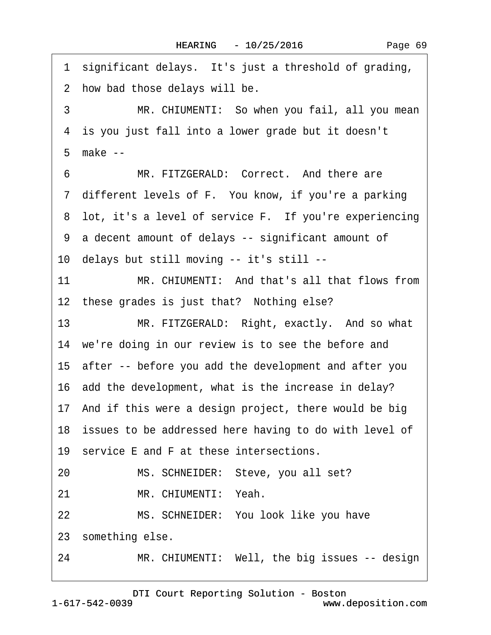1 significant delays. It's just a threshold of grading, 2 how bad those delays will be. 3 MR. CHIUMENTI: So when you fail, all you mean 4 is you just fall into a lower grade but it doesn't ·5· make -- 6 MR. FITZGERALD: Correct. And there are 7 different levels of F. You know, if you're a parking 8 lot, it's a level of service F. If you're experiencing ·9· a decent amount of delays -- significant amount of 10· delays but still moving -- it's still -- 11· · · · · ·MR. CHIUMENTI:· And that's all that flows from 12 these grades is just that? Nothing else? 13 MR. FITZGERALD: Right, exactly. And so what 14 we're doing in our review is to see the before and 15· after -- before you add the development and after you 16 add the development, what is the increase in delay? 17· And if this were a design project, there would be big 18 issues to be addressed here having to do with level of 19 service E and F at these intersections. 20 MS. SCHNEIDER: Steve, you all set? 21 MR. CHIUMENTI: Yeah. 22 MS. SCHNEIDER: You look like you have 23 something else. 24 MR. CHIUMENTI: Well, the big issues -- design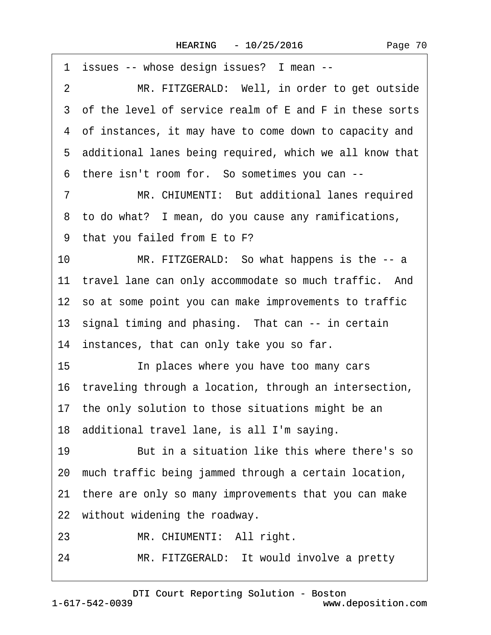|                | 1 issues -- whose design issues? I mean --                |
|----------------|-----------------------------------------------------------|
| $\overline{2}$ | MR. FITZGERALD: Well, in order to get outside             |
|                | 3 of the level of service realm of E and F in these sorts |
|                | 4 of instances, it may have to come down to capacity and  |
|                | 5 additional lanes being required, which we all know that |
|                | 6 there isn't room for. So sometimes you can --           |
| $\overline{7}$ | MR. CHIUMENTI: But additional lanes required              |
|                | 8 to do what? I mean, do you cause any ramifications,     |
|                | 9 that you failed from E to F?                            |
| 10             | MR. FITZGERALD: So what happens is the -- a               |
|                | 11 travel lane can only accommodate so much traffic. And  |
|                | 12 so at some point you can make improvements to traffic  |
|                | 13 signal timing and phasing. That can -- in certain      |
|                | 14 instances, that can only take you so far.              |
| 15             | In places where you have too many cars                    |
|                | 16 traveling through a location, through an intersection, |
|                | 17 the only solution to those situations might be an      |
|                | 18 additional travel lane, is all I'm saying.             |
| 19             | But in a situation like this where there's so             |
|                | 20 much traffic being jammed through a certain location,  |
|                | 21 there are only so many improvements that you can make  |
|                | 22 without widening the roadway.                          |
| 23             | MR. CHIUMENTI: All right.                                 |
| 24             | MR. FITZGERALD: It would involve a pretty                 |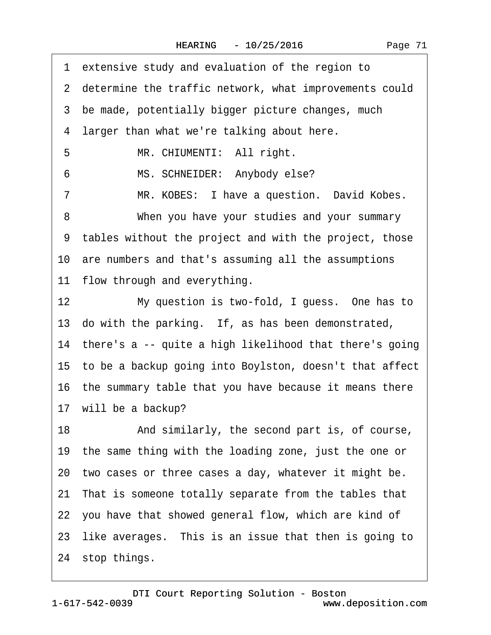1 extensive study and evaluation of the region to

|    | 2 determine the traffic network, what improvements could   |
|----|------------------------------------------------------------|
|    | 3 be made, potentially bigger picture changes, much        |
|    | 4 larger than what we're talking about here.               |
| 5  | MR. CHIUMENTI: All right.                                  |
| 6  | MS. SCHNEIDER: Anybody else?                               |
| 7  | MR. KOBES: I have a question. David Kobes.                 |
| 8  | When you have your studies and your summary                |
|    | 9 tables without the project and with the project, those   |
|    | 10 are numbers and that's assuming all the assumptions     |
|    | 11 flow through and everything.                            |
| 12 | My question is two-fold, I guess. One has to               |
|    | 13 do with the parking. If, as has been demonstrated,      |
|    | 14 there's a -- quite a high likelihood that there's going |
|    | 15 to be a backup going into Boylston, doesn't that affect |
|    | 16 the summary table that you have because it means there  |
|    | 17 will be a backup?                                       |
| 18 | And similarly, the second part is, of course,              |
|    | 19 the same thing with the loading zone, just the one or   |
|    | 20 two cases or three cases a day, whatever it might be.   |
|    | 21 That is someone totally separate from the tables that   |
|    | 22 you have that showed general flow, which are kind of    |
|    | 23 like averages. This is an issue that then is going to   |
|    | 24 stop things.                                            |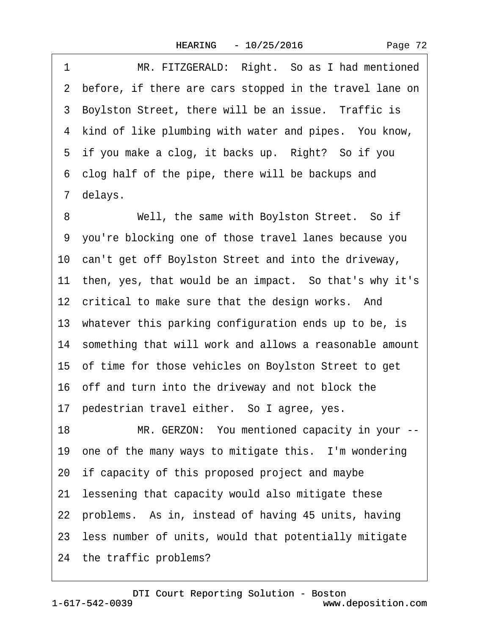1 MR. FITZGERALD: Right. So as I had mentioned 2 before, if there are cars stopped in the travel lane on 3 Boylston Street, there will be an issue. Traffic is 4 kind of like plumbing with water and pipes. You know, 5 if you make a clog, it backs up. Right? So if you ·6· clog half of the pipe, there will be backups and 7 delays. 8 Well, the same with Boylston Street. So if ·9· you're blocking one of those travel lanes because you 10 can't get off Boylston Street and into the driveway, 11 then, yes, that would be an impact. So that's why it's 12 critical to make sure that the design works. And 13 whatever this parking configuration ends up to be, is 14· something that will work and allows a reasonable amount 15· of time for those vehicles on Boylston Street to get 16 off and turn into the driveway and not block the 17 pedestrian travel either. So I agree, yes. 18 MR. GERZON: You mentioned capacity in your --19 one of the many ways to mitigate this. I'm wondering 20 if capacity of this proposed project and maybe 21 lessening that capacity would also mitigate these 22 problems. As in, instead of having 45 units, having 23· less number of units, would that potentially mitigate 24 the traffic problems?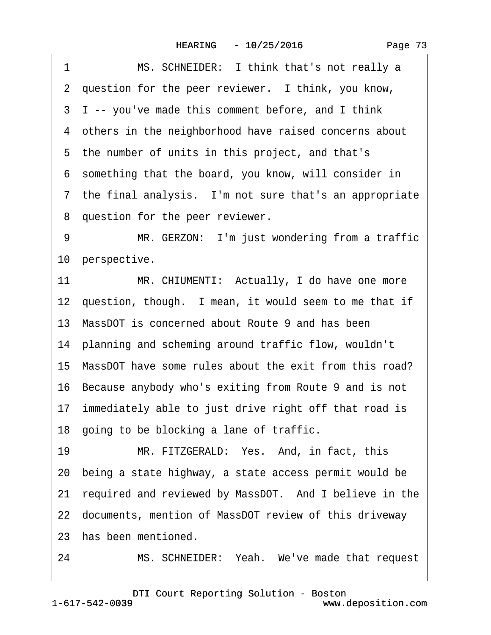|  | Page 73 |  |
|--|---------|--|
|  |         |  |

<span id="page-72-0"></span>1 MS. SCHNEIDER: I think that's not really a 2 question for the peer reviewer. I think, you know, 3 I -- you've made this comment before, and I think 4 others in the neighborhood have raised concerns about 5 the number of units in this project, and that's ·6· something that the board, you know, will consider in 7 the final analysis. I'm not sure that's an appropriate 8 question for the peer reviewer. 9 MR. GERZON: I'm just wondering from a traffic 10 perspective. 11 MR. CHIUMENTI: Actually, I do have one more 12 question, though. I mean, it would seem to me that if 13· MassDOT is concerned about Route 9 and has been 14· planning and scheming around traffic flow, wouldn't 15 MassDOT have some rules about the exit from this road? 16· Because anybody who's exiting from Route 9 and is not 17 immediately able to just drive right off that road is 18 going to be blocking a lane of traffic. 19 MR. FITZGERALD: Yes. And, in fact, this 20· being a state highway, a state access permit would be 21 required and reviewed by MassDOT. And I believe in the 22· documents, mention of MassDOT review of this driveway 23· has been mentioned.

24 MS. SCHNEIDER: Yeah. We've made that request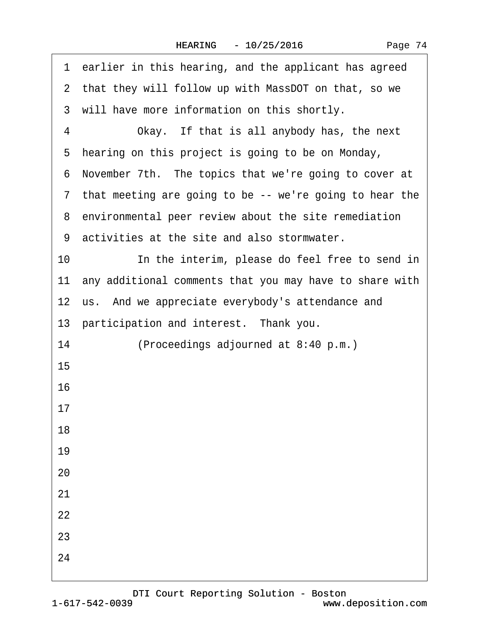|  | Page 74 |  |
|--|---------|--|
|--|---------|--|

<span id="page-73-0"></span>

| 1 earlier in this hearing, and the applicant has agreed    |
|------------------------------------------------------------|
| 2 that they will follow up with MassDOT on that, so we     |
| 3 will have more information on this shortly.              |
| Okay. If that is all anybody has, the next<br>4            |
| 5 hearing on this project is going to be on Monday,        |
| 6 November 7th. The topics that we're going to cover at    |
| 7 that meeting are going to be -- we're going to hear the  |
| 8 environmental peer review about the site remediation     |
| 9 activities at the site and also stormwater.              |
| 10<br>In the interim, please do feel free to send in       |
| 11 any additional comments that you may have to share with |
| 12 us. And we appreciate everybody's attendance and        |
| 13 participation and interest. Thank you.                  |
| 14<br>(Proceedings adjourned at 8:40 p.m.)                 |
| 15                                                         |
| 16                                                         |
| 17                                                         |
| 18                                                         |
| 19                                                         |
| 20                                                         |
| 21                                                         |
| 22                                                         |
| 23                                                         |
| 24                                                         |
|                                                            |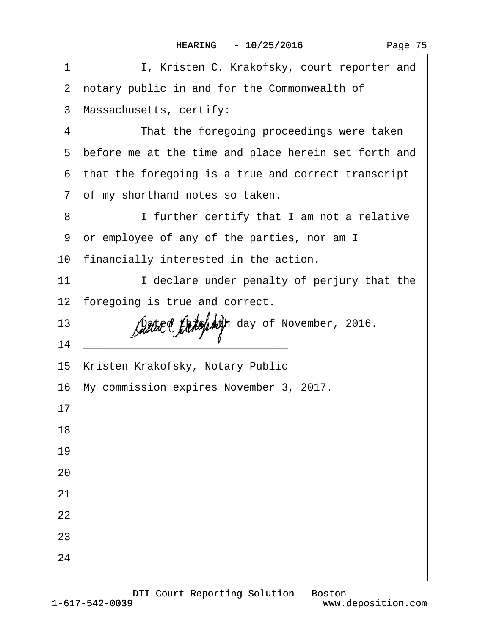| 1  | I, Kristen C. Krakofsky, court reporter and            |
|----|--------------------------------------------------------|
|    | 2 notary public in and for the Commonwealth of         |
|    | 3 Massachusetts, certify:                              |
| 4  | That the foregoing proceedings were taken              |
|    | 5 before me at the time and place herein set forth and |
|    | 6 that the foregoing is a true and correct transcript  |
|    | 7 of my shorthand notes so taken.                      |
| 8  | I further certify that I am not a relative             |
|    | 9 or employee of any of the parties, nor am I          |
|    | 10 financially interested in the action.               |
| 11 | I declare under penalty of perjury that the            |
|    | 12 foregoing is true and correct.                      |
| 13 | Dated this 4th day of November, 2016.                  |
| 14 |                                                        |
|    | 15 Kristen Krakofsky, Notary Public                    |
|    | 16 My commission expires November 3, 2017.             |
| 17 |                                                        |
| 18 |                                                        |
| 19 |                                                        |
| 20 |                                                        |
| 21 |                                                        |
| 22 |                                                        |
| 23 |                                                        |
| 24 |                                                        |
|    |                                                        |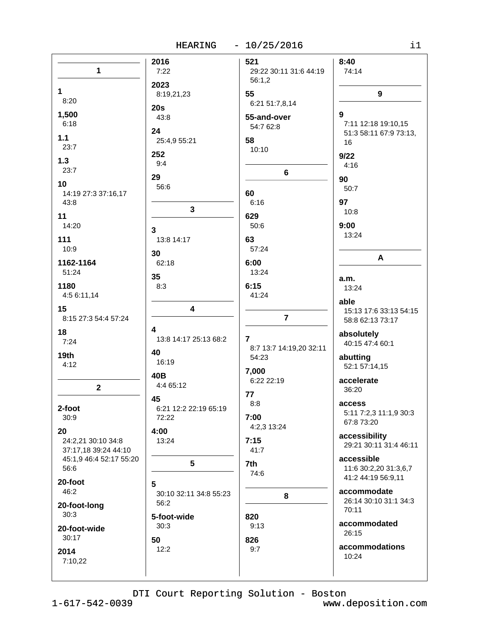## HEARING - 10/25/2016

|                         | 2016                   | 521                     | 8:40                   |
|-------------------------|------------------------|-------------------------|------------------------|
| 1                       | 7:22                   | 29:22 30:11 31:6 44:19  | 74:14                  |
|                         |                        | 56:1,2                  |                        |
|                         | 2023                   |                         |                        |
| 1                       | 8:19,21,23             | 55                      | 9                      |
| 8:20                    |                        |                         |                        |
|                         | 20s                    | 6:21 51:7,8,14          |                        |
| 1,500                   | 43:8                   | 55-and-over             | 9                      |
| 6:18                    |                        |                         | 7:11 12:18 19:10,15    |
|                         | 24                     | 54:7 62:8               | 51:3 58:11 67:9 73:13, |
| 1.1                     | 25:4,9 55:21           | 58                      |                        |
| 23:7                    |                        |                         | 16                     |
|                         | 252                    | 10:10                   | 9/22                   |
| 1.3                     | 9:4                    |                         |                        |
| 23:7                    |                        |                         | 4:16                   |
|                         | 29                     | $6\phantom{a}$          |                        |
| 10                      |                        |                         | 90                     |
| 14:19 27:3 37:16,17     | 56:6                   | 60                      | 50:7                   |
|                         |                        |                         |                        |
| 43:8                    |                        | 6:16                    | 97                     |
|                         | 3                      |                         | 10:8                   |
| 11                      |                        | 629                     |                        |
| 14:20                   | 3                      | 50:6                    | 9:00                   |
|                         |                        |                         | 13:24                  |
| 111                     | 13:8 14:17             | 63                      |                        |
| 10:9                    | 30                     | 57:24                   |                        |
|                         |                        |                         | A                      |
| 1162-1164               | 62:18                  | 6:00                    |                        |
| 51:24                   | 35                     | 13:24                   |                        |
|                         |                        |                         | a.m.                   |
| 1180                    | 8:3                    | 6:15                    | 13:24                  |
| 4:5 6:11,14             |                        | 41:24                   |                        |
|                         |                        |                         | able                   |
| 15                      | 4                      |                         | 15:13 17:6 33:13 54:15 |
| 8:15 27:3 54:4 57:24    |                        | $\overline{7}$          | 58:8 62:13 73:17       |
|                         | 4                      |                         |                        |
| 18                      |                        |                         | absolutely             |
| 7:24                    | 13:8 14:17 25:13 68:2  | 7                       | 40:15 47:4 60:1        |
|                         | 40                     | 8:7 13:7 14:19,20 32:11 |                        |
| 19 <sub>th</sub>        |                        | 54:23                   | abutting               |
| 4:12                    | 16:19                  |                         | 52:1 57:14,15          |
|                         | 40B                    | 7,000                   |                        |
|                         |                        | 6:22 22:19              | accelerate             |
| $\mathbf{2}$            | 4:4 65:12              |                         | 36:20                  |
|                         |                        | 77                      |                        |
|                         | 45                     | 8:8                     | access                 |
| 2-foot                  | 6:21 12:2 22:19 65:19  |                         | 5:11 7:2,3 11:1,9 30:3 |
| 30:9                    | 72:22                  | 7:00                    |                        |
|                         |                        | 4:2,3 13:24             | 67:8 73:20             |
| 20                      | 4:00                   |                         | accessibility          |
| 24:2,21 30:10 34:8      | 13:24                  | 7:15                    | 29:21 30:11 31:4 46:11 |
| 37:17,18 39:24 44:10    |                        | 41:7                    |                        |
| 45:1,9 46:4 52:17 55:20 |                        |                         | accessible             |
|                         | 5                      | 7th                     |                        |
| 56:6                    |                        | 74:6                    | 11:6 30:2,20 31:3,6,7  |
| 20-foot                 |                        |                         | 41:2 44:19 56:9,11     |
|                         | 5                      |                         |                        |
| 46:2                    | 30:10 32:11 34:8 55:23 | 8                       | accommodate            |
| 20-foot-long            | 56:2                   |                         | 26:14 30:10 31:1 34:3  |
|                         |                        |                         | 70:11                  |
| 30:3                    | 5-foot-wide            | 820                     |                        |
| 20-foot-wide            | 30:3                   | 9:13                    | accommodated           |
|                         |                        |                         | 26:15                  |
| 30:17                   | 50                     | 826                     |                        |
| 2014                    | 12:2                   | 9:7                     | accommodations         |
|                         |                        |                         | 10:24                  |
| 7:10,22                 |                        |                         |                        |
|                         |                        |                         |                        |

DTI Court Reporting Solution - Boston

 $1 - 617 - 542 - 0039$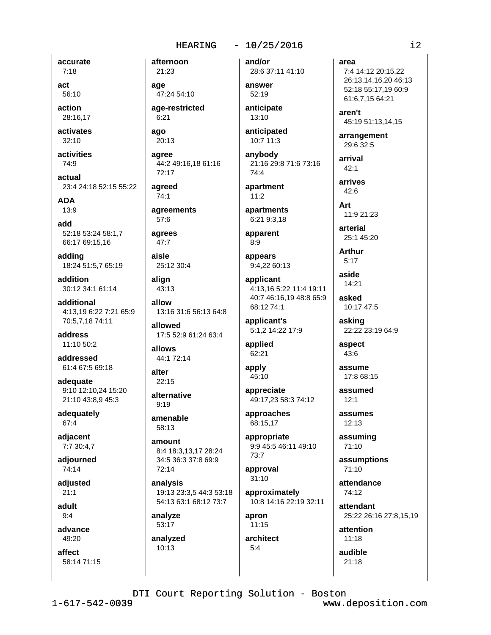accurate

 $7:18$ act 56:10

action

28:16,17 activates

 $32:10$ 

activities 74:9

actual 23:4 24:18 52:15 55:22

**ADA** 

 $13:9$ 

add 52:18 53:24 58:1.7 66:17 69:15,16

adding 18:24 51:5,7 65:19

addition 30:12 34:1 61:14

additional 4:13.19 6:22 7:21 65:9 70:5,7,18 74:11

address 11:10 50:2

addressed 61:4 67:5 69:18

adequate 9:10 12:10,24 15:20 21:10 43:8,9 45:3

adequately 67:4

adjacent 7:7 30:4,7

adjourned  $74:14$ 

adiusted  $21.1$ 

adult  $9:4$ 

advance 49:20

affect 58:14 71:15

21:23 age 47:24 54:10

age-restricted  $6:21$ 

ago  $20:13$ 

afternoon

agree 44:2 49:16,18 61:16 72:17

agreed  $74:1$ 

agreements  $57:6$ 

agrees  $47:7$ 

aisle 25:12 30:4

alian 43:13

allow 13:16 31:6 56:13 64:8

allowed 17:5 52:9 61:24 63:4

allows 44:1 72:14

alter  $22:15$ 

alternative  $9:19$ 

amenable 58:13

amount 8:4 18:3,13,17 28:24 34:5 36:3 37:8 69:9  $72:14$ 

analysis 19:13 23:3,5 44:3 53:18 54:13 63:1 68:12 73:7

analyze 53:17

analyzed 10:13

and/or

28:6 37:11 41:10 answer 52:19

anticipate 13:10

anticipated 10:7 11:3

anybody 21:16 29:8 71:6 73:16  $7A \cdot A$ 

apartment  $11:2$ 

apartments 6:21 9:3,18

apparent  $8:9$ 

appears 9:4,22 60:13

applicant 4:13,16 5:22 11:4 19:11 40:7 46:16,19 48:8 65:9 68:12 74:1

applicant's 5:1,2 14:22 17:9

applied 62:21

apply 45:10

appreciate 49:17,23 58:3 74:12

approaches 68:15,17

appropriate 9:9 45:5 46:11 49:10 73:7

approval  $31:10$ 

approximately 10:8 14:16 22:19 32:11

apron  $11:15$ 

architect  $5:4$ 

area

7:4 14:12 20:15,22 26:13,14,16,20 46:13 52:18 55:17,19 60:9 61:6.7.15 64:21

aren't 45:19 51:13,14,15

arrangement 29:6 32:5

arrival  $42:1$ 

arrives  $42:6$ 

Art 11:9 21:23

arterial 25:1 45:20

**Arthur**  $5:17$ 

> aside 14:21

asked 10:17 47:5

asking 22:22 23:19 64:9

aspect 43:6

assume

17:8 68:15 assumed

 $12:1$ 

assumes 12:13

assuming 71:10

assumptions  $71:10$ 

attendance 74:12

attendant 25:22 26:16 27:8,15,19

attention  $11.18$ 

audible

 $21:18$ 

DTI Court Reporting Solution - Boston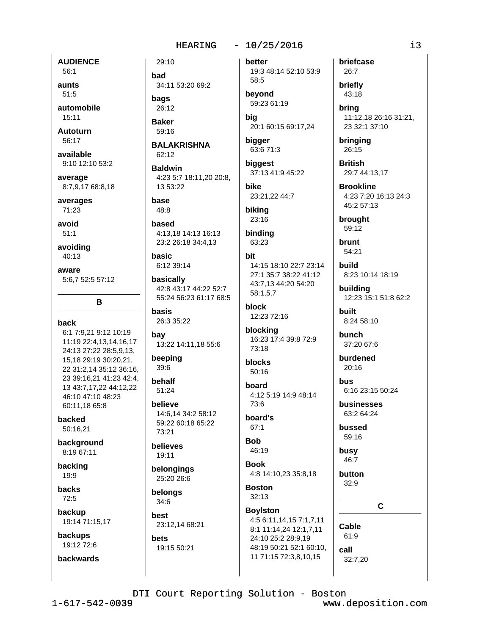**AUDIENCE** 

56:1 aunts  $51:5$ 

automobile 15:11

**Autoturn** 56:17

available 9:10 12:10 53:2

average 8:7,9,17 68:8,18

averages 71:23

avoid  $51:1$ 

avoiding 40:13

aware 5:6.7 52:5 57:12

## back

6:1 7:9.21 9:12 10:19 11:19 22:4,13,14,16,17 24:13 27:22 28:5,9,13, 15.18 29:19 30:20.21. 22 31:2,14 35:12 36:16, 23 39:16,21 41:23 42:4, 13 43:7,17,22 44:12,22 46:10 47:10 48:23 60:11,18 65:8

B

backed 50:16.21

background 8:19 67:11

backing 19:9

backs  $72:5$ 

backup 19:14 71:15,17

**backups** 19:12 72:6

backwards

had 34:11 53:20 69:2 bags 26:12

**Baker** 59:16

29:10

**BALAKRISHNA** 62:12

**Baldwin** 4:23 5:7 18:11.20 20:8. 13 53:22

base 48:8

based 4:13.18 14:13 16:13 23:2 26:18 34:4,13

basic 6:12 39:14

basically 42:8 43:17 44:22 52:7 55:24 56:23 61:17 68:5

**basis** 26:3 35:22

bay 13:22 14:11,18 55:6

beeping  $39:6$ 

behalf 51:24

believe 14:6.14 34:2 58:12 59:22 60:18 65:22 73:21

believes 19:11

belongings

25:20 26:6 belongs

34:6 best

23:12,14 68:21 **bets** 

19:15 50:21

better

19:3 48:14 52:10 53:9 58:5 bevond 59:23 61:19

big 20:1 60:15 69:17,24

bigger 63:6 71:3

biggest 37:13 41:9 45:22

bike 23:21,22 44:7

biking 23:16

binding 63:23

### hit

14:15 18:10 22:7 23:14 27:1 35:7 38:22 41:12 43:7,13 44:20 54:20 58:1,5,7

**block** 12:23 72:16

blocking 16:23 17:4 39:8 72:9

blocks 50:16

73:18

board 4:12 5:19 14:9 48:14 73:6

board's  $67:1$ 

**Bob** 46:19

**Book** 4:8 14:10,23 35:8,18

**Boston**  $32:13$ 

**Boylston** 4:5 6:11,14,15 7:1,7,11 8:1 11:14,24 12:1,7,11 24:10 25:2 28:9,19 48:19 50:21 52:1 60:10, 11 71:15 72:3,8,10,15

briefcase 26:7 briefly 43:18

brina 11:12,18 26:16 31:21, 23 32:1 37:10

bringing 26:15

**British** 29:7 44:13,17

**Brookline** 4:23 7:20 16:13 24:3 45:2 57:13

brought 59:12

**brunt** 54:21

build 8:23 10:14 18:19

building 12:23 15:1 51:8 62:2

**built** 8:24 58:10

bunch 37:20 67:6

burdened  $20:16$ 

bus 6:16 23:15 50:24

businesses 63:2 64:24

bussed 59:16

busy 46:7

button  $32:9$ 

 $\mathbf{C}$ 

Cable  $61:9$ 

call

32:7,20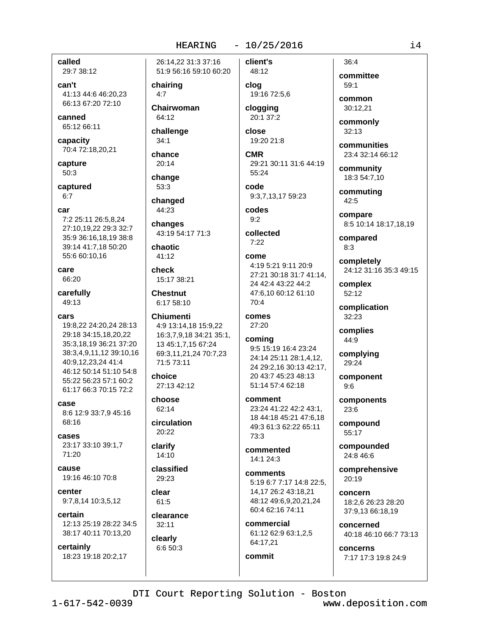### called

29:7 38:12

can't 41:13 44:6 46:20.23 66:13 67:20 72:10

canned 65:12 66:11

capacity 70:4 72:18,20,21

capture 50:3

captured  $6.7$ 

- car
- 7:2 25:11 26:5,8,24 27:10,19,22 29:3 32:7 35:9 36:16,18,19 38:8 39:14 41:7,18 50:20 55:6 60:10,16

care 66:20

carefully

49:13

cars 19:8,22 24:20,24 28:13 29:18 34:15.18.20.22 35:3,18,19 36:21 37:20 38:3,4,9,11,12 39:10,16 40:9,12,23,24 41:4 46:12 50:14 51:10 54:8 55:22 56:23 57:1 60:2 61:17 66:3 70:15 72:2

case 8:6 12:9 33:7,9 45:16 68:16

cases 23:17 33:10 39:1,7 71:20

cause 19:16 46:10 70:8

center 9:7,8,14 10:3,5,12

certain 12:13 25:19 28:22 34:5 38:17 40:11 70:13,20

certainly

18:23 19:18 20:2,17

26:14.22 31:3 37:16 51:9 56:16 59:10 60:20

chairing  $4:7$ 

Chairwoman 64:12

challenge  $34:1$ 

chance

20:14 change  $53:3$ 

changed 44:23

changes

43:19 54:17 71:3

chaotic 41:12

check 15:17 38:21

**Chestnut** 6:17 58:10

**Chiumenti** 4:9 13:14.18 15:9.22 16:3,7,9,18 34:21 35:1, 13 45:1,7,15 67:24 69:3,11,21,24 70:7,23 71:5 73:11

choice 27:13 42:12

choose 62:14

circulation 20:22

clarify 14:10

classified 29:23 clear

61:5 clearance

 $32:11$ clearly

6:6 50:3

client's 48:12

> clog 19:16 72:5,6 clogging

20:1 37:2 close

19:20 21:8

**CMR** 29:21 30:11 31:6 44:19  $55:24$ code

9:3,7,13,17 59:23

codes  $9:2$ 

collected

 $7.22$ come

> 4:19 5:21 9:11 20:9 27:21 30:18 31:7 41:14, 24 42:4 43:22 44:2 47:6,10 60:12 61:10 70:4

comes 27:20

```
coming
9:5 15:19 16:4 23:24
24:14 25:11 28:1,4,12,
24 29:2,16 30:13 42:17,
20 43:7 45:23 48:13
51:14 57:4 62:18
```
comment 23:24 41:22 42:2 43:1, 18 44:18 45:21 47:6.18 49:3 61:3 62:22 65:11 73:3

commented 14:1 24:3

comments 5:19 6:7 7:17 14:8 22:5, 14.17 26:2 43:18.21 48:12 49:6,9,20,21,24 60:4 62:16 74:11

commercial 61:12 62:9 63:1,2,5 64:17,21

commit

 $36:4$ committee 59:1

common 30:12.21

commonly  $32:13$ 

communities 23:4 32:14 66:12

community 18:3 54:7,10

commuting 42:5

compare 8:5 10:14 18:17,18,19

compared  $8:3$ 

completely 24:12 31:16 35:3 49:15

complex 52:12

complication 32:23

complies 44:9

complying 29:24

component  $9:6$ 

components  $23:6$ 

compound 55:17

compounded 24:8 46:6

comprehensive  $20:19$ 

concern 18:2,6 26:23 28:20 37:9,13 66:18,19

concerned 40:18 46:10 66:7 73:13

concerns 7:17 17:3 19:8 24:9

www.deposition.com

 $i4$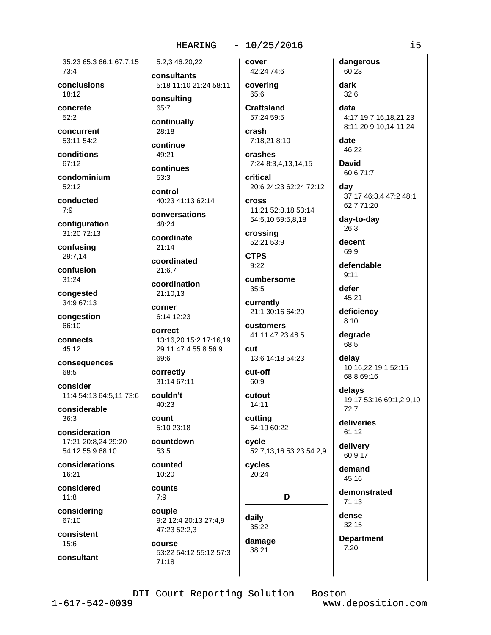#### $-10/25/2016$

cover

35:23 65:3 66:1 67:7.15 73:4

conclusions  $18:12$ 

concrete  $52:2$ 

concurrent 53:11 54:2

conditions 67:12

condominium 52:12

conducted  $7:9$ 

configuration 31:20 72:13

confusing 29:7,14

confusion  $31:24$ 

congested 34:9 67:13

congestion 66:10

connects 45:12

consequences 68:5

consider 11:4 54:13 64:5,11 73:6

considerable  $36.3$ 

consideration 17:21 20:8,24 29:20 54:12 55:9 68:10

considerations  $16:21$ 

considered  $11:8$ 

considering 67:10

consistent

 $15:6$ consultant consultants 5:18 11:10 21:24 58:11 consultina

5:2.3 46:20.22

65:7 continually

28:18 continue

49:21

continues 53:3

control 40:23 41:13 62:14

conversations 48:24

coordinate  $21:14$ 

coordinated 21:6.7

coordination

21:10.13 corner 6:14 12:23

correct 13:16,20 15:2 17:16,19 29:11 47:4 55:8 56:9 69:6

correctly 31:14 67:11

couldn't 40:23

**COUNT** 5:10 23:18

countdown  $53:5$ 

counted 10:20

counts  $7:9$ 

couple 9:2 12:4 20:13 27:4,9 47:23 52:2.3

**COULSE** 53:22 54:12 55:12 57:3  $71:18$ 

42:24 74:6 covering 65:6

Craftsland 57:24 59:5

crash 7:18.21 8:10

crashes 7:24 8:3,4,13,14,15

critical 20:6 24:23 62:24 72:12 **cross** 

11:21 52:8,18 53:14 54:5,10 59:5,8,18

crossing 52:21 53:9

**CTPS**  $9:22$ 

cumbersome  $35:5$ 

currently 21:1 30:16 64:20

customers 41:11 47:23 48:5

cut 13:6 14:18 54:23

cut-off  $60:9$ 

cutout  $14:11$ 

cutting 54:19 60:22

cycle 52:7,13,16 53:23 54:2,9

cycles 20:24

D

daily 35:22 damage

38:21

dark  $32:6$ data 4:17,19 7:16,18,21,23 8:11,20 9:10,14 11:24

date 46:22

dangerous

60:23

**David** 60:6 71:7

dav 37:17 46:3,4 47:2 48:1 62:7 71:20

day-to-day 26:3

decent 69:9

defendable

 $9:11$ 

defer 45:21

deficiency  $8:10$ 

degrade 68:5

delay 10:16,22 19:1 52:15 68:8 69:16

delays 19:17 53:16 69:1,2,9,10  $72:7$ 

deliveries 61:12

delivery 60:9,17

demand  $45:16$ 

demonstrated 71:13

dense  $32:15$ 

**Department**  $7:20$ 

www.deposition.com

 $\frac{1}{1}$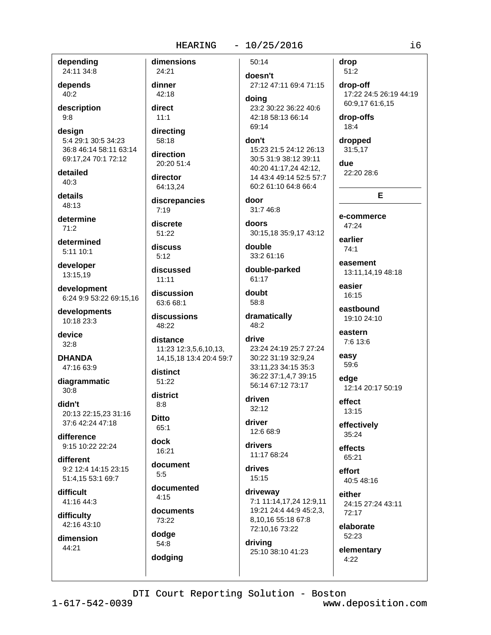depending 24:11 34:8

depends  $40:2$ 

description  $9:8$ 

design 5:4 29:1 30:5 34:23 36:8 46:14 58:11 63:14 69:17,24 70:1 72:12

detailed  $40:3$ 

details 48:13

determine  $71.2$ 

determined 5:11 10:1

developer 13:15,19

development 6:24 9:9 53:22 69:15,16

developments 10:18 23:3

device  $32:8$ 

**DHANDA** 47:16 63:9

diagrammatic  $30:8$ 

didn't 20:13 22:15.23 31:16 37:6 42:24 47:18

difference 9:15 10:22 22:24

different 9:2 12:4 14:15 23:15 51:4.15 53:1 69:7

difficult 41:16 44:3

difficulty 42:16 43:10

dimension 44:21

dimensions 24:21 dinner 42:18 direct  $11:1$ directing 58:18 direction 20:20 51:4 director 64:13.24 discrepancies  $7:19$ discrete 51:22 discuss  $5:12$ discussed  $11:11$ discussion 63:6 68:1 discussions 48:22 distance 11:23 12:3,5,6,10,13, 14, 15, 18 13: 4 20: 4 59: 7 distinct  $51:22$ district  $8:8$ **Ditto** 65:1 dock 16:21 document  $5:5$ 

documented  $4:15$ 

documents 73:22

dodge 54:8 dodging

 $50:14$ 

doesn't 27:12 47:11 69:4 71:15

doina 23:2 30:22 36:22 40:6 42:18 58:13 66:14 69:14

don't 15:23 21:5 24:12 26:13 30:5 31:9 38:12 39:11 40:20 41:17,24 42:12, 14 43:4 49:14 52:5 57:7 60:2 61:10 64:8 66:4

door 31:7 46:8

doors 30:15,18 35:9,17 43:12

double 33:2 61:16

double-parked 61:17

doubt 58:8

dramatically 48:2

drive 23:24 24:19 25:7 27:24 30:22 31:19 32:9,24 33:11,23 34:15 35:3 36:22 37:1.4.7 39:15 56:14 67:12 73:17

driven  $32:12$ 

driver 12:6 68:9

drivers 11:17 68:24

drives  $15:15$ 

driveway 7:1 11:14,17,24 12:9,11 19:21 24:4 44:9 45:2.3. 8,10,16 55:18 67:8 72:10,16 73:22

driving 25:10 38:10 41:23 drop  $51:2$ 

drop-off 17:22 24:5 26:19 44:19 60:9,17 61:6,15

drop-offs 18:4

dropped 31:5,17

due 22:20 28:6

E e-commerce

47:24 earlier

 $74.1$ 

easement 13:11,14,19 48:18

easier  $16.15$ 

eastbound 19:10 24:10

eastern 7:6 13:6

easy 59:6

edae 12:14 20:17 50:19

effect 13:15

effectively  $35:24$ 

effects 65:21

effort 40:5 48:16

either 24:15 27:24 43:11 72:17

elaborate 52:23

elementary  $4:22$ 

DTI Court Reporting Solution - Boston

 $1 - 617 - 542 - 0039$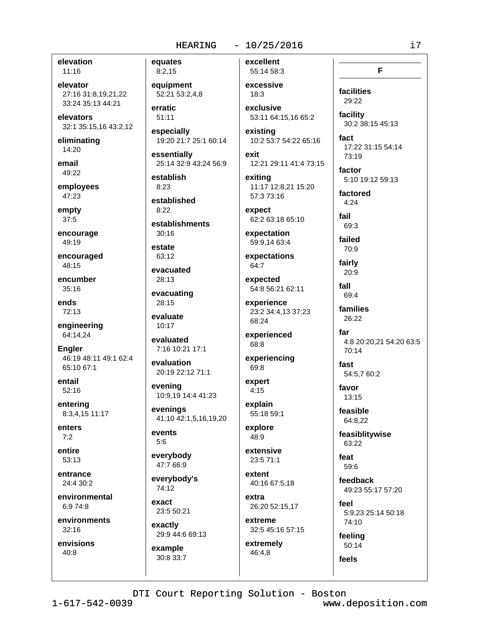elevation  $11:16$ 

elevator 27:16 31:8.19.21.22 33:24 35:13 44:21

elevators 32:1 35:15,16 43:2,12

eliminating  $14:20$ 

email 49:22

employees 47:23

empty  $37:5$ 

encourage 49:19

encouraged 48:15

encumber 35:16

ends 72:13

engineering 64:14,24

Engler 46:19 48:11 49:1 62:4  $65:1067:1$ 

entail 52:16

entering 8:3,4,15 11:17

enters  $7:2$ 

entire  $53:13$ 

entrance 24:4 30:2

environmental 6:9 74:8

environments  $32:16$ 

 $1 - 617 - 542 - 0039$ 

envisions 40:8

equates  $8:2,15$ 

equipment 52:21 53:2.4.8

erratic 51:11

especially 19:20 21:7 25:1 60:14

essentially 25:14 32:9 43:24 56:9

establish  $8:23$ 

established  $8:22$ 

establishments

 $30:16$ 

estate 63:12

evacuated 28:13

evacuating 28:15

evaluate  $10:17$ 

evaluated

7:16 10:21 17:1 evaluation

20:19 22:12 71:1 evening

10:9,19 14:4 41:23 evenings 41:10 42:1,5,16,19,20

events  $5:6$ 

everybody 47:7 66:9

everybody's 74:12

exact 23:5 50:21

exactly 29:9 44:6 69:13

example 30:8 33:7 excellent 55:14 58:3

excessive  $18:3$ 

exclusive 53:11 64:15,16 65:2

existing 10:2 53:7 54:22 65:16

exit 12:21 29:11 41:4 73:15

exitina 11:17 12:8.21 15:20 57:3 73:16

expect 62:2 63:18 65:10

expectation 59:9.14 63:4

expectations 64:7

54:8 56:21 62:11

23:2 34:4,13 37:23 68:24

experienced 68:8

experiencing 69:8

 $4:15$ 

55:18 59:1

48:9

23:5 71:1

40:16 67:5,18

extra 26:20 52:15,17

extreme 32:5 45:16 57:15 extremely

46:4,8

DTI Court Reporting Solution - Boston

F

i7

facilities 29:22

facility 30:2 38:15 45:13

fact 17:22 31:15 54:14 73:19

factor 5:10 19:12 59:13

factored

 $4:24$ fail  $69:3$ 

failed

70:9 fairly

20:9 fall

 $69.4$ families

26:22 far

4:8 20:20.21 54:20 63:5 70:14

fast 54:5,7 60:2

favor 13:15

feasible 64:8,22

feasiblitywise 63:22

feat  $596$ 

feedback 49:23 55:17 57:20

feel 5:9.23 25:14 50:18 74:10

www.deposition.com

feeling 50:14

feels

expected

experience

expert

explain

explore

extensive

extent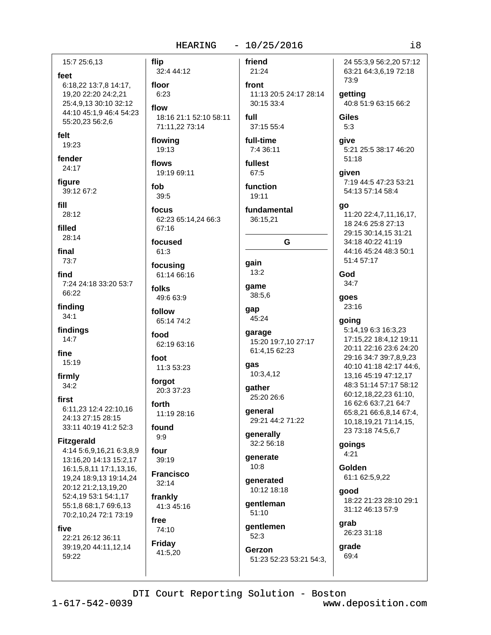15:7 25:6.13

feet 6:18,22 13:7,8 14:17, 19,20 22:20 24:2,21 25:4,9,13 30:10 32:12 44:10 45:1,9 46:4 54:23 55:20,23 56:2,6

flip

fob

felt

19:23

fender 24:17

figure 39:12 67:2

fill

28:12

filled  $28:14$ 

final 73:7

find 7:24 24:18 33:20 53:7 66:22

finding  $34:1$ 

findings  $14:7$ 

fine 15:19

firmly  $34:2$ 

first 6:11.23 12:4 22:10.16 24:13 27:15 28:15 33:11 40:19 41:2 52:3

#### **Fitzgerald**

4:14 5:6,9,16,21 6:3,8,9 13:16,20 14:13 15:2,17 16:1,5,8,11 17:1,13,16, 19,24 18:9,13 19:14,24 20:12 21:2,13,19,20 52:4,19 53:1 54:1,17 55:1,8 68:1,7 69:6,13 70:2,10,24 72:1 73:19

free

74:10

Friday

41:5,20

five

22:21 26:12 36:11 39:19,20 44:11,12,14 59:22

friend 32:4 44:12 21:24 floor front 11:13 20:5 24:17 28:14  $6:23$ 30:15 33:4 flow 18:16 21:1 52:10 58:11 full 71:11,22 73:14 37:15 55:4 flowing full-time 19:13 7:4 36:11 flows fullest 19:19 69:11 67:5  $39:5$ 19:11 focus 62:23 65:14,24 66:3 67:16 focused 61:3 gain focusing  $13:2$ 61:14 66:16 game folks 38:5,6 49:6 63:9 gap follow 45:24 65:14 74:2 garage food 62:19 63:16 foot gas 11:3 53:23 forgot qather 20:3 37:23 forth general 11:19 28:16 found generally  $9:9$ four generate  $39:19$  $10:8$ **Francisco**  $32:14$ frankly 41:3 45:16

function fundamental 36:15,21 G 15:20 19:7,10 27:17 61:4,15 62:23 10:3,4,12 25:20 26:6 29:21 44:2 71:22

32:2 56:18

generated 10:12 18:18

gentleman  $51:10$ 

qentlemen  $52:3$ 

Gerzon 51:23 52:23 53:21 54:3,

24 55:3.9 56:2.20 57:12 63:21 64:3,6,19 72:18 73:9 getting 40:8 51:9 63:15 66:2 Giles  $5:3$ give 5:21 25:5 38:17 46:20  $51:18$ given 7:19 44:5 47:23 53:21 54:13 57:14 58:4

go

11:20 22:4,7,11,16,17, 18 24:6 25:8 27:13 29:15 30:14,15 31:21 34:18 40:22 41:19 44:16 45:24 48:3 50:1 51:4 57:17

God  $34:7$ 

goes  $23:16$ 

#### going

5:14,19 6:3 16:3,23 17:15.22 18:4.12 19:11 20:11 22:16 23:6 24:20 29:16 34:7 39:7,8,9,23 40:10 41:18 42:17 44:6. 13,16 45:19 47:12,17 48:3 51:14 57:17 58:12 60:12,18,22,23 61:10, 16 62:6 63:7,21 64:7 65:8,21 66:6,8,14 67:4, 10,18,19,21 71:14,15, 23 73:18 74:5,6,7

goings  $4:21$ 

> Golden 61:1 62:5,9,22

aood 18:22 21:23 28:10 29:1 31:12 46:13 57:9

grab 26:23 31:18

qrade 69:4

DTI Court Reporting Solution - Boston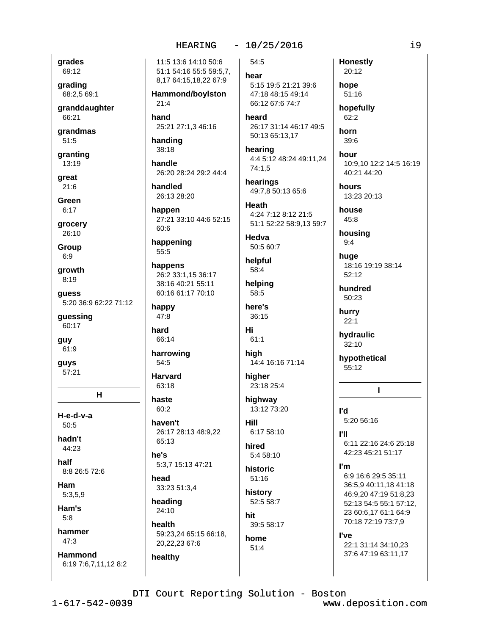### $-10/25/2016$

grades 69:12

grading 68:2,5 69:1

granddaughter 66:21

grandmas  $51:5$ 

granting 13:19

great  $21:6$ 

Green  $6:17$ 

grocery 26:10

**Group** 

 $6:9$ 

growth  $8:19$ 

guess 5:20 36:9 62:22 71:12

guessing 60:17

guy 61:9

**guys**  $57:21$ 

н

H-e-d-v-a  $50:5$ 

hadn't 44:23

half 8:8 26:5 72:6

Ham

 $5:3,5,9$ 

Ham's  $5:8$ 

hammer

 $47:3$ 

**Hammond** 6:19 7:6,7,11,12 8:2

11:5 13:6 14:10 50:6 51:1 54:16 55:5 59:5,7, 8,17 64:15,18,22 67:9 Hammond/boylston  $21:4$ hand 25:21 27:1,3 46:16

handing 38:18

handle 26:20 28:24 29:2 44:4

handled 26:13 28:20

happen 27:21 33:10 44:6 52:15  $60:6$ 

happening 55:5

happens 26:2 33:1,15 36:17 38:16 40:21 55:11 60:16 61:17 70:10

happy  $47:8$ 

hard 66:14

harrowing  $54:5$ 

**Harvard**  $63:18$ 

haste  $60:2$ 

haven't 26:17 28:13 48:9.22 65:13

he's 5:3,7 15:13 47:21

head 33:23 51:3,4

heading  $24:10$ 

healthy

health 59:23,24 65:15 66:18, 20,22,23 67:6

54:5

hear 5:15 19:5 21:21 39:6 47:18 48:15 49:14

66:12 67:6 74:7 heard 26:17 31:14 46:17 49:5

50:13 65:13.17 hearing

4:4 5:12 48:24 49:11,24  $74:1,5$ 

hearings 49:7.8 50:13 65:6

Heath 4:24 7:12 8:12 21:5 51:1 52:22 58:9,13 59:7

Hedva 50:5 60:7

helpful

58:4 helping

58:5 here's 36:15

Hi

 $61:1$ 

high 14:4 16:16 71:14

higher 23:18 25:4

highway 13:12 73:20

Hill 6:17 58:10

> hired 5:4 58:10

historic  $51:16$ 

history 52:5 58:7

hit 39:5 58:17

home  $51:4$ 

**Honestly** 20:12 hope  $51:16$ 

hopefully 62:2

horn

 $39:6$ hour

10:9,10 12:2 14:5 16:19 40:21 44:20

hours 13:23 20:13

house 45:8

> housing  $9:4$

huge 18:16 19:19 38:14  $52:12$ 

hundred 50:23

hurry  $22:1$ 

hydraulic  $32:10$ 

hypothetical  $55:12$ 

## $\mathbf{I}$

l'd 5:20 56:16

ľШ 6:11 22:16 24:6 25:18 42:23 45:21 51:17

#### l'm

6:9 16:6 29:5 35:11 36:5,9 40:11,18 41:18 46:9,20 47:19 51:8,23 52:13 54:5 55:1 57:12, 23 60:6,17 61:1 64:9 70:18 72:19 73:7,9

#### l've

22:1 31:14 34:10,23 37:6 47:19 63:11,17

DTI Court Reporting Solution - Boston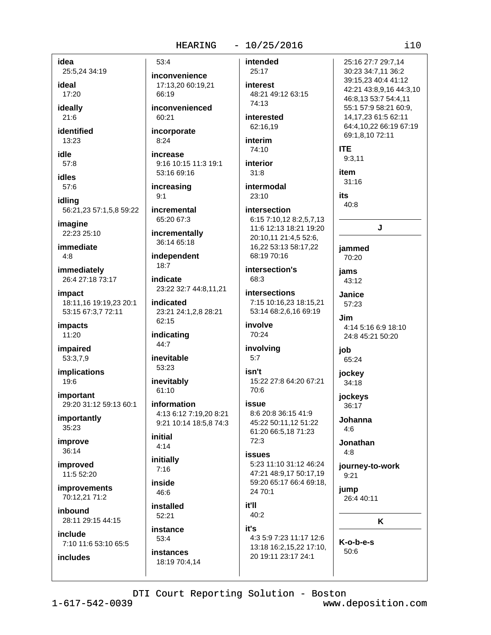#### $-10/25/2016$

idea 25:5,24 34:19

ideal 17:20

ideally  $21:6$ 

identified  $13:23$ 

idle 57:8

**idles** 

57:6 idlina

56:21,23 57:1,5,8 59:22 imagine

22:23 25:10

immediate  $4:8$ 

immediately 26:4 27:18 73:17

impact 18:11.16 19:19.23 20:1 53:15 67:3,7 72:11

**impacts** 11:20

impaired 53:3,7,9

**implications** 19:6

**important** 29:20 31:12 59:13 60:1

importantly 35:23

improve 36:14

improved 11:5 52:20

*includes* 

improvements 70:12,21 71:2

inbound 28:11 29:15 44:15

include 7:10 11:6 53:10 65:5 inconvenience 17:13,20 60:19,21 66:19 inconvenienced

53:4

 $8:24$ 

60:21 incorporate

increase 9:16 10:15 11:3 19:1 53:16 69:16

increasing  $9:1$ 

incremental 65:20 67:3

incrementally 36:14 65:18

independent  $18:7$ 

indicate 23:22 32:7 44:8,11,21

indicated 23:21 24:1,2,8 28:21 62:15

indicating 44:7

inevitable 53:23

inevitably 61:10

information 4:13 6:12 7:19,20 8:21 9:21 10:14 18:5,8 74:3

initial  $4:14$ 

initially  $7:16$ 

inside 46:6

installed

52:21 instance

53:4 **instances** 

18:19 70:4,14

intended

25:17 interest 48:21 49:12 63:15 74:13

interested 62:16.19

interim

74:10 interior

 $31:8$ 

intermodal  $23:10$ 

### intersection 6:15 7:10,12 8:2,5,7,13 11:6 12:13 18:21 19:20 20:10,11 21:4,5 52:6, 16,22 53:13 58:17,22

intersection's 68:3

68:19 70:16

intersections 7:15 10:16,23 18:15,21 53:14 68:2,6,16 69:19 involve

## 70:24

involving  $5:7$ 

isn't 15:22 27:8 64:20 67:21  $70:6$ 

### issue 8:6 20:8 36:15 41:9 45:22 50:11,12 51:22 61:20 66:5,18 71:23

 $72:3$ **issues** 5:23 11:10 31:12 46:24

47:21 48:9,17 50:17,19 59:20 65:17 66:4 69:18, 24 70:1

## it'll

 $40:2$ it's 4:3 5:9 7:23 11:17 12:6 13:18 16:2,15,22 17:10,

20 19:11 23:17 24:1

 $9:3,11$ item  $31:16$ its 40:8 J jammed 70:20 **iams** 43:12

> Janice 57:23 .lim 4:14 5:16 6:9 18:10 24:8 45:21 50:20

iob

65:24 jockey

34:18 jockeys

36:17 Johanna

 $4:6$ 

Jonathan  $4:8$ 

journey-to-work  $9:21$ 

jump 26:4 40:11

K

K-o-b-e-s  $50.6$ 

### $110$

25:16 27:7 29:7.14

30:23 34:7,11 36:2

39:15,23 40:4 41:12

46:8,13 53:7 54:4,11

55:1 57:9 58:21 60:9, 14.17.23 61:5 62:11

64:4,10,22 66:19 67:19

69:1.8.10 72:11

**ITE** 

42:21 43:8,9,16 44:3,10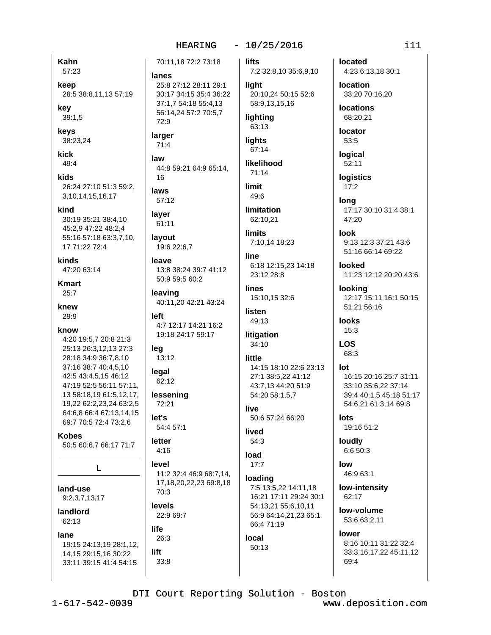Kahn 57:23

keep

28:5 38:8,11,13 57:19

kev

 $39:1,5$ 

keys 38:23,24

kick 49:4

kids 26:24 27:10 51:3 59:2. 3, 10, 14, 15, 16, 17

- kind 30:19 35:21 38:4,10
- 45:2,9 47:22 48:2,4 55:16 57:18 63:3,7,10, 17 71:22 72:4

kinds

47:20 63:14

**Kmart**  $25:7$ 

knew  $29.9$ 

know

4:20 19:5,7 20:8 21:3 25:13 26:3,12,13 27:3 28:18 34:9 36:7,8,10 37:16 38:7 40:4,5,10 42:5 43:4.5.15 46:12 47:19 52:5 56:11 57:11. 13 58:18,19 61:5,12,17, 19,22 62:2,23,24 63:2,5 64:6.8 66:4 67:13.14.15 69:7 70:5 72:4 73:2,6

**Kobes** 

50:5 60:6,7 66:17 71:7

L

land-use 9:2,3,7,13,17

landlord 62:13

#### lane

19:15 24:13,19 28:1,12, 14, 15 29: 15, 16 30: 22 33:11 39:15 41:4 54:15

25:8 27:12 28:11 29:1 30:17 34:15 35:4 36:22 37:1.7 54:18 55:4.13 56:14,24 57:2 70:5,7 72:9 larger  $71:4$ law 44:8 59:21 64:9 65:14,

70:11.18 72:2 73:18

16

laws  $57:12$ 

lanes

laver 61:11

layout

19:6 22:6,7 leave 13:8 38:24 39:7 41:12 50:9 59:5 60:2

leaving 40:11,20 42:21 43:24

 $left$ 4:7 12:17 14:21 16:2 19:18 24:17 59:17

leg 13:12

legal 62:12

lessening 72:21

 $let's$ 54:4 57:1

letter  $4:16$ 

level 11:2 32:4 46:9 68:7.14.

17, 18, 20, 22, 23 69: 8, 18 70:3

**levels** 22:9 69:7

life 26:3

lift  $33:8$  **lifts** 7:2 32:8,10 35:6,9,10

light 20:10,24 50:15 52:6 58:9,13,15,16

lighting 63:13

lights 67:14

likelihood  $71:14$ 

limit 49:6

limitation 62:10,21

**limits** 7:10,14 18:23

line 6:18 12:15,23 14:18

23:12 28:8 lines 15:10,15 32:6

listen 49:13

litigation 34:10

little

14:15 18:10 22:6 23:13 27:1 38:5,22 41:12 43:7,13 44:20 51:9 54:20 58:1,5,7

live 50:6 57:24 66:20

lived  $54:3$ 

load  $17:7$ 

loading 7:5 13:5,22 14:11,18 16:21 17:11 29:24 30:1 54:13.21 55:6.10.11 56:9 64:14,21,23 65:1 66:4 71:19

local 50:13 located 4:23 6:13,18 30:1

**location** 

33:20 70:16.20 **locations** 

68:20,21

locator 53:5

logical

52:11

**logistics**  $17:2$ 

lona 17:17 30:10 31:4 38:1 47:20

 $Inok$ 

9:13 12:3 37:21 43:6 51:16 66:14 69:22

**Innked** 11:23 12:12 20:20 43:6

looking 12:17 15:11 16:1 50:15 51:21 56:16

**looks** 15:3

**LOS** 68:3

 $Int$ 16:15 20:16 25:7 31:11 33:10 35:6.22 37:14 39:4 40:1,5 45:18 51:17 54:6,21 61:3,14 69:8

lots 19:16 51:2

loudly 6:6 50:3

low 46:9 63:1

low-intensity 62:17

low-volume 53:6 63:2,11

lower 8:16 10:11 31:22 32:4 33:3,16,17,22 45:11,12 69:4

DTI Court Reporting Solution - Boston

www.deposition.com

 $i11$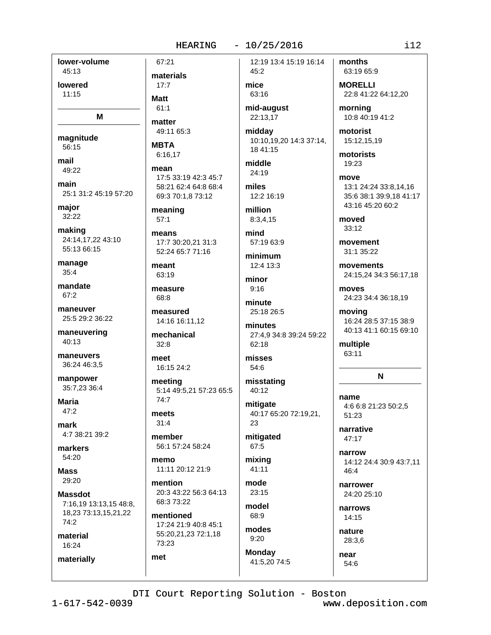### $-10/25/2016$

lower-volume 45:13 lowered

 $11:15$ 

M

magnitude 56:15

mail  $49.22$ 

main 25:1 31:2 45:19 57:20

major 32:22

making 24:14,17,22 43:10 55:13 66:15

manage  $35:4$ 

mandate  $67.2$ 

maneuver 25:5 29:2 36:22

maneuvering  $40:13$ 

maneuvers 36:24 46:3,5

manpower 35:7,23 36:4

**Maria**  $47:2$ 

mark 4:7 38:21 39:2

markers 54:20

**Mass** 29:20

**Massdot** 7:16,19 13:13,15 48:8, 18,23 73:13,15,21,22  $74:2$ material

16:24

materially

materials  $17:7$ 

**Matt** 

 $61.1$ 

67:21

matter

49:11 65:3 **MBTA** 

6:16.17

mean 17:5 33:19 42:3 45:7 58:21 62:4 64:8 68:4 69:3 70:1,8 73:12

meaning  $57:1$ 

means 17:7 30:20,21 31:3 52:24 65:7 71:16

meant  $63:19$ 

measure 68:8 measured

14:16 16:11,12 mechanical  $32:8$ 

meet 16:15 24:2

meeting 5:14 49:5,21 57:23 65:5 74:7

meets  $31:4$ 

member 56:1 57:24 58:24

memo 11:11 20:12 21:9

mention 20:3 43:22 56:3 64:13 68:3 73:22

mentioned 17:24 21:9 40:8 45:1 55:20,21,23 72:1,18 73:23

met

12:19 13:4 15:19 16:14 45:2

mice 63:16

mid-august 22:13,17

middav 10:10,19,20 14:3 37:14, 18 41:15

middle 24:19

miles 12:2 16:19 million

8:3,4,15 mind

57:19 63:9

minimum 12:4 13:3

minor  $9:16$ 

minute 25:18 26:5

minutes 27:4,9 34:8 39:24 59:22 62:18

misses 54:6

misstating 40:12

mitigate 40:17 65:20 72:19,21, 23

mitigated 67:5

mixing 41:11

mode  $23:15$ 

model 68:9 modes

 $9:20$ **Monday** 

41:5,20 74:5

months 63:19 65:9

**MORELLI** 22:8 41:22 64:12,20

mornina 10:8 40:19 41:2

motorist 15:12,15,19

motorists 19:23

move 13:1 24:24 33:8.14.16 35:6 38:1 39:9,18 41:17 43:16 45:20 60:2

moved  $33:12$ 

movement 31:1 35:22

movements 24:15.24 34:3 56:17.18

moves 24:23 34:4 36:18,19

moving 16:24 28:5 37:15 38:9 40:13 41:1 60:15 69:10

multiple 63:11

 $\mathbf N$ 

name 4:6 6:8 21:23 50:2,5 51:23

narrative  $47:17$ 

narrow 14:12 24:4 30:9 43:7.11 46:4

narrower 24:20 25:10

narrows 14:15

nature 28:3,6

near 54:6

DTI Court Reporting Solution - Boston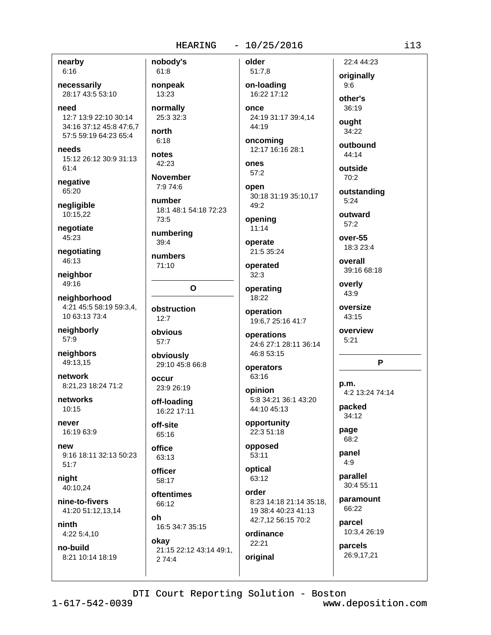nearby  $6:16$ 

necessarily 28:17 43:5 53:10

need 12:7 13:9 22:10 30:14 34:16 37:12 45:8 47:6,7 57:5 59:19 64:23 65:4

needs 15:12 26:12 30:9 31:13  $61:4$ 

negative 65:20

negligible 10:15,22

negotiate  $45:23$ 

negotiating 46:13

neighbor 49:16

neighborhood 4:21 45:5 58:19 59:3.4. 10 63:13 73:4

neighborly 57:9

neighbors 49:13,15

network 8:21.23 18:24 71:2

networks  $10:15$ 

never 16:19 63:9

new 9:16 18:11 32:13 50:23  $51:7$ 

niaht 40:10,24

nine-to-fivers 41:20 51:12,13,14

ninth 4:22 5:4,10

no-build 8:21 10:14 18:19 nobody's 61:8 nonpeak 13:23 normally 25:3 32:3 north  $6:18$ notes 42:23 **November** 7:9 74:6 number 18:1 48:1 54:18 72:23 73:5 numbering  $39:4$ numbers

 $\mathbf{o}$ 

obstruction  $12:7$ 

obvious  $57:7$ 

71:10

obviously 29:10 45:8 66:8

occur 23:9 26:19

off-loading 16:22 17:11

off-site 65:16

office 63:13

officer 58:17

oftentimes 66:12

 $nh$ 16:5 34:7 35:15

okay 21:15 22:12 43:14 49:1, 2 74:4

 $51:7,8$ on-loading 16:22 17:12 once 24:19 31:17 39:4,14

older

44:19 oncoming

12:17 16:16 28:1

ones  $57:2$ 

open 30:18 31:19 35:10,17 49:2

opening  $11:14$ 

operate 21:5 35:24

operated  $32:3$ 

operating

18:22 operation 19:6,7 25:16 41:7

operations 24:6 27:1 28:11 36:14

46:8 53:15 operators

63:16 opinion 5:8 34:21 36:1 43:20

44:10 45:13 opportunity

22:3 51:18

opposed  $53:11$ 

optical 63:12 order

8:23 14:18 21:14 35:18, 19 38:4 40:23 41:13 42:7,12 56:15 70:2

ordinance 22:21 original

originally  $9:6$ other's

22:4 44:23

 $36.19$ ought

34:22

outbound 44:14

outside 70:2

outstanding  $5:24$ 

outward  $57:2$ 

 $over-55$ 18:3 23:4

overall 39:16 68:18

overly 43:9

oversize 43:15

overview  $5:21$ 

P

 $p.m.$ 4:2 13:24 74:14

packed 34:12

page 68:2

panel  $4:9$ 

parallel 30:4 55:11

paramount 66:22

parcel 10:3,4 26:19

parcels

26:9,17,21

DTI Court Reporting Solution - Boston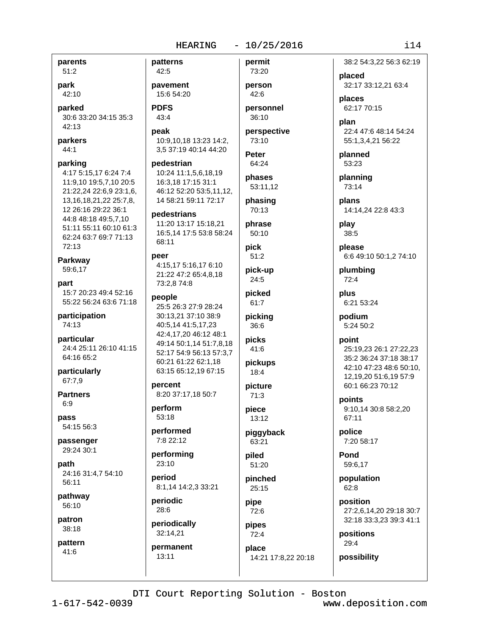parents

 $51:2$ park

42:10

parked 30:6 33:20 34:15 35:3 42:13

parkers 44:1

parking 4:17 5:15,17 6:24 7:4 11:9.10 19:5.7.10 20:5 21:22,24 22:6,9 23:1,6, 13, 16, 18, 21, 22 25: 7, 8, 12 26:16 29:22 36:1 44:8 48:18 49:5,7,10 51:11 55:11 60:10 61:3 62:24 63:7 69:7 71:13 72:13

Parkway 59:6,17

part 15:7 20:23 49:4 52:16 55:22 56:24 63:6 71:18

participation 74:13

particular 24:4 25:11 26:10 41:15 64:16 65:2

particularly 67:7,9

**Partners**  $6:9$ 

pass 54:15 56:3

passenger 29:24 30:1

path 24:16 31:4,7 54:10 56:11

pathway 56:10

patron 38:18

pattern 41:6

 $42:5$ pavement

patterns

15:6 54:20 **PDFS** 

43:4

peak 10:9.10.18 13:23 14:2. 3,5 37:19 40:14 44:20

pedestrian 10:24 11:1,5,6,18,19 16:3,18 17:15 31:1 46:12 52:20 53:5.11.12. 14 58:21 59:11 72:17

pedestrians 11:20 13:17 15:18,21 16:5,14 17:5 53:8 58:24 68:11

peer 4:15,17 5:16,17 6:10 21:22 47:2 65:4,8,18 73:2,8 74:8

#### people

25:5 26:3 27:9 28:24 30:13,21 37:10 38:9 40:5,14 41:5,17,23 42:4,17,20 46:12 48:1 49:14 50:1,14 51:7,8,18 52:17 54:9 56:13 57:3,7 60:21 61:22 62:1,18 63:15 65:12,19 67:15

percent 8:20 37:17,18 50:7

perform 53:18

performed 7:8 22:12

performing 23:10

period 8:1.14 14:2.3 33:21

periodic 28:6

periodically 32:14,21 permanent  $13:11$ 

person  $42:6$ personnel

permit

73:20

36:10

perspective 73:10

Peter 64:24

phases 53:11,12

phasing 70:13

phrase  $50:10$ 

pick

 $51:2$ pick-up

 $24:5$ picked

61:7

picking 36:6

picks 41:6

pickups  $18:4$ 

picture  $71:3$ 

piece 13:12

piggyback 63:21

piled  $51:20$ 

pinched  $25:15$ 

pipe 72:6

pipes  $72:4$ place 14:21 17:8,22 20:18

55:1,3,4,21 56:22 planned 53:23 planning

73:14 plans

placed

places

plan

62:17 70:15

14:14,24 22:8 43:3 play 38:5

please 6:6 49:10 50:1,2 74:10

plumbing  $72:4$ 

plus 6:21 53:24

podium 5:24 50:2

#### point 25:19,23 26:1 27:22,23

35:2 36:24 37:18 38:17 42:10 47:23 48:6 50:10, 12,19,20 51:6,19 57:9 60:1 66:23 70:12

points 9:10.14 30:8 58:2.20 67:11

police 7:20 58:17

Pond 59:6.17

population  $62.8$ 

position 27:2,6,14,20 29:18 30:7 32:18 33:3,23 39:3 41:1

positions 29:4

possibility

DTI Court Reporting Solution - Boston

www.deposition.com

### $\frac{1}{1}$  14

38:2 54:3.22 56:3 62:19

32:17 33:12,21 63:4

22:4 47:6 48:14 54:24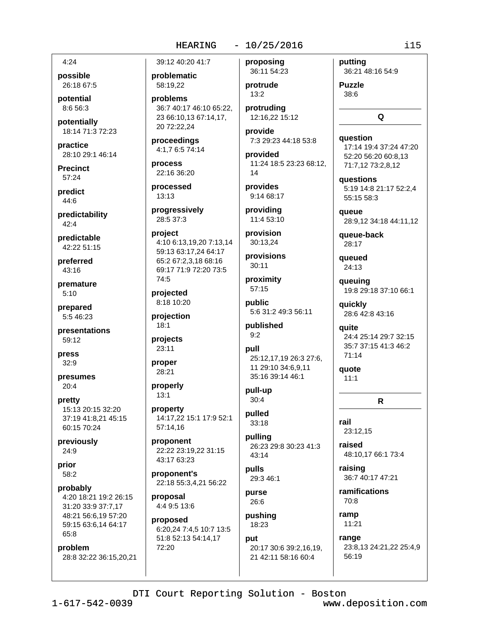## $-10/25/2016$

 $4:24$ 

possible 26:18 67:5

potential 8:6 56:3

potentially 18:14 71:3 72:23

practice 28:10 29:1 46:14

**Precinct** 57:24

predict  $44:6$ 

predictability  $42:4$ 

predictable 42:22 51:15

preferred 43:16

premature  $5:10$ 

prepared 5:5 46:23

presentations 59:12

press  $32:9$ 

presumes  $20:4$ 

pretty 15:13 20:15 32:20 37:19 41:8,21 45:15 60:15 70:24

previously  $24:9$ 

prior 58:2

probably 4:20 18:21 19:2 26:15 31:20 33:9 37:7,17 48:21 56:6,19 57:20 59:15 63:6,14 64:17 65:8

problem 28:8 32:22 36:15,20,21

39:12 40:20 41:7 problematic

58:19,22

problems 36:7 40:17 46:10 65:22. 23 66:10,13 67:14,17, 20 72:22,24

proceedings 4:1,7 6:5 74:14

process 22:16 36:20

processed  $13:13$ 

progressively 28:5 37:3

project 4:10 6:13,19,20 7:13,14 59:13 63:17,24 64:17 65:2 67:2.3.18 68:16 69:17 71:9 72:20 73:5 74:5

projected 8:18 10:20

projection  $18:1$ 

projects 23:11

proper

28:21 properly

 $13:1$ 

property 14:17,22 15:1 17:9 52:1 57:14,16

proponent 22:22 23:19,22 31:15 43:17 63:23

proponent's 22:18 55:3.4.21 56:22

proposal 4:4 9:5 13:6

proposed 6:20,24 7:4,5 10:7 13:5 51:8 52:13 54:14,17 72:20

proposing 36:11 54:23

protrude  $13:2$ 

protruding 12:16,22 15:12

provide 7:3 29:23 44:18 53:8

provided 11:24 18:5 23:23 68:12,  $14$ 

provides 9:14 68:17

providing 11:4 53:10

provision 30:13.24

provisions 30:11

proximity 57:15

public 5:6 31:2 49:3 56:11

published  $9:2$ 

pull 25:12.17.19 26:3 27:6. 11 29:10 34:6,9,11 35:16 39:14 46:1

pull-up  $30:4$ 

pulled 33:18

pulling 26:23 29:8 30:23 41:3 43:14

**pulls** 29:3 46:1

purse 26:6

pushing 18:23

put 20:17 30:6 39:2,16,19, 21 42:11 58:16 60:4

putting 36:21 48:16 54:9

**Puzzle** 38:6

Q

question 17:14 19:4 37:24 47:20 52:20 56:20 60:8.13 71:7,12 73:2,8,12

questions 5:19 14:8 21:17 52:2.4 55:15 58:3

queue 28:9,12 34:18 44:11,12

queue-back 28:17

queued  $24:13$ 

queuing 19:8 29:18 37:10 66:1

quickly 28:6 42:8 43:16

quite 24:4 25:14 29:7 32:15 35:7 37:15 41:3 46:2  $71:14$ 

quote  $11:1$ 

 $\mathsf{R}$ 

rail 23:12,15

raised 48:10,17 66:1 73:4

raising 36:7 40:17 47:21

ramifications 70:8

ramp 11:21

> range 23:8,13 24:21,22 25:4,9 56:19

DTI Court Reporting Solution - Boston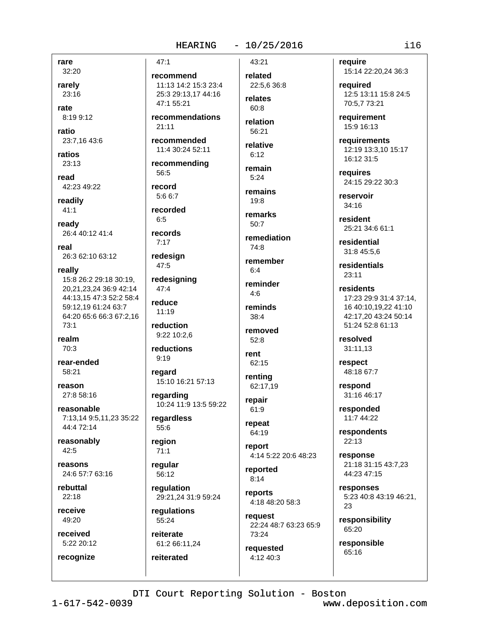rare

32:20 rarely  $23:16$ 

rate

8:19 9:12

ratio 23:7,16 43:6

ratios 23:13

read 42:23 49:22

readily  $41:1$ 

ready 26:4 40:12 41:4

real 26:3 62:10 63:12

really 15:8 26:2 29:18 30:19. 20,21,23,24 36:9 42:14 44:13,15 47:3 52:2 58:4 59:12.19 61:24 63:7 64:20 65:6 66:3 67:2,16 73:1

realm 70:3

rear-ended 58:21

reason 27:8 58:16

reasonable 7:13,14 9:5,11,23 35:22 44:4 72:14

reasonably 42:5

reasons 24:6 57:7 63:16

rebuttal 22:18

receive  $49:20$ 

received 5:22 20:12

recognize

 $47:1$ recommend 11:13 14:2 15:3 23:4 25:3 29:13.17 44:16 47:1 55:21 recommendations  $21:11$ recommended 11:4 30:24 52:11 recommending 56:5 record  $5:66:7$ recorded  $6:5$ records  $7.17$ redesign 47:5 redesigning  $47:4$ reduce  $11:19$ reduction 9:22 10:2,6 reductions  $9:19$ regard 15:10 16:21 57:13 regarding 10:24 11:9 13:5 59:22 regardless 55:6 region  $71:1$ reqular 56:12

regulation 29:21,24 31:9 59:24

regulations 55:24

reiterate 61:2 66:11,24

reiterated

43:21 related 22:5,6 36:8

relates  $60.8$ 

relation 56:21

relative  $6:12$ 

remain  $5:24$ 

remains  $19:8$ 

remarks  $50.7$ 

remediation 74:8

remember  $6:4$ 

reminder  $4:6$ reminds  $38:4$ 

removed 52:8

rent 62:15

renting 62:17,19

repair 61:9

repeat 64:19

report 4:14 5:22 20:6 48:23

reported  $8:14$ 

reports 4:18 48:20 58:3

request 22:24 48:7 63:23 65:9 73:24

requested 4:12 40:3

require 15:14 22:20,24 36:3

required 12:5 13:11 15:8 24:5 70:5.7 73:21

requirement 15:9 16:13

requirements 12:19 13:3,10 15:17 16:12 31:5

requires 24:15 29:22 30:3

reservoir 34:16

resident 25:21 34:6 61:1

residential 31:8 45:5,6

residentials  $23:11$ 

residents 17:23 29:9 31:4 37:14. 16 40:10.19.22 41:10 42:17.20 43:24 50:14 51:24 52:8 61:13

resolved 31:11,13

respect 48:18 67:7

respond 31:16 46:17

responded 11:7 44:22

respondents  $22:13$ 

response 21:18 31:15 43:7,23 44:23 47:15

responses 5:23 40:8 43:19 46:21, 23

responsibility 65:20

responsible 65:16

DTI Court Reporting Solution - Boston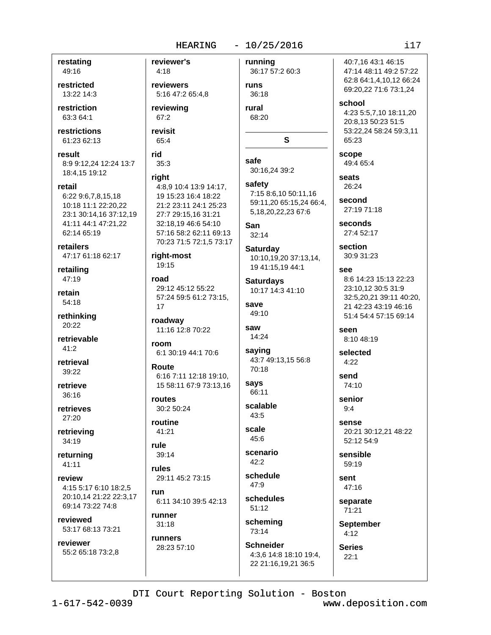#### $-10/25/2016$

restating 49:16

restricted 13:22 14:3

restriction 63:3 64:1

restrictions 61:23 62:13

result 8:9 9:12,24 12:24 13:7 18:4,15 19:12

retail 6:22 9:6,7,8,15,18 10:18 11:1 22:20,22 23:1 30:14,16 37:12,19 41:11 44:1 47:21,22 62:14 65:19

retailers 47:17 61:18 62:17

retailing 47:19

retain 54:18

rethinking 20:22

retrievable  $41:2$ 

retrieval 39:22

retrieve  $36:16$ 

retrieves 27:20

retrieving 34:19

returning  $41:11$ 

review 4:15 5:17 6:10 18:2,5 20:10,14 21:22 22:3,17 69:14 73:22 74:8

reviewed 53:17 68:13 73:21

reviewer 55:2 65:18 73:2,8 reviewer's running  $4:18$ reviewers 5:16 47:2 65:4.8 reviewing 67:2 revisit 65:4 rid safe 35:3 30:16,24 39:2 riaht 4:8.9 10:4 13:9 14:17. 19 15:23 16:4 18:22 21:2 23:11 24:1 25:23 27:7 29:15.16 31:21 32:18,19 46:6 54:10 San 57:16 58:2 62:11 69:13 70:23 71:5 72:1,5 73:17 right-most 19:15 road 29:12 45:12 55:22 57:24 59:5 61:2 73:15, save 17 roadway saw 11:16 12:8 70:22 room 6:1 30:19 44:1 70:6 Route 6:16 7:11 12:18 19:10. 15 58:11 67:9 73:13.16 routes 30:2 50:24 routine scale 41:21 rule scenario 39:14 rules schedule 29:11 45:2 73:15 run 6:11 34:10 39:5 42:13 runner  $31:18$ 

runners 28:23 57:10

36:17 57:2 60:3 runs 36:18

rural 68:20

safety 7:15 8:6,10 50:11,16 59:11,20 65:15,24 66:4, 5,18,20,22,23 67:6

S

 $32:14$ 

Saturday 10:10.19.20 37:13.14. 19 41:15,19 44:1

**Saturdays** 10:17 14:3 41:10

49:10

14:24

saying 43:7 49:13.15 56:8 70:18

says 66:11

scalable  $43:5$ 

 $45:6$ 

 $42:2$ 

47:9 schedules

 $51:12$ scheming

73:14 **Schneider** 4:3,6 14:8 18:10 19:4,

40:7.16 43:1 46:15 47:14 48:11 49:2 57:22 62:8 64:1,4,10,12 66:24 69:20,22 71:6 73:1,24 school 4:23 5:5,7,10 18:11,20 20:8,13 50:23 51:5 53:22,24 58:24 59:3,11 65:23 scope 49:4 65:4 seats

26:24 second

27:19 71:18

seconds 27:4 52:17

section 30:9 31:23

SAA 8:6 14:23 15:13 22:23 23:10.12 30:5 31:9 32:5,20,21 39:11 40:20, 21 42:23 43:19 46:16 51:4 54:4 57:15 69:14

seen 8:10 48:19

selected  $4:22$ 

send 74:10

senior  $9:4$ 

sense 20:21 30:12,21 48:22 52:12 54:9

sensible 59:19

sent  $47:16$ 

separate 71:21

**September** 

 $4:12$ **Series** 

 $22:1$ 22 21:16,19,21 36:5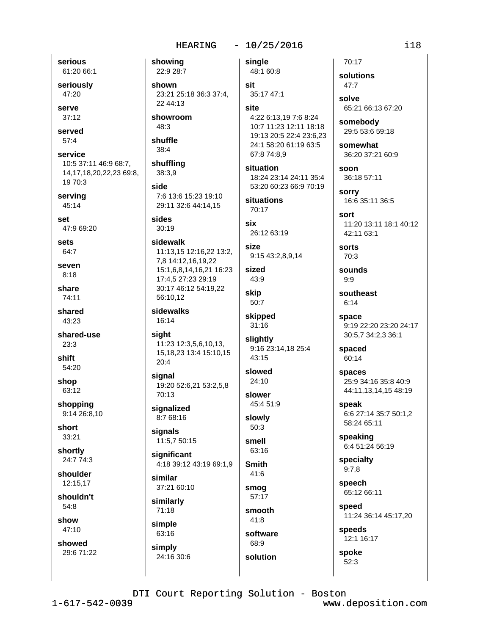serious 61:20 66:1

seriously 47:20

serve  $37:12$ 

served

 $57:4$ 

service 10:5 37:11 46:9 68:7, 14, 17, 18, 20, 22, 23 69: 8, 19 70:3

serving 45:14

set 47:9 69:20

sets 64:7

seven  $8:18$ 

share 74:11

shared 43:23

shared-use  $23:3$ 

shift 54:20

shop 63:12

shopping 9:14 26:8,10

short 33:21

shortly 24:7 74:3

shoulder 12:15.17

shouldn't  $54:8$ 

show

47:10 showed

29:6 71:22

showing 22:9 28:7 shown 23:21 25:18 36:3 37:4. 22 44:13 showroom 48:3 shuffle  $38:4$ shuffling 38:3,9 side 7:6 13:6 15:23 19:10 29:11 32:6 44:14.15 sides  $30:19$ sidewalk 11:13,15 12:16,22 13:2, 7,8 14:12,16,19,22 15:1,6,8,14,16,21 16:23 17:4,5 27:23 29:19 30:17 46:12 54:19,22 56:10.12 sidewalks 16:14 siaht 11:23 12:3,5,6,10,13, 15, 18, 23 13: 4 15: 10, 15

sianal 19:20 52:6,21 53:2,5,8 70:13

signalized 8:7 68:16

20:4

signals 11:5,7 50:15

significant 4:18 39:12 43:19 69:1,9

similar 37:21 60:10

similarly  $71:18$ simple

63:16 simply 24:16 30:6 single 48:1 60:8 sit

35:17 47:1 site 4:22 6:13,19 7:6 8:24 10:7 11:23 12:11 18:18 19:13 20:5 22:4 23:6.23 24:1 58:20 61:19 63:5

situation 18:24 23:14 24:11 35:4 53:20 60:23 66:9 70:19

situations 70:17

67:8 74:8,9

six 26:12 63:19

size 9:15 43:2,8,9,14

sized 43:9

skip 50:7

skipped  $31:16$ 

slightly 9:16 23:14,18 25:4 43:15

slowed 24:10

slower 45:4 51:9

slowly 50:3 smell

63:16

**Smith** 41:6

smog 57:17

smooth  $41:8$ 

68:9

software solution

29:5 53:6 59:18 somewhat 36:20 37:21 60:9

65:21 66:13 67:20

soon 36:18 57:11

70:17

47:7

solve

solutions

somebody

**sorry** 16:6 35:11 36:5

sort 11:20 13:11 18:1 40:12 42:11 63:1

sorts 70:3

sounds  $9:9$ 

southeast  $6:14$ 

space 9:19 22:20 23:20 24:17 30:5,7 34:2,3 36:1

spaced 60:14

spaces 25:9 34:16 35:8 40:9 44:11,13,14,15 48:19

speak 6:6 27:14 35:7 50:1,2 58:24 65:11

speaking 6:4 51:24 56:19

specialty  $9:7.8$ 

speech 65:12 66:11

speed 11:24 36:14 45:17,20

speeds 12:1 16:17

spoke  $52:3$ 

DTI Court Reporting Solution - Boston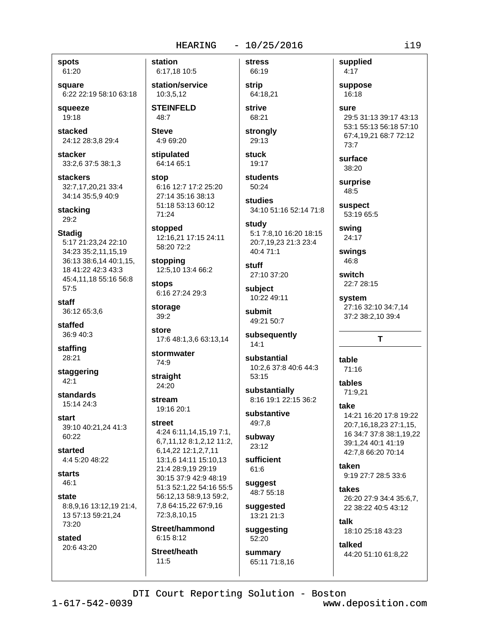#### $-10/25/2016$

**stress** 

spots 61:20

square 6:22 22:19 58:10 63:18

squeeze 19:18

stacked 24:12 28:3,8 29:4

stacker 33:2,6 37:5 38:1,3

**stackers** 32:7.17.20.21 33:4 34:14 35:5,9 40:9

stacking 29:2

**Stadig** 5:17 21:23,24 22:10 34:23 35:2,11,15,19 36:13 38:6,14 40:1,15, 18 41:22 42:3 43:3 45:4,11,18 55:16 56:8 57:5

staff 36:12 65:3.6

staffed 36:9 40:3

staffing 28:21

staggering  $42:1$ 

standards 15:14 24:3

start 39:10 40:21,24 41:3 60:22

started 4:4 5:20 48:22

starts  $46:1$ 

state 8:8,9,16 13:12,19 21:4, 13 57:13 59:21,24 73:20

stated 20:6 43:20 station 6:17,18 10:5

station/service 10:3.5.12

**STEINFELD** 48:7

**Steve**  $4:969:20$ 

stipulated 64:14 65:1

stop 6:16 12:7 17:2 25:20 27:14 35:16 38:13 51:18 53:13 60:12 71:24

stopped 12:16.21 17:15 24:11 58:20 72:2

stopping 12:5,10 13:4 66:2

stops 6:16 27:24 29:3

storage  $39:2$ 

store 17:6 48:1,3,6 63:13,14

stormwater 74:9

straight  $24:20$ 

stream 19:16 20:1

street 4:24 6:11,14,15,19 7:1,

6,7,11,12 8:1,2,12 11:2, 6, 14, 22 12: 1, 2, 7, 11 13:1.6 14:11 15:10.13 21:4 28:9.19 29:19 30:15 37:9 42:9 48:19 51:3 52:1,22 54:16 55:5 56:12,13 58:9,13 59:2, 7,8 64:15,22 67:9,16 72:3.8.10.15

Street/hammond  $6:158:12$ Street/heath

 $11:5$ 

66:19 strip 64:18,21 strive

68:21 strongly

29:13 **stuck** 

19:17 **students** 50:24

studies 34:10 51:16 52:14 71:8

study 5:1 7:8,10 16:20 18:15 20:7,19,23 21:3 23:4 40:4 71:1

stuff 27:10 37:20 subject

10:22 49:11 submit 49:21 50:7

subsequently

 $14:1$ substantial 10:2.6 37:8 40:6 44:3

 $53:15$ substantially 8:16 19:1 22:15 36:2

substantive 49:7,8

subway 23:12

sufficient 61:6

suggest 48:7 55:18

suggested 13:21 21:3

suggesting 52:20

summary 65:11 71:8,16 supplied  $4:17$ suppose 16:18 sure 29:5 31:13 39:17 43:13 53:1 55:13 56:18 57:10

67:4,19,21 68:7 72:12  $73.7$ 

surface 38:20

surprise 48:5

suspect 53:19 65:5

swing  $24:17$ 

swings 46:8

switch 22:7 28:15

system 27:16 32:10 34:7.14 37:2 38:2,10 39:4

T

table  $71.16$ 

tables 71:9.21

take 14:21 16:20 17:8 19:22 20:7,16,18,23 27:1,15, 16 34:7 37:8 38:1.19.22 39:1.24 40:1 41:19 42:7.8 66:20 70:14

taken 9:19 27:7 28:5 33:6

takes 26:20 27:9 34:4 35:6,7, 22 38:22 40:5 43:12

talk 18:10 25:18 43:23

talked 44:20 51:10 61:8,22

www.deposition.com

 $i19$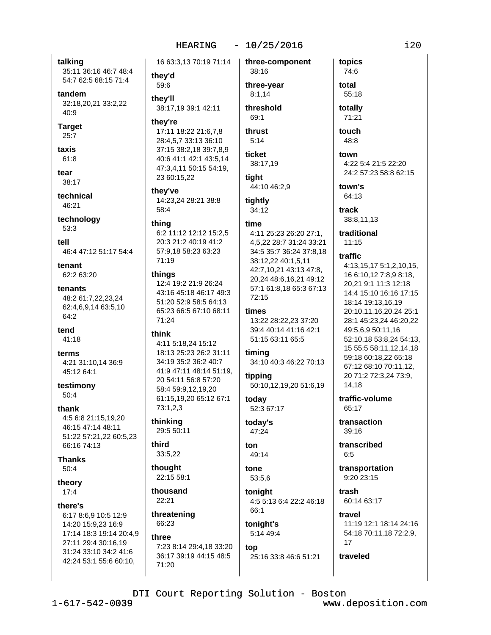talking 35:11 36:16 46:7 48:4 54:7 62:5 68:15 71:4

tandem 32:18,20,21 33:2,22 40:9

**Target**  $25:7$ 

taxis 61:8

tear

38:17

technical 46:21

technology 53:3

tell 46:4 47:12 51:17 54:4

tenant 62:2 63:20

tenants 48:2 61:7,22,23,24 62:4,6,9,14 63:5,10  $64.2$ 

tend 41:18

terms 4:21 31:10.14 36:9 45:12 64:1

testimony  $50:4$ 

thank 4:5 6:8 21:15,19,20 46:15 47:14 48:11 51:22 57:21,22 60:5,23 66:16 74:13

**Thanks**  $50:4$ 

theory  $17:4$ 

there's

6:17 8:6,9 10:5 12:9 14:20 15:9,23 16:9 17:14 18:3 19:14 20:4,9 27:11 29:4 30:16,19 31:24 33:10 34:2 41:6 42:24 53:1 55:6 60:10,

16 63:3,13 70:19 71:14

they'd 59:6

thev'll 38:17,19 39:1 42:11

#### they're

17:11 18:22 21:6,7,8 28:4,5,7 33:13 36:10 37:15 38:2,18 39:7,8,9 40:6 41:1 42:1 43:5,14 47:3,4,11 50:15 54:19, 23 60:15,22

they've 14:23,24 28:21 38:8

 $58:4$ 

#### thing

6:2 11:12 12:12 15:2,5 20:3 21:2 40:19 41:2 57:9,18 58:23 63:23 71:19

#### things

12:4 19:2 21:9 26:24 43:16 45:18 46:17 49:3 51:20 52:9 58:5 64:13 65:23 66:5 67:10 68:11  $71:24$ 

#### think

4:11 5:18.24 15:12 18:13 25:23 26:2 31:11 34:19 35:2 36:2 40:7 41:9 47:11 48:14 51:19. 20 54:11 56:8 57:20 58:4 59:9,12,19,20 61:15.19.20 65:12 67:1  $73:1,2,3$ 

thinking 29:5 50:11

third 33:5,22

thought 22:15 58:1

thousand  $22:21$ 

threatening 66:23

#### three

7:23 8:14 29:4.18 33:20 36:17 39:19 44:15 48:5 71:20

three-year  $8:1.14$ threshold 69:1

38:16

three-component

## thrust  $5:14$ ticket

38:17,19 tiaht

## 44:10 46:2,9

tightly 34:12

# time

4:11 25:23 26:20 27:1. 4,5,22 28:7 31:24 33:21 34:5 35:7 36:24 37:8,18 38:12,22 40:1,5,11 42:7,10,21 43:13 47:8, 20,24 48:6,16,21 49:12 57:1 61:8,18 65:3 67:13  $72:15$ 

#### times

13:22 28:22,23 37:20 39:4 40:14 41:16 42:1 51:15 63:11 65:5

### timing

34:10 40:3 46:22 70:13

tipping 50:10,12,19,20 51:6,19

today 52:3 67:17

### today's 47:24

ton 49:14

tone 53:5.6

tonight 4:5 5:13 6:4 22:2 46:18  $66.1$ 

## tonight's 5:14 49:4

top 25:16 33:8 46:6 51:21

## 55:18 totally 71:21

topics

74:6

total

touch 48:8

## town

4:22 5:4 21:5 22:20 24:2 57:23 58:8 62:15

## town's

64:13 track

38:8,11,13

#### traditional  $11.15$

### traffic 4:13,15,17 5:1,2,10,15, 16 6:10,12 7:8,9 8:18, 20,21 9:1 11:3 12:18 14:4 15:10 16:16 17:15 18:14 19:13,16,19 20:10,11,16,20,24 25:1 28:1 45:23,24 46:20,22 49:5,6,9 50:11,16 52:10,18 53:8,24 54:13, 15 55:5 58:11,12,14,18 59:18 60:18,22 65:18 67:12 68:10 70:11,12, 20 71:2 72:3,24 73:9, 14,18

traffic-volume 65:17

transaction  $39:16$ 

### transcribed  $6:5$

transportation 9:20 23:15

trash 60:14 63:17

traveled

#### travel 11:19 12:1 18:14 24:16 54:18 70:11,18 72:2,9,  $17$

DTI Court Reporting Solution - Boston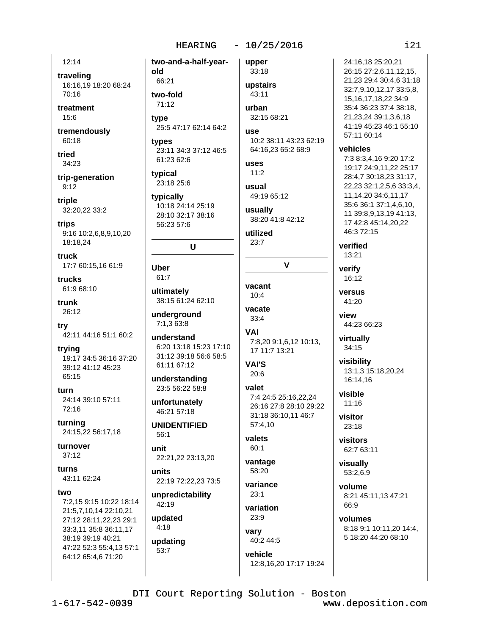$12:14$ 

traveling 16:16.19 18:20 68:24 70:16

old

treatment 15:6

tremendously 60:18

tried 34:23

trip-generation  $9:12$ 

triple 32:20,22 33:2

trips 9:16 10:2,6,8,9,10,20 18:18.24

truck 17:7 60:15,16 61:9

trucks 61:9 68:10

trunk 26:12

try 42:11 44:16 51:1 60:2

trying 19:17 34:5 36:16 37:20 39:12 41:12 45:23 65:15

furn 24:14 39:10 57:11 72:16

turning 24:15,22 56:17,18

turnover  $37:12$ 

turns 43:11 62:24

two

7:2,15 9:15 10:22 18:14 21:5,7,10,14 22:10,21 27:12 28:11,22,23 29:1 33:3,11 35:8 36:11,17 38:19 39:19 40:21 47:22 52:3 55:4,13 57:1 64:12 65:4,6 71:20

two-and-a-half-year-66:21 two-fold  $71:12$ tvpe 25:5 47:17 62:14 64:2 types 23:11 34:3 37:12 46:5 61:23 62:6 typical 23:18 25:6 tvpically 10:18 24:14 25:19 28:10 32:17 38:16 56:23 57:6 U

Uber 61:7 ultimately

38:15 61:24 62:10

underground 7:1,3 63:8

understand 6:20 13:18 15:23 17:10 31:12 39:18 56:6 58:5 61:11 67:12

understanding 23:5 56:22 58:8

unfortunately 46:21 57:18

**UNIDENTIFIED**  $56:1$ 

unit 22:21,22 23:13,20

units 22:19 72:22,23 73:5

unpredictability 42:19

updated  $4.18$ 

updating  $53:7$ 

33:18 upstairs 43:11 urban

upper

32:15 68:21

**USA** 10:2 38:11 43:23 62:19 64:16.23 65:2 68:9

**USAS**  $11:2$ usual

49:19 65:12

usually 38:20 41:8 42:12

utilized  $23.7$ 

 $\mathbf{V}$ 

vacant  $10-4$ 

vacate  $33:4$ 

**VAI** 7:8,20 9:1,6,12 10:13, 17 11:7 13:21

**VAI'S** 

 $20:6$ valet

7:4 24:5 25:16,22,24 26:16 27:8 28:10 29:22 31:18 36:10,11 46:7 57:4,10

valets 60:1

vantage 58:20

variance  $23:1$ 

variation 23:9

varv 40:2 44:5

vehicle

12:8,16,20 17:17 19:24

 $121$ 24:16.18 25:20.21 26:15 27:2,6,11,12,15, 21,23 29:4 30:4,6 31:18 32:7,9,10,12,17 33:5,8, 15, 16, 17, 18, 22 34: 9 35:4 36:23 37:4 38:18, 21.23.24 39:1.3.6.18 41:19 45:23 46:1 55:10 57:11 60:14 vehicles 7:3 8:3,4,16 9:20 17:2 19:17 24:9.11.22 25:17 28:4,7 30:18,23 31:17, 22,23 32:1,2,5,6 33:3,4, 11,14,20 34:6,11,17 35:6 36:1 37:1,4,6,10, 11 39:8,9,13,19 41:13, 17 42:8 45:14.20.22 46:372:15 verified 13:21 verify  $16:12$ versus 41:20 view 44:23 66:23 virtually 34:15 visibility 13:1,3 15:18,20,24 16:14.16 visible  $11:16$ visitor  $23.18$ visitors 62:7 63:11 visually 53:2,6,9

volume 8:21 45:11.13 47:21 66:9

volumes 8:18 9:1 10:11,20 14:4, 5 18:20 44:20 68:10

DTI Court Reporting Solution - Boston